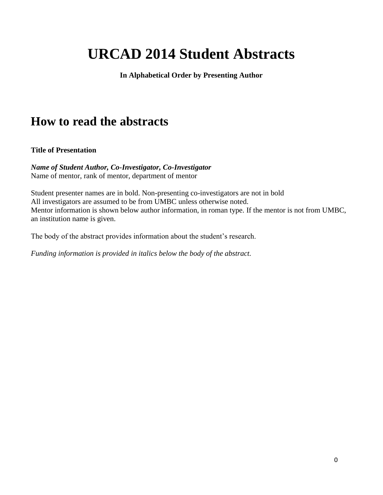# **URCAD 2014 Student Abstracts**

**In Alphabetical Order by Presenting Author**

## **How to read the abstracts**

## **Title of Presentation**

*Name of Student Author, Co-Investigator, Co-Investigator* Name of mentor, rank of mentor, department of mentor

Student presenter names are in bold. Non-presenting co-investigators are not in bold All investigators are assumed to be from UMBC unless otherwise noted. Mentor information is shown below author information, in roman type. If the mentor is not from UMBC, an institution name is given.

The body of the abstract provides information about the student's research.

*Funding information is provided in italics below the body of the abstract.*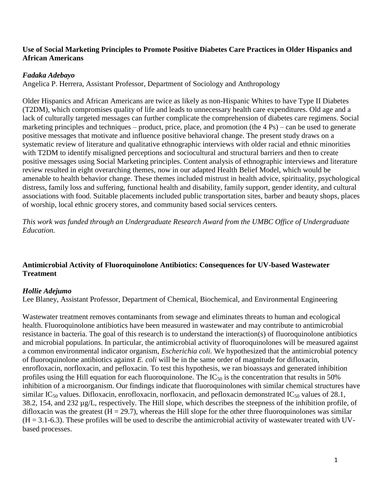#### **Use of Social Marketing Principles to Promote Positive Diabetes Care Practices in Older Hispanics and African Americans**

## *Fadaka Adebayo*

Angelica P. Herrera, Assistant Professor, Department of Sociology and Anthropology

Older Hispanics and African Americans are twice as likely as non-Hispanic Whites to have Type II Diabetes (T2DM), which compromises quality of life and leads to unnecessary health care expenditures. Old age and a lack of culturally targeted messages can further complicate the comprehension of diabetes care regimens. Social marketing principles and techniques – product, price, place, and promotion (the 4 Ps) – can be used to generate positive messages that motivate and influence positive behavioral change. The present study draws on a systematic review of literature and qualitative ethnographic interviews with older racial and ethnic minorities with T2DM to identify misaligned perceptions and sociocultural and structural barriers and then to create positive messages using Social Marketing principles. Content analysis of ethnographic interviews and literature review resulted in eight overarching themes, now in our adapted Health Belief Model, which would be amenable to health behavior change. These themes included mistrust in health advice, spirituality, psychological distress, family loss and suffering, functional health and disability, family support, gender identity, and cultural associations with food. Suitable placements included public transportation sites, barber and beauty shops, places of worship, local ethnic grocery stores, and community based social services centers.

*This work was funded through an Undergraduate Research Award from the UMBC Office of Undergraduate Education.*

## **Antimicrobial Activity of Fluoroquinolone Antibiotics: Consequences for UV-based Wastewater Treatment**

#### *Hollie Adejumo*

Lee Blaney, Assistant Professor, Department of Chemical, Biochemical, and Environmental Engineering

Wastewater treatment removes contaminants from sewage and eliminates threats to human and ecological health. Fluoroquinolone antibiotics have been measured in wastewater and may contribute to antimicrobial resistance in bacteria. The goal of this research is to understand the interaction(s) of fluoroquinolone antibiotics and microbial populations. In particular, the antimicrobial activity of fluoroquinolones will be measured against a common environmental indicator organism, *Escherichia coli.* We hypothesized that the antimicrobial potency of fluoroquinolone antibiotics against *E. coli* will be in the same order of magnitude for difloxacin, enrofloxacin, norfloxacin, and pefloxacin. To test this hypothesis, we ran bioassays and generated inhibition profiles using the Hill equation for each fluoroquinolone. The  $IC_{50}$  is the concentration that results in 50% inhibition of a microorganism. Our findings indicate that fluoroquinolones with similar chemical structures have similar IC<sub>50</sub> values. Difloxacin, enrofloxacin, norfloxacin, and pefloxacin demonstrated IC<sub>50</sub> values of 28.1, 38.2, 154, and 232 µg/L, respectively. The Hill slope, which describes the steepness of the inhibition profile, of difloxacin was the greatest  $(H = 29.7)$ , whereas the Hill slope for the other three fluoroquinolones was similar  $(H = 3.1-6.3)$ . These profiles will be used to describe the antimicrobial activity of wastewater treated with UVbased processes.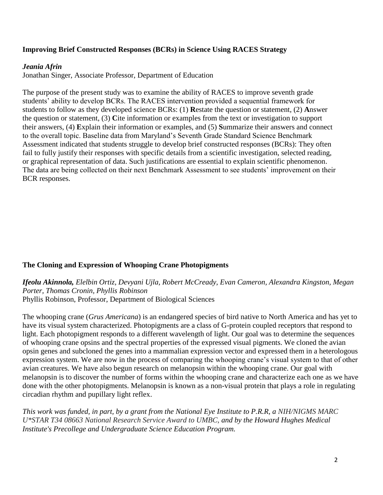## **Improving Brief Constructed Responses (BCRs) in Science Using RACES Strategy**

## *Jeania Afrin*

Jonathan Singer, Associate Professor, Department of Education

The purpose of the present study was to examine the ability of RACES to improve seventh grade students' ability to develop BCRs. The RACES intervention provided a sequential framework for students to follow as they developed science BCRs: (1) **R**estate the question or statement, (2) **A**nswer the question or statement, (3) **C**ite information or examples from the text or investigation to support their answers, (4) **E**xplain their information or examples, and (5) **S**ummarize their answers and connect to the overall topic. Baseline data from Maryland's Seventh Grade Standard Science Benchmark Assessment indicated that students struggle to develop brief constructed responses (BCRs): They often fail to fully justify their responses with specific details from a scientific investigation, selected reading, or graphical representation of data. Such justifications are essential to explain scientific phenomenon. The data are being collected on their next Benchmark Assessment to see students' improvement on their BCR responses.

## **The Cloning and Expression of Whooping Crane Photopigments**

*Ifeolu Akinnola, Elelbin Ortiz, Devyani Ujla, Robert McCready, Evan Cameron, Alexandra Kingston, Megan Porter, Thomas Cronin, Phyllis Robinson*

Phyllis Robinson, Professor, Department of Biological Sciences

The whooping crane (*Grus Americana*) is an endangered species of bird native to North America and has yet to have its visual system characterized. Photopigments are a class of G-protein coupled receptors that respond to light. Each photopigment responds to a different wavelength of light. Our goal was to determine the sequences of whooping crane opsins and the spectral properties of the expressed visual pigments. We cloned the avian opsin genes and subcloned the genes into a mammalian expression vector and expressed them in a heterologous expression system. We are now in the process of comparing the whooping crane's visual system to that of other avian creatures. We have also begun research on melanopsin within the whooping crane. Our goal with melanopsin is to discover the number of forms within the whooping crane and characterize each one as we have done with the other photopigments. Melanopsin is known as a non-visual protein that plays a role in regulating circadian rhythm and pupillary light reflex.

*This work was funded, in part, by a grant from the National Eye Institute to P.R.R, a NIH/NIGMS MARC U\*STAR T34 08663 National Research Service Award to UMBC, and by the Howard Hughes Medical Institute's Precollege and Undergraduate Science Education Program.*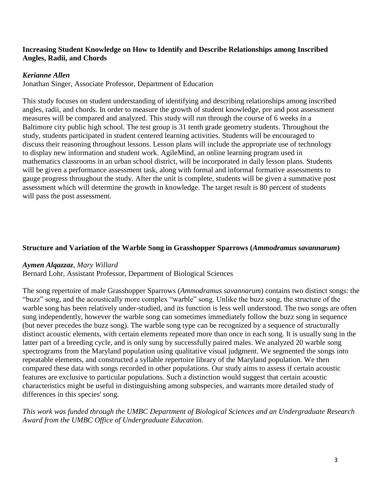## **Increasing Student Knowledge on How to Identify and Describe Relationships among Inscribed Angles, Radii, and Chords**

## *Kerianne Allen*

Jonathan Singer, Associate Professor, Department of Education

This study focuses on student understanding of identifying and describing relationships among inscribed angles, radii, and chords. In order to measure the growth of student knowledge, pre and post assessment measures will be compared and analyzed. This study will run through the course of 6 weeks in a Baltimore city public high school. The test group is 31 tenth grade geometry students. Throughout the study, students participated in student centered learning activities. Students will be encouraged to discuss their reasoning throughout lessons. Lesson plans will include the appropriate use of technology to display new information and student work. AgileMind, an online learning program used in mathematics classrooms in an urban school district, will be incorporated in daily lesson plans. Students will be given a performance assessment task, along with formal and informal formative assessments to gauge progress throughout the study. After the unit is complete, students will be given a summative post assessment which will determine the growth in knowledge. The target result is 80 percent of students will pass the post assessment.

## **Structure and Variation of the Warble Song in Grasshopper Sparrows (***Ammodramus savannarum***)**

#### *Aymen Alqazzaz, Mary Willard*

Bernard Lohr, Assistant Professor, Department of Biological Sciences

The song repertoire of male Grasshopper Sparrows (*Ammodramus savannarum*) contains two distinct songs: the "buzz" song, and the acoustically more complex "warble" song. Unlike the buzz song, the structure of the warble song has been relatively under-studied, and its function is less well understood. The two songs are often sung independently, however the warble song can sometimes immediately follow the buzz song in sequence (but never precedes the buzz song). The warble song type can be recognized by a sequence of structurally distinct acoustic elements, with certain elements repeated more than once in each song. It is usually sung in the latter part of a breeding cycle, and is only sung by successfully paired males. We analyzed 20 warble song spectrograms from the Maryland population using qualitative visual judgment. We segmented the songs into repeatable elements, and constructed a syllable repertoire library of the Maryland population. We then compared these data with songs recorded in other populations. Our study aims to assess if certain acoustic features are exclusive to particular populations. Such a distinction would suggest that certain acoustic characteristics might be useful in distinguishing among subspecies, and warrants more detailed study of differences in this species' song.

*This work was funded through the UMBC Department of Biological Sciences and an Undergraduate Research Award from the UMBC Office of Undergraduate Education.*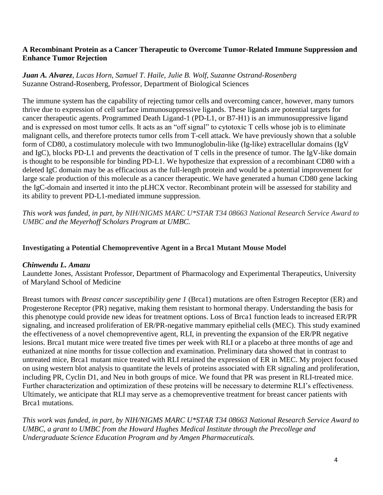## **A Recombinant Protein as a Cancer Therapeutic to Overcome Tumor-Related Immune Suppression and Enhance Tumor Rejection**

## *Juan A. Alvarez, Lucas Horn, Samuel T. Haile, Julie B. Wolf, Suzanne Ostrand-Rosenberg* Suzanne Ostrand-Rosenberg, Professor, Department of Biological Sciences

The immune system has the capability of rejecting tumor cells and overcoming cancer, however, many tumors thrive due to expression of cell surface immunosuppressive ligands. These ligands are potential targets for cancer therapeutic agents. Programmed Death Ligand-1 (PD-L1, or B7-H1) is an immunosuppressive ligand and is expressed on most tumor cells. It acts as an "off signal" to cytotoxic T cells whose job is to eliminate malignant cells, and therefore protects tumor cells from T-cell attack. We have previously shown that a soluble form of CD80, a costimulatory molecule with two Immunoglobulin-like (Ig-like) extracellular domains (IgV and IgC), blocks PD-L1 and prevents the deactivation of T cells in the presence of tumor. The IgV-like domain is thought to be responsible for binding PD-L1. We hypothesize that expression of a recombinant CD80 with a deleted IgC domain may be as efficacious as the full-length protein and would be a potential improvement for large scale production of this molecule as a cancer therapeutic. We have generated a human CD80 gene lacking the IgC-domain and inserted it into the pLHCX vector. Recombinant protein will be assessed for stability and its ability to prevent PD-L1-mediated immune suppression.

*This work was funded, in part, by NIH/NIGMS MARC U\*STAR T34 08663 National Research Service Award to UMBC and the Meyerhoff Scholars Program at UMBC.*

## **Investigating a Potential Chemopreventive Agent in a Brca1 Mutant Mouse Model**

## *Chinwendu L. Amazu*

Laundette Jones, Assistant Professor, Department of Pharmacology and Experimental Therapeutics, University of Maryland School of Medicine

Breast tumors with *Breast cancer susceptibility gene 1* (Brca1) mutations are often Estrogen Receptor (ER) and Progesterone Receptor (PR) negative, making them resistant to hormonal therapy. Understanding the basis for this phenotype could provide new ideas for treatment options. Loss of Brca1 function leads to increased ER/PR signaling, and increased proliferation of ER/PR-negative mammary epithelial cells (MEC). This study examined the effectiveness of a novel chemopreventive agent, RLI, in preventing the expansion of the ER/PR negative lesions. Brca1 mutant mice were treated five times per week with RLI or a placebo at three months of age and euthanized at nine months for tissue collection and examination. Preliminary data showed that in contrast to untreated mice, Brca1 mutant mice treated with RLI retained the expression of ER in MEC. My project focused on using western blot analysis to quantitate the levels of proteins associated with ER signaling and proliferation, including PR, Cyclin D1, and Neu in both groups of mice. We found that PR was present in RLI-treated mice. Further characterization and optimization of these proteins will be necessary to determine RLI's effectiveness. Ultimately, we anticipate that RLI may serve as a chemopreventive treatment for breast cancer patients with Brca1 mutations.

*This work was funded, in part, by NIH/NIGMS MARC U\*STAR T34 08663 National Research Service Award to UMBC, a grant to UMBC from the Howard Hughes Medical Institute through the Precollege and Undergraduate Science Education Program and by Amgen Pharmaceuticals.*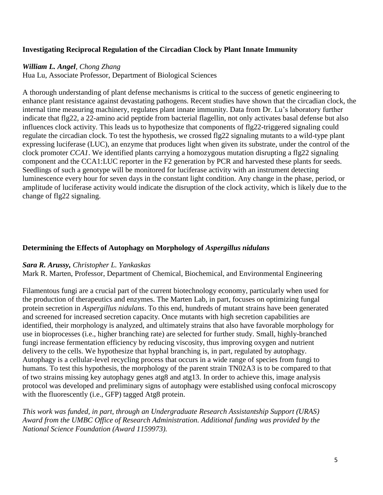## **Investigating Reciprocal Regulation of the Circadian Clock by Plant Innate Immunity**

## *William L. Angel, Chong Zhang*

Hua Lu, Associate Professor, Department of Biological Sciences

A thorough understanding of plant defense mechanisms is critical to the success of genetic engineering to enhance plant resistance against devastating pathogens. Recent studies have shown that the circadian clock, the internal time measuring machinery, regulates plant innate immunity. Data from Dr. Lu's laboratory further indicate that flg22, a 22-amino acid peptide from bacterial flagellin, not only activates basal defense but also influences clock activity. This leads us to hypothesize that components of flg22-triggered signaling could regulate the circadian clock. To test the hypothesis, we crossed flg22 signaling mutants to a wild-type plant expressing luciferase (LUC), an enzyme that produces light when given its substrate, under the control of the clock promoter *CCA1*. We identified plants carrying a homozygous mutation disrupting a flg22 signaling component and the CCA1:LUC reporter in the F2 generation by PCR and harvested these plants for seeds. Seedlings of such a genotype will be monitored for luciferase activity with an instrument detecting luminescence every hour for seven days in the constant light condition. Any change in the phase, period, or amplitude of luciferase activity would indicate the disruption of the clock activity, which is likely due to the change of flg22 signaling.

## **Determining the Effects of Autophagy on Morphology of** *Aspergillus nidulans*

#### *Sara R. Arussy, Christopher L. Yankaskas*

Mark R. Marten, Professor, Department of Chemical, Biochemical, and Environmental Engineering

Filamentous fungi are a crucial part of the current biotechnology economy, particularly when used for the production of therapeutics and enzymes. The Marten Lab, in part, focuses on optimizing fungal protein secretion in *Aspergillus nidulans*. To this end, hundreds of mutant strains have been generated and screened for increased secretion capacity. Once mutants with high secretion capabilities are identified, their morphology is analyzed, and ultimately strains that also have favorable morphology for use in bioprocesses (i.e., higher branching rate) are selected for further study. Small, highly-branched fungi increase fermentation efficiency by reducing viscosity, thus improving oxygen and nutrient delivery to the cells. We hypothesize that hyphal branching is, in part, regulated by autophagy. Autophagy is a cellular-level recycling process that occurs in a wide range of species from fungi to humans. To test this hypothesis, the morphology of the parent strain TN02A3 is to be compared to that of two strains missing key autophagy genes atg8 and atg13. In order to achieve this, image analysis protocol was developed and preliminary signs of autophagy were established using confocal microscopy with the fluorescently (i.e., GFP) tagged Atg8 protein.

*This work was funded, in part, through an Undergraduate Research Assistantship Support (URAS) Award from the UMBC Office of Research Administration. Additional funding was provided by the National Science Foundation (Award 1159973).*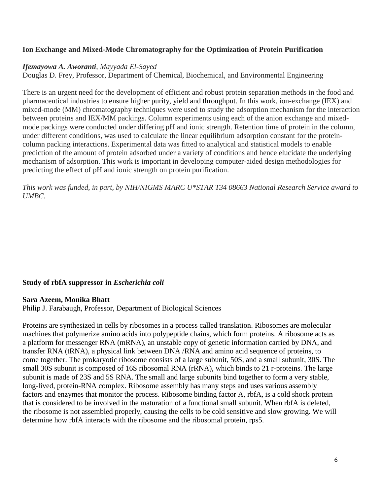## **Ion Exchange and Mixed-Mode Chromatography for the Optimization of Protein Purification**

#### *Ifemayowa A. Aworanti*, *Mayyada El-Sayed*

Douglas D. Frey, Professor, Department of Chemical, Biochemical, and Environmental Engineering

There is an urgent need for the development of efficient and robust protein separation methods in the food and pharmaceutical industries to ensure higher purity, yield and throughput. In this work, ion-exchange (IEX) and mixed-mode (MM) chromatography techniques were used to study the adsorption mechanism for the interaction between proteins and IEX/MM packings. Column experiments using each of the anion exchange and mixedmode packings were conducted under differing pH and ionic strength. Retention time of protein in the column, under different conditions, was used to calculate the linear equilibrium adsorption constant for the proteincolumn packing interactions. Experimental data was fitted to analytical and statistical models to enable prediction of the amount of protein adsorbed under a variety of conditions and hence elucidate the underlying mechanism of adsorption. This work is important in developing computer-aided design methodologies for predicting the effect of pH and ionic strength on protein purification.

*This work was funded, in part, by NIH/NIGMS MARC U\*STAR T34 08663 National Research Service award to UMBC.*

#### **Study of rbfA suppressor in** *Escherichia coli*

#### **Sara Azeem, Monika Bhatt**

Philip J. Farabaugh, Professor, Department of Biological Sciences

Proteins are synthesized in cells by ribosomes in a process called translation. Ribosomes are molecular machines that polymerize amino acids into polypeptide chains, which form proteins. A ribosome acts as a platform for messenger RNA (mRNA), an unstable copy of genetic information carried by DNA, and transfer RNA (tRNA), a physical link between DNA /RNA and amino acid sequence of proteins, to come together. The prokaryotic ribosome consists of a large subunit, 50S, and a small subunit, 30S. The small 30S subunit is composed of 16S ribosomal RNA (rRNA), which binds to 21 r-proteins. The large subunit is made of 23S and 5S RNA. The small and large subunits bind together to form a very stable, long-lived, protein-RNA complex. Ribosome assembly has many steps and uses various assembly factors and enzymes that monitor the process. Ribosome binding factor A, rbfA, is a cold shock protein that is considered to be involved in the maturation of a functional small subunit. When rbfA is deleted, the ribosome is not assembled properly, causing the cells to be cold sensitive and slow growing. We will determine how rbfA interacts with the ribosome and the ribosomal protein, rps5.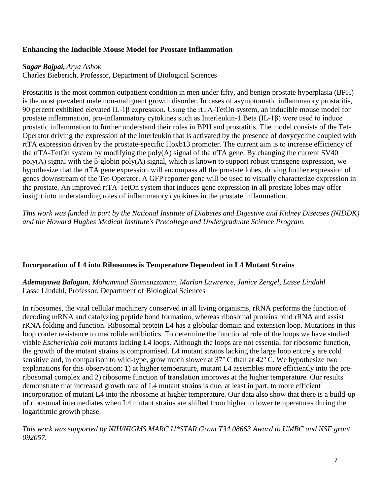## **Enhancing the Inducible Mouse Model for Prostate Inflammation**

## *Sagar Bajpai, Arya Ashok*

Charles Bieberich, Professor, Department of Biological Sciences

Prostatitis is the most common outpatient condition in men under fifty, and benign prostate hyperplasia (BPH) is the most prevalent male non-malignant growth disorder. In cases of asymptomatic inflammatory prostatitis, 90 percent exhibited elevated IL-1β expression. Using the rtTA-TetOn system, an inducible mouse model for prostate inflammation, pro-inflammatory cytokines such as Interleukin-1 Beta (IL-1β) were used to induce prostatic inflammation to further understand their roles in BPH and prostatitis. The model consists of the Tet-Operator driving the expression of the interleukin that is activated by the presence of doxycycline coupled with rtTA expression driven by the prostate-specific Hoxb13 promoter. The current aim is to increase efficiency of the rtTA-TetOn system by modifying the poly(A) signal of the rtTA gene. By changing the current SV40 poly(A) signal with the β-globin poly(A) signal, which is known to support robust transgene expression, we hypothesize that the rtTA gene expression will encompass all the prostate lobes, driving further expression of genes downstream of the Tet-Operator. A GFP reporter gene will be used to visually characterize expression in the prostate. An improved rtTA-TetOn system that induces gene expression in all prostate lobes may offer insight into understanding roles of inflammatory cytokines in the prostate inflammation.

*This work was funded in part by the National Institute of Diabetes and Digestive and Kidney Diseases (NIDDK) and the Howard Hughes Medical Institute's Precollege and Undergraduate Science Program.*

## **Incorporation of L4 into Ribosomes is Temperature Dependent in L4 Mutant Strains**

*Ademayowa Balogun, Mohammad Shamsuzzaman, Marlon Lawrence, Janice Zengel, Lasse Lindahl* Lasse Lindahl, Professor, Department of Biological Sciences

In ribosomes, the vital cellular machinery conserved in all living organisms, rRNA performs the function of decoding mRNA and catalyzing peptide bond formation, whereas ribosomal proteins bind rRNA and assist rRNA folding and function. Ribosomal protein L4 has a globular domain and extension loop. Mutations in this loop confer resistance to macrolide antibiotics. To determine the functional role of the loops we have studied viable *Escherichia coli* mutants lacking L4 loops. Although the loops are not essential for ribosome function, the growth of the mutant strains is compromised. L4 mutant strains lacking the large loop entirely are cold sensitive and, in comparison to wild-type, grow much slower at 37° C than at 42° C. We hypothesize two explanations for this observation: 1) at higher temperature, mutant L4 assembles more efficiently into the preribosomal complex and 2) ribosome function of translation improves at the higher temperature. Our results demonstrate that increased growth rate of L4 mutant strains is due, at least in part, to more efficient incorporation of mutant L4 into the ribosome at higher temperature. Our data also show that there is a build-up of ribosomal intermediates when L4 mutant strains are shifted from higher to lower temperatures during the logarithmic growth phase.

*This work was supported by NIH/NIGMS MARC U\*STAR Grant T34 08663 Award to UMBC and NSF grant 092057.*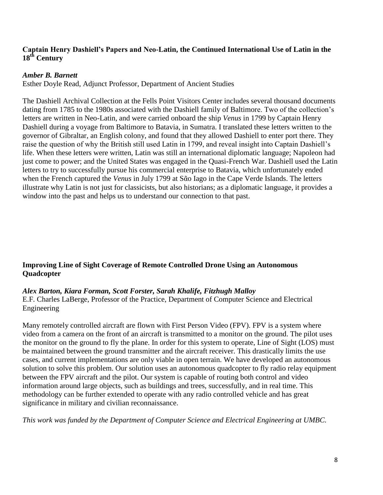## **Captain Henry Dashiell's Papers and Neo-Latin, the Continued International Use of Latin in the 18th Century**

## *Amber B. Barnett*

Esther Doyle Read, Adjunct Professor, Department of Ancient Studies

The Dashiell Archival Collection at the Fells Point Visitors Center includes several thousand documents dating from 1785 to the 1980s associated with the Dashiell family of Baltimore. Two of the collection's letters are written in Neo-Latin, and were carried onboard the ship *Venus* in 1799 by Captain Henry Dashiell during a voyage from Baltimore to Batavia, in Sumatra. I translated these letters written to the governor of Gibraltar, an English colony, and found that they allowed Dashiell to enter port there. They raise the question of why the British still used Latin in 1799, and reveal insight into Captain Dashiell's life. When these letters were written, Latin was still an international diplomatic language; Napoleon had just come to power; and the United States was engaged in the Quasi-French War. Dashiell used the Latin letters to try to successfully pursue his commercial enterprise to Batavia, which unfortunately ended when the French captured the *Venus* in July 1799 at Sᾶo Iago in the Cape Verde Islands. The letters illustrate why Latin is not just for classicists, but also historians; as a diplomatic language, it provides a window into the past and helps us to understand our connection to that past.

## **Improving Line of Sight Coverage of Remote Controlled Drone Using an Autonomous Quadcopter**

#### *Alex Barton, Kiara Forman, Scott Forster, Sarah Khalife, Fitzhugh Malloy*

E.F. Charles LaBerge, Professor of the Practice, Department of Computer Science and Electrical Engineering

Many remotely controlled aircraft are flown with First Person Video (FPV). FPV is a system where video from a camera on the front of an aircraft is transmitted to a monitor on the ground. The pilot uses the monitor on the ground to fly the plane. In order for this system to operate, Line of Sight (LOS) must be maintained between the ground transmitter and the aircraft receiver. This drastically limits the use cases, and current implementations are only viable in open terrain. We have developed an autonomous solution to solve this problem. Our solution uses an autonomous quadcopter to fly radio relay equipment between the FPV aircraft and the pilot. Our system is capable of routing both control and video information around large objects, such as buildings and trees, successfully, and in real time. This methodology can be further extended to operate with any radio controlled vehicle and has great significance in military and civilian reconnaissance.

*This work was funded by the Department of Computer Science and Electrical Engineering at UMBC.*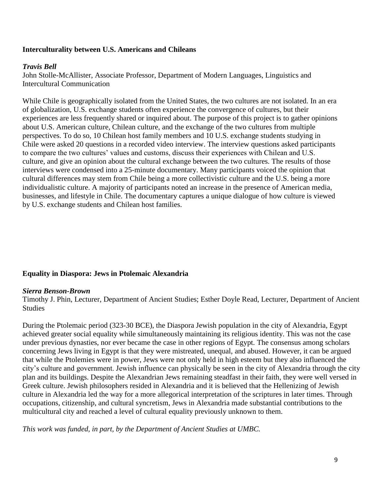## **Interculturality between U.S. Americans and Chileans**

#### *Travis Bell*

John Stolle-McAllister, Associate Professor, Department of Modern Languages, Linguistics and Intercultural Communication

While Chile is geographically isolated from the United States, the two cultures are not isolated. In an era of globalization, U.S. exchange students often experience the convergence of cultures, but their experiences are less frequently shared or inquired about. The purpose of this project is to gather opinions about U.S. American culture, Chilean culture, and the exchange of the two cultures from multiple perspectives. To do so, 10 Chilean host family members and 10 U.S. exchange students studying in Chile were asked 20 questions in a recorded video interview. The interview questions asked participants to compare the two cultures' values and customs, discuss their experiences with Chilean and U.S. culture, and give an opinion about the cultural exchange between the two cultures. The results of those interviews were condensed into a 25-minute documentary. Many participants voiced the opinion that cultural differences may stem from Chile being a more collectivistic culture and the U.S. being a more individualistic culture. A majority of participants noted an increase in the presence of American media, businesses, and lifestyle in Chile. The documentary captures a unique dialogue of how culture is viewed by U.S. exchange students and Chilean host families.

#### **Equality in Diaspora: Jews in Ptolemaic Alexandria**

#### *Sierra Benson-Brown*

Timothy J. Phin, Lecturer, Department of Ancient Studies; Esther Doyle Read, Lecturer, Department of Ancient Studies

During the Ptolemaic period (323-30 BCE), the Diaspora Jewish population in the city of Alexandria, Egypt achieved greater social equality while simultaneously maintaining its religious identity. This was not the case under previous dynasties, nor ever became the case in other regions of Egypt. The consensus among scholars concerning Jews living in Egypt is that they were mistreated, unequal, and abused. However, it can be argued that while the Ptolemies were in power, Jews were not only held in high esteem but they also influenced the city's culture and government. Jewish influence can physically be seen in the city of Alexandria through the city plan and its buildings. Despite the Alexandrian Jews remaining steadfast in their faith, they were well versed in Greek culture. Jewish philosophers resided in Alexandria and it is believed that the Hellenizing of Jewish culture in Alexandria led the way for a more allegorical interpretation of the scriptures in later times. Through occupations, citizenship, and cultural syncretism, Jews in Alexandria made substantial contributions to the multicultural city and reached a level of cultural equality previously unknown to them.

*This work was funded, in part, by the Department of Ancient Studies at UMBC.*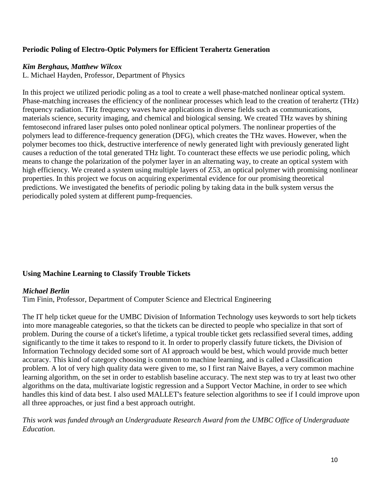## **Periodic Poling of Electro-Optic Polymers for Efficient Terahertz Generation**

## *Kim Berghaus, Matthew Wilcox*

L. Michael Hayden, Professor, Department of Physics

In this project we utilized periodic poling as a tool to create a well phase-matched nonlinear optical system. Phase-matching increases the efficiency of the nonlinear processes which lead to the creation of terahertz (THz) frequency radiation. THz frequency waves have applications in diverse fields such as communications, materials science, security imaging, and chemical and biological sensing. We created THz waves by shining femtosecond infrared laser pulses onto poled nonlinear optical polymers. The nonlinear properties of the polymers lead to difference-frequency generation (DFG), which creates the THz waves. However, when the polymer becomes too thick, destructive interference of newly generated light with previously generated light causes a reduction of the total generated THz light. To counteract these effects we use periodic poling, which means to change the polarization of the polymer layer in an alternating way, to create an optical system with high efficiency. We created a system using multiple layers of Z53, an optical polymer with promising nonlinear properties. In this project we focus on acquiring experimental evidence for our promising theoretical predictions. We investigated the benefits of periodic poling by taking data in the bulk system versus the periodically poled system at different pump-frequencies.

## **Using Machine Learning to Classify Trouble Tickets**

#### *Michael Berlin*

Tim Finin, Professor, Department of Computer Science and Electrical Engineering

The IT help ticket queue for the UMBC Division of Information Technology uses keywords to sort help tickets into more manageable categories, so that the tickets can be directed to people who specialize in that sort of problem. During the course of a ticket's lifetime, a typical trouble ticket gets reclassified several times, adding significantly to the time it takes to respond to it. In order to properly classify future tickets, the Division of Information Technology decided some sort of AI approach would be best, which would provide much better accuracy. This kind of category choosing is common to machine learning, and is called a Classification problem. A lot of very high quality data were given to me, so I first ran Naive Bayes, a very common machine learning algorithm, on the set in order to establish baseline accuracy. The next step was to try at least two other algorithms on the data, multivariate logistic regression and a Support Vector Machine, in order to see which handles this kind of data best. I also used MALLET's feature selection algorithms to see if I could improve upon all three approaches, or just find a best approach outright.

*This work was funded through an Undergraduate Research Award from the UMBC Office of Undergraduate Education.*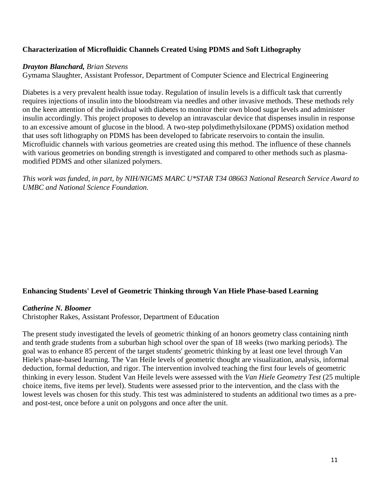## **Characterization of Microfluidic Channels Created Using PDMS and Soft Lithography**

## *Drayton Blanchard, Brian Stevens*

Gymama Slaughter, Assistant Professor, Department of Computer Science and Electrical Engineering

Diabetes is a very prevalent health issue today. Regulation of insulin levels is a difficult task that currently requires injections of insulin into the bloodstream via needles and other invasive methods. These methods rely on the keen attention of the individual with diabetes to monitor their own blood sugar levels and administer insulin accordingly. This project proposes to develop an intravascular device that dispenses insulin in response to an excessive amount of glucose in the blood. A two-step polydimethylsiloxane (PDMS) oxidation method that uses soft lithography on PDMS has been developed to fabricate reservoirs to contain the insulin. Microfluidic channels with various geometries are created using this method. The influence of these channels with various geometries on bonding strength is investigated and compared to other methods such as plasmamodified PDMS and other silanized polymers.

*This work was funded, in part, by NIH/NIGMS MARC U\*STAR T34 08663 National Research Service Award to UMBC and National Science Foundation.*

## **Enhancing Students' Level of Geometric Thinking through Van Hiele Phase-based Learning**

#### *Catherine N. Bloomer*

Christopher Rakes, Assistant Professor, Department of Education

The present study investigated the levels of geometric thinking of an honors geometry class containing ninth and tenth grade students from a suburban high school over the span of 18 weeks (two marking periods). The goal was to enhance 85 percent of the target students' geometric thinking by at least one level through Van Hiele's phase-based learning. The Van Heile levels of geometric thought are visualization, analysis, informal deduction, formal deduction, and rigor. The intervention involved teaching the first four levels of geometric thinking in every lesson. Student Van Heile levels were assessed with the *Van Hiele Geometry Test* (25 multiple choice items, five items per level). Students were assessed prior to the intervention, and the class with the lowest levels was chosen for this study. This test was administered to students an additional two times as a preand post-test, once before a unit on polygons and once after the unit.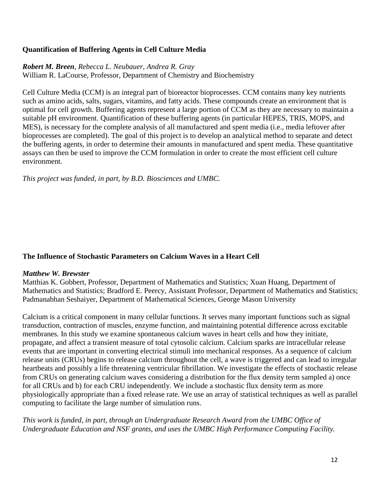## **Quantification of Buffering Agents in Cell Culture Media**

## *Robert M. Breen, Rebecca L. Neubauer, Andrea R. Gray*

William R. LaCourse, Professor, Department of Chemistry and Biochemistry

Cell Culture Media (CCM) is an integral part of bioreactor bioprocesses. CCM contains many key nutrients such as amino acids, salts, sugars, vitamins, and fatty acids. These compounds create an environment that is optimal for cell growth. Buffering agents represent a large portion of CCM as they are necessary to maintain a suitable pH environment. Quantification of these buffering agents (in particular HEPES, TRIS, MOPS, and MES), is necessary for the complete analysis of all manufactured and spent media (i.e., media leftover after bioprocesses are completed). The goal of this project is to develop an analytical method to separate and detect the buffering agents, in order to determine their amounts in manufactured and spent media. These quantitative assays can then be used to improve the CCM formulation in order to create the most efficient cell culture environment.

*This project was funded, in part, by B.D. Biosciences and UMBC.*

## **The Influence of Stochastic Parameters on Calcium Waves in a Heart Cell**

## *Matthew W. Brewster*

Matthias K. Gobbert, Professor, Department of Mathematics and Statistics; Xuan Huang, Department of Mathematics and Statistics; Bradford E. Peercy, Assistant Professor, Department of Mathematics and Statistics; Padmanabhan Seshaiyer, Department of Mathematical Sciences, George Mason University

Calcium is a critical component in many cellular functions. It serves many important functions such as signal transduction, contraction of muscles, enzyme function, and maintaining potential difference across excitable membranes. In this study we examine spontaneous calcium waves in heart cells and how they initiate, propagate, and affect a transient measure of total cytosolic calcium. Calcium sparks are intracellular release events that are important in converting electrical stimuli into mechanical responses. As a sequence of calcium release units (CRUs) begins to release calcium throughout the cell, a wave is triggered and can lead to irregular heartbeats and possibly a life threatening ventricular fibrillation. We investigate the effects of stochastic release from CRUs on generating calcium waves considering a distribution for the flux density term sampled a) once for all CRUs and b) for each CRU independently. We include a stochastic flux density term as more physiologically appropriate than a fixed release rate. We use an array of statistical techniques as well as parallel computing to facilitate the large number of simulation runs.

*This work is funded, in part, through an Undergraduate Research Award from the UMBC Office of Undergraduate Education and NSF grants, and uses the UMBC High Performance Computing Facility.*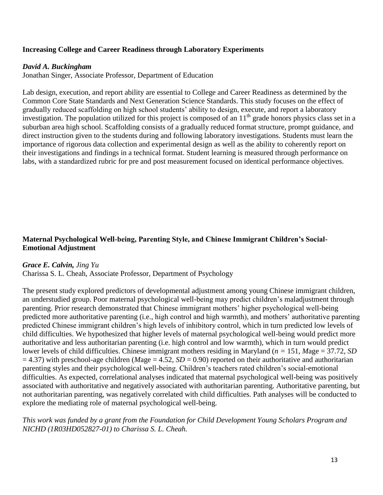## **Increasing College and Career Readiness through Laboratory Experiments**

#### *David A. Buckingham*

Jonathan Singer, Associate Professor, Department of Education

Lab design, execution, and report ability are essential to College and Career Readiness as determined by the Common Core State Standards and Next Generation Science Standards. This study focuses on the effect of gradually reduced scaffolding on high school students' ability to design, execute, and report a laboratory investigation. The population utilized for this project is composed of an  $11<sup>th</sup>$  grade honors physics class set in a suburban area high school. Scaffolding consists of a gradually reduced format structure, prompt guidance, and direct instruction given to the students during and following laboratory investigations. Students must learn the importance of rigorous data collection and experimental design as well as the ability to coherently report on their investigations and findings in a technical format. Student learning is measured through performance on labs, with a standardized rubric for pre and post measurement focused on identical performance objectives.

## **Maternal Psychological Well-being, Parenting Style, and Chinese Immigrant Children's Social-Emotional Adjustment**

#### *Grace E. Calvin, Jing Yu*

Charissa S. L. Cheah, Associate Professor, Department of Psychology

The present study explored predictors of developmental adjustment among young Chinese immigrant children, an understudied group. Poor maternal psychological well-being may predict children's maladjustment through parenting. Prior research demonstrated that Chinese immigrant mothers' higher psychological well-being predicted more authoritative parenting (i.e., high control and high warmth), and mothers' authoritative parenting predicted Chinese immigrant children's high levels of inhibitory control, which in turn predicted low levels of child difficulties. We hypothesized that higher levels of maternal psychological well-being would predict more authoritative and less authoritarian parenting (i.e. high control and low warmth), which in turn would predict lower levels of child difficulties. Chinese immigrant mothers residing in Maryland (*n =* 151, *M*age = 37.72, *SD*  $= 4.37$ ) with preschool-age children (*Mage*  $= 4.52$ , *SD*  $= 0.90$ ) reported on their authoritative and authoritarian parenting styles and their psychological well-being. Children's teachers rated children's social-emotional difficulties. As expected, correlational analyses indicated that maternal psychological well-being was positively associated with authoritative and negatively associated with authoritarian parenting. Authoritative parenting, but not authoritarian parenting, was negatively correlated with child difficulties. Path analyses will be conducted to explore the mediating role of maternal psychological well-being.

*This work was funded by a grant from the Foundation for Child Development Young Scholars Program and NICHD (1R03HD052827-01) to Charissa S. L. Cheah.*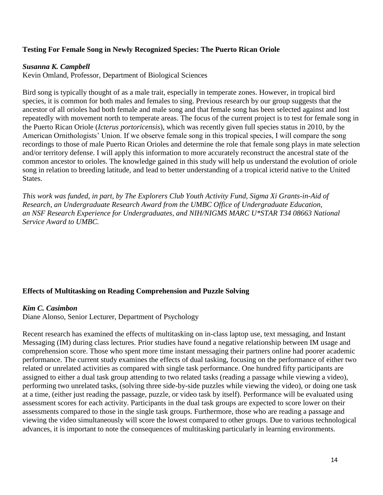## **Testing For Female Song in Newly Recognized Species: The Puerto Rican Oriole**

#### *Susanna K. Campbell*

Kevin Omland, Professor, Department of Biological Sciences

Bird song is typically thought of as a male trait, especially in temperate zones. However, in tropical bird species, it is common for both males and females to sing. Previous research by our group suggests that the ancestor of all orioles had both female and male song and that female song has been selected against and lost repeatedly with movement north to temperate areas. The focus of the current project is to test for female song in the Puerto Rican Oriole (*Icterus portoricensis*), which was recently given full species status in 2010, by the American Ornithologists' Union. If we observe female song in this tropical species, I will compare the song recordings to those of male Puerto Rican Orioles and determine the role that female song plays in mate selection and/or territory defense. I will apply this information to more accurately reconstruct the ancestral state of the common ancestor to orioles. The knowledge gained in this study will help us understand the evolution of oriole song in relation to breeding latitude, and lead to better understanding of a tropical icterid native to the United States.

*This work was funded, in part, by The Explorers Club Youth Activity Fund, Sigma Xi Grants-in-Aid of Research, an Undergraduate Research Award from the UMBC Office of Undergraduate Education, an NSF Research Experience for Undergraduates, and NIH/NIGMS MARC U\*STAR T34 08663 National Service Award to UMBC.*

#### **Effects of Multitasking on Reading Comprehension and Puzzle Solving**

#### *Kim C. Casimbon*

Diane Alonso, Senior Lecturer, Department of Psychology

Recent research has examined the effects of multitasking on in-class laptop use, text messaging, and Instant Messaging (IM) during class lectures. Prior studies have found a negative relationship between IM usage and comprehension score. Those who spent more time instant messaging their partners online had poorer academic performance. The current study examines the effects of dual tasking, focusing on the performance of either two related or unrelated activities as compared with single task performance. One hundred fifty participants are assigned to either a dual task group attending to two related tasks (reading a passage while viewing a video), performing two unrelated tasks, (solving three side-by-side puzzles while viewing the video), or doing one task at a time, (either just reading the passage, puzzle, or video task by itself). Performance will be evaluated using assessment scores for each activity. Participants in the dual task groups are expected to score lower on their assessments compared to those in the single task groups. Furthermore, those who are reading a passage and viewing the video simultaneously will score the lowest compared to other groups. Due to various technological advances, it is important to note the consequences of multitasking particularly in learning environments.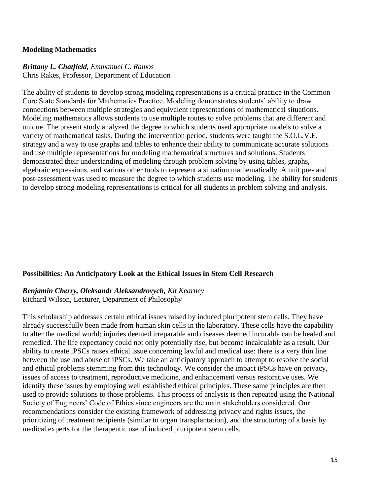#### **Modeling Mathematics**

## *Brittany L. Chatfield, Emmanuel C. Ramos*

Chris Rakes, Professor, Department of Education

The ability of students to develop strong modeling representations is a critical practice in the Common Core State Standards for Mathematics Practice. Modeling demonstrates students' ability to draw connections between multiple strategies and equivalent representations of mathematical situations. Modeling mathematics allows students to use multiple routes to solve problems that are different and unique. The present study analyzed the degree to which students used appropriate models to solve a variety of mathematical tasks. During the intervention period, students were taught the S.O.L.V.E. strategy and a way to use graphs and tables to enhance their ability to communicate accurate solutions and use multiple representations for modeling mathematical structures and solutions. Students demonstrated their understanding of modeling through problem solving by using tables, graphs, algebraic expressions, and various other tools to represent a situation mathematically. A unit pre- and post-assessment was used to measure the degree to which students use modeling. The ability for students to develop strong modeling representations is critical for all students in problem solving and analysis.

## **Possibilities: An Anticipatory Look at the Ethical Issues in Stem Cell Research**

## *Benjamin Cherry, Oleksandr Aleksandrovych, Kit Kearney*

Richard Wilson, Lecturer, Department of Philosophy

This scholarship addresses certain ethical issues raised by induced pluripotent stem cells. They have already successfully been made from human skin cells in the laboratory. These cells have the capability to alter the medical world; injuries deemed irreparable and diseases deemed incurable can be healed and remedied. The life expectancy could not only potentially rise, but become incalculable as a result. Our ability to create iPSCs raises ethical issue concerning lawful and medical use: there is a very thin line between the use and abuse of iPSCs. We take an anticipatory approach to attempt to resolve the social and ethical problems stemming from this technology. We consider the impact iPSCs have on privacy, issues of access to treatment, reproductive medicine, and enhancement versus restorative uses. We identify these issues by employing well established ethical principles. These same principles are then used to provide solutions to those problems. This process of analysis is then repeated using the National Society of Engineers' Code of Ethics since engineers are the main stakeholders considered. Our recommendations consider the existing framework of addressing privacy and rights issues, the prioritizing of treatment recipients (similar to organ transplantation), and the structuring of a basis by medical experts for the therapeutic use of induced pluripotent stem cells.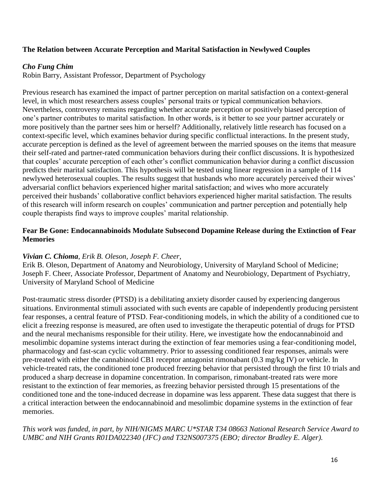## **The Relation between Accurate Perception and Marital Satisfaction in Newlywed Couples**

## *Cho Fung Chim*

Robin Barry, Assistant Professor, Department of Psychology

Previous research has examined the impact of partner perception on marital satisfaction on a context-general level, in which most researchers assess couples' personal traits or typical communication behaviors. Nevertheless, controversy remains regarding whether accurate perception or positively biased perception of one's partner contributes to marital satisfaction. In other words, is it better to see your partner accurately or more positively than the partner sees him or herself? Additionally, relatively little research has focused on a context-specific level, which examines behavior during specific conflictual interactions. In the present study, accurate perception is defined as the level of agreement between the married spouses on the items that measure their self-rated and partner-rated communication behaviors during their conflict discussions. It is hypothesized that couples' accurate perception of each other's conflict communication behavior during a conflict discussion predicts their marital satisfaction. This hypothesis will be tested using linear regression in a sample of 114 newlywed heterosexual couples. The results suggest that husbands who more accurately perceived their wives' adversarial conflict behaviors experienced higher marital satisfaction; and wives who more accurately perceived their husbands' collaborative conflict behaviors experienced higher marital satisfaction. The results of this research will inform research on couples' communication and partner perception and potentially help couple therapists find ways to improve couples' marital relationship.

## **Fear Be Gone: Endocannabinoids Modulate Subsecond Dopamine Release during the Extinction of Fear Memories**

## *Vivian C. Chioma*, *Erik B. Oleson, Joseph F. Cheer,*

Erik B. Oleson, Department of Anatomy and Neurobiology, University of Maryland School of Medicine; Joseph F. Cheer, Associate Professor, Department of Anatomy and Neurobiology, Department of Psychiatry, University of Maryland School of Medicine

Post-traumatic stress disorder (PTSD) is a debilitating anxiety disorder caused by experiencing dangerous situations. Environmental stimuli associated with such events are capable of independently producing persistent fear responses, a central feature of PTSD. Fear-conditioning models, in which the ability of a conditioned cue to elicit a freezing response is measured, are often used to investigate the therapeutic potential of drugs for PTSD and the neural mechanisms responsible for their utility. Here, we investigate how the endocannabinoid and mesolimbic dopamine systems interact during the extinction of fear memories using a fear-conditioning model, pharmacology and fast-scan cyclic voltammetry. Prior to assessing conditioned fear responses, animals were pre-treated with either the cannabinoid CB1 receptor antagonist rimonabant (0.3 mg/kg IV) or vehicle. In vehicle-treated rats, the conditioned tone produced freezing behavior that persisted through the first 10 trials and produced a sharp decrease in dopamine concentration. In comparison, rimonabant-treated rats were more resistant to the extinction of fear memories, as freezing behavior persisted through 15 presentations of the conditioned tone and the tone-induced decrease in dopamine was less apparent. These data suggest that there is a critical interaction between the endocannabinoid and mesolimbic dopamine systems in the extinction of fear memories.

*This work was funded, in part, by NIH/NIGMS MARC U\*STAR T34 08663 National Research Service Award to UMBC and NIH Grants R01DA022340 (JFC) and T32NS007375 (EBO; director Bradley E. Alger).*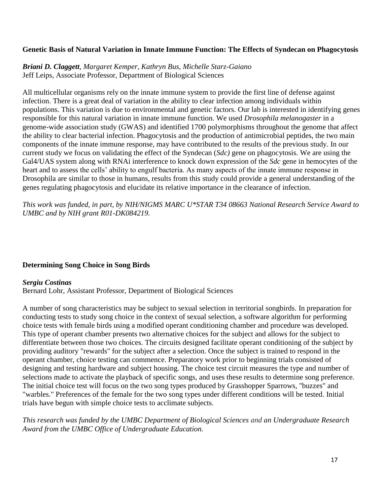## **Genetic Basis of Natural Variation in Innate Immune Function: The Effects of Syndecan on Phagocytosis**

*Briani D. Claggett, Margaret Kemper, Kathryn Bus, Michelle Starz-Gaiano* Jeff Leips, Associate Professor, Department of Biological Sciences

All multicellular organisms rely on the innate immune system to provide the first line of defense against infection. There is a great deal of variation in the ability to clear infection among individuals within populations. This variation is due to environmental and genetic factors. Our lab is interested in identifying genes responsible for this natural variation in innate immune function. We used *Drosophila melanogaster* in a genome-wide association study (GWAS) and identified 1700 polymorphisms throughout the genome that affect the ability to clear bacterial infection. Phagocytosis and the production of antimicrobial peptides, the two main components of the innate immune response, may have contributed to the results of the previous study. In our current study we focus on validating the effect of the Syndecan (*Sdc)* gene on phagocytosis. We are using the Gal4/UAS system along with RNAi interference to knock down expression of the *Sdc* gene in hemocytes of the heart and to assess the cells' ability to engulf bacteria. As many aspects of the innate immune response in Drosophila are similar to those in humans, results from this study could provide a general understanding of the genes regulating phagocytosis and elucidate its relative importance in the clearance of infection.

*This work was funded, in part, by NIH/NIGMS MARC U\*STAR T34 08663 National Research Service Award to UMBC and by NIH grant R01-DK084219.*

#### **Determining Song Choice in Song Birds**

#### *Sergiu Costinas*

Bernard Lohr, Assistant Professor, Department of Biological Sciences

A number of song characteristics may be subject to sexual selection in territorial songbirds. In preparation for conducting tests to study song choice in the context of sexual selection, a software algorithm for performing choice tests with female birds using a modified operant conditioning chamber and procedure was developed. This type of operant chamber presents two alternative choices for the subject and allows for the subject to differentiate between those two choices. The circuits designed facilitate operant conditioning of the subject by providing auditory "rewards" for the subject after a selection. Once the subject is trained to respond in the operant chamber, choice testing can commence. Preparatory work prior to beginning trials consisted of designing and testing hardware and subject housing. The choice test circuit measures the type and number of selections made to activate the playback of specific songs, and uses these results to determine song preference. The initial choice test will focus on the two song types produced by Grasshopper Sparrows, "buzzes" and "warbles." Preferences of the female for the two song types under different conditions will be tested. Initial trials have begun with simple choice tests to acclimate subjects.

*This research was funded by the UMBC Department of Biological Sciences and an Undergraduate Research Award from the UMBC Office of Undergraduate Education.*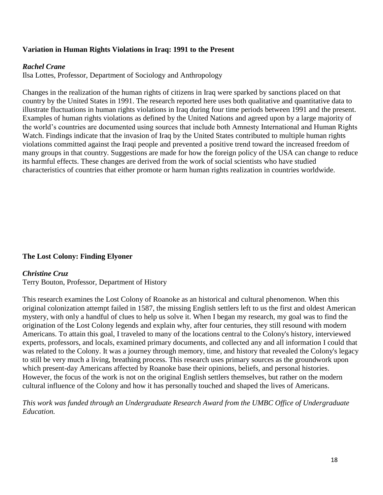## **Variation in Human Rights Violations in Iraq: 1991 to the Present**

#### *Rachel Crane*

Ilsa Lottes, Professor, Department of Sociology and Anthropology

Changes in the realization of the human rights of citizens in Iraq were sparked by sanctions placed on that country by the United States in 1991. The research reported here uses both qualitative and quantitative data to illustrate fluctuations in human rights violations in Iraq during four time periods between 1991 and the present. Examples of human rights violations as defined by the United Nations and agreed upon by a large majority of the world's countries are documented using sources that include both Amnesty International and Human Rights Watch. Findings indicate that the invasion of Iraq by the United States contributed to multiple human rights violations committed against the Iraqi people and prevented a positive trend toward the increased freedom of many groups in that country. Suggestions are made for how the foreign policy of the USA can change to reduce its harmful effects. These changes are derived from the work of social scientists who have studied characteristics of countries that either promote or harm human rights realization in countries worldwide.

#### **The Lost Colony: Finding Elyoner**

#### *Christine Cruz*

Terry Bouton, Professor, Department of History

This research examines the Lost Colony of Roanoke as an historical and cultural phenomenon. When this original colonization attempt failed in 1587, the missing English settlers left to us the first and oldest American mystery, with only a handful of clues to help us solve it. When I began my research, my goal was to find the origination of the Lost Colony legends and explain why, after four centuries, they still resound with modern Americans. To attain this goal, I traveled to many of the locations central to the Colony's history, interviewed experts, professors, and locals, examined primary documents, and collected any and all information I could that was related to the Colony. It was a journey through memory, time, and history that revealed the Colony's legacy to still be very much a living, breathing process. This research uses primary sources as the groundwork upon which present-day Americans affected by Roanoke base their opinions, beliefs, and personal histories. However, the focus of the work is not on the original English settlers themselves, but rather on the modern cultural influence of the Colony and how it has personally touched and shaped the lives of Americans.

*This work was funded through an Undergraduate Research Award from the UMBC Office of Undergraduate Education.*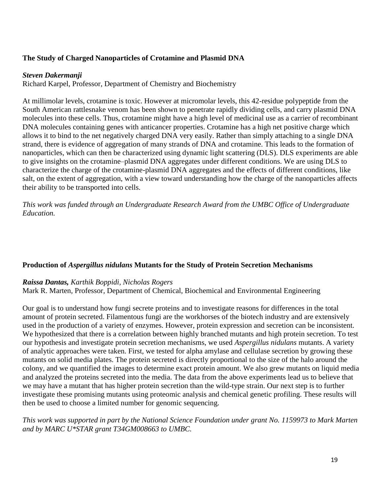## **The Study of Charged Nanoparticles of Crotamine and Plasmid DNA**

## *Steven Dakermanji*

Richard Karpel, Professor, Department of Chemistry and Biochemistry

At millimolar levels, crotamine is toxic. However at micromolar levels, this 42-residue polypeptide from the South American rattlesnake venom has been shown to penetrate rapidly dividing cells, and carry plasmid DNA molecules into these cells. Thus, crotamine might have a high level of medicinal use as a carrier of recombinant DNA molecules containing genes with anticancer properties. Crotamine has a high net positive charge which allows it to bind to the net negatively charged DNA very easily. Rather than simply attaching to a single DNA strand, there is evidence of aggregation of many strands of DNA and crotamine. This leads to the formation of nanoparticles, which can then be characterized using dynamic light scattering (DLS). DLS experiments are able to give insights on the crotamine–plasmid DNA aggregates under different conditions. We are using DLS to characterize the charge of the crotamine-plasmid DNA aggregates and the effects of different conditions, like salt, on the extent of aggregation, with a view toward understanding how the charge of the nanoparticles affects their ability to be transported into cells.

*This work was funded through an Undergraduate Research Award from the UMBC Office of Undergraduate Education.*

## **Production of** *Aspergillus nidulans* **Mutants for the Study of Protein Secretion Mechanisms**

#### *Raissa Dantas, Karthik Boppidi, Nicholas Rogers*

Mark R. Marten*,* Professor*,* Department of Chemical, Biochemical and Environmental Engineering

Our goal is to understand how fungi secrete proteins and to investigate reasons for differences in the total amount of protein secreted. Filamentous fungi are the workhorses of the biotech industry and are extensively used in the production of a variety of enzymes. However, protein expression and secretion can be inconsistent. We hypothesized that there is a correlation between highly branched mutants and high protein secretion. To test our hypothesis and investigate protein secretion mechanisms, we used *Aspergillus nidulans* mutants. A variety of analytic approaches were taken. First, we tested for alpha amylase and cellulase secretion by growing these mutants on solid media plates. The protein secreted is directly proportional to the size of the halo around the colony, and we quantified the images to determine exact protein amount. We also grew mutants on liquid media and analyzed the proteins secreted into the media. The data from the above experiments lead us to believe that we may have a mutant that has higher protein secretion than the wild-type strain. Our next step is to further investigate these promising mutants using proteomic analysis and chemical genetic profiling. These results will then be used to choose a limited number for genomic sequencing.

## *This work was supported in part by the National Science Foundation under grant No. 1159973 to Mark Marten and by MARC U\*STAR grant T34GM008663 to UMBC.*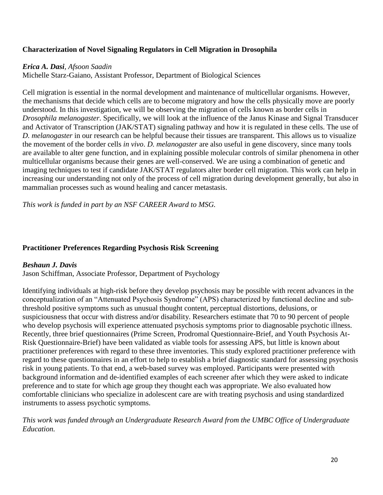## **Characterization of Novel Signaling Regulators in Cell Migration in Drosophila**

## *Erica A. Dasi, Afsoon Saadin*

Michelle Starz-Gaiano, Assistant Professor, Department of Biological Sciences

Cell migration is essential in the normal development and maintenance of multicellular organisms. However, the mechanisms that decide which cells are to become migratory and how the cells physically move are poorly understood. In this investigation, we will be observing the migration of cells known as border cells in *Drosophila melanogaster*. Specifically, we will look at the influence of the Janus Kinase and Signal Transducer and Activator of Transcription (JAK/STAT) signaling pathway and how it is regulated in these cells. The use of *D. melanogaster* in our research can be helpful because their tissues are transparent. This allows us to visualize the movement of the border cells *in vivo*. *D. melanogaster* are also useful in gene discovery, since many tools are available to alter gene function, and in explaining possible molecular controls of similar phenomena in other multicellular organisms because their genes are well-conserved. We are using a combination of genetic and imaging techniques to test if candidate JAK/STAT regulators alter border cell migration. This work can help in increasing our understanding not only of the process of cell migration during development generally, but also in mammalian processes such as wound healing and cancer metastasis.

*This work is funded in part by an NSF CAREER Award to MSG.*

## **Practitioner Preferences Regarding Psychosis Risk Screening**

## *Beshaun J. Davis*

Jason Schiffman, Associate Professor, Department of Psychology

Identifying individuals at high-risk before they develop psychosis may be possible with recent advances in the conceptualization of an "Attenuated Psychosis Syndrome" (APS) characterized by functional decline and subthreshold positive symptoms such as unusual thought content, perceptual distortions, delusions, or suspiciousness that occur with distress and/or disability. Researchers estimate that 70 to 90 percent of people who develop psychosis will experience attenuated psychosis symptoms prior to diagnosable psychotic illness. Recently, three brief questionnaires (Prime Screen, Prodromal Questionnaire-Brief, and Youth Psychosis At-Risk Questionnaire-Brief) have been validated as viable tools for assessing APS, but little is known about practitioner preferences with regard to these three inventories. This study explored practitioner preference with regard to these questionnaires in an effort to help to establish a brief diagnostic standard for assessing psychosis risk in young patients. To that end, a web-based survey was employed. Participants were presented with background information and de-identified examples of each screener after which they were asked to indicate preference and to state for which age group they thought each was appropriate. We also evaluated how comfortable clinicians who specialize in adolescent care are with treating psychosis and using standardized instruments to assess psychotic symptoms.

*This work was funded through an Undergraduate Research Award from the UMBC Office of Undergraduate Education.*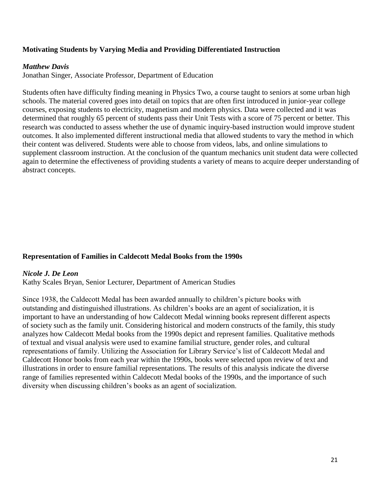## **Motivating Students by Varying Media and Providing Differentiated Instruction**

#### *Matthew Davis*

Jonathan Singer, Associate Professor, Department of Education

Students often have difficulty finding meaning in Physics Two, a course taught to seniors at some urban high schools. The material covered goes into detail on topics that are often first introduced in junior-year college courses, exposing students to electricity, magnetism and modern physics. Data were collected and it was determined that roughly 65 percent of students pass their Unit Tests with a score of 75 percent or better. This research was conducted to assess whether the use of dynamic inquiry-based instruction would improve student outcomes. It also implemented different instructional media that allowed students to vary the method in which their content was delivered. Students were able to choose from videos, labs, and online simulations to supplement classroom instruction. At the conclusion of the quantum mechanics unit student data were collected again to determine the effectiveness of providing students a variety of means to acquire deeper understanding of abstract concepts.

#### **Representation of Families in Caldecott Medal Books from the 1990s**

#### *Nicole J. De Leon*

Kathy Scales Bryan, Senior Lecturer, Department of American Studies

Since 1938, the Caldecott Medal has been awarded annually to children's picture books with outstanding and distinguished illustrations. As children's books are an agent of socialization, it is important to have an understanding of how Caldecott Medal winning books represent different aspects of society such as the family unit. Considering historical and modern constructs of the family, this study analyzes how Caldecott Medal books from the 1990s depict and represent families. Qualitative methods of textual and visual analysis were used to examine familial structure, gender roles, and cultural representations of family. Utilizing the Association for Library Service's list of Caldecott Medal and Caldecott Honor books from each year within the 1990s, books were selected upon review of text and illustrations in order to ensure familial representations. The results of this analysis indicate the diverse range of families represented within Caldecott Medal books of the 1990s, and the importance of such diversity when discussing children's books as an agent of socialization.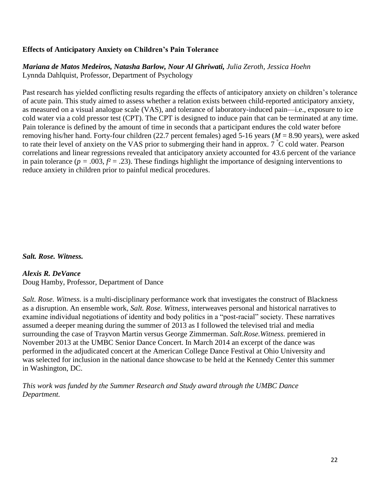## **Effects of Anticipatory Anxiety on Children's Pain Tolerance**

*Mariana de Matos Medeiros, Natasha Barlow, Nour Al Ghriwati, Julia Zeroth, Jessica Hoehn* Lynnda Dahlquist, Professor, Department of Psychology

Past research has yielded conflicting results regarding the effects of anticipatory anxiety on children's tolerance of acute pain. This study aimed to assess whether a relation exists between child-reported anticipatory anxiety, as measured on a visual analogue scale (VAS), and tolerance of laboratory-induced pain—i.e., exposure to ice cold water via a cold pressor test (CPT). The CPT is designed to induce pain that can be terminated at any time. Pain tolerance is defined by the amount of time in seconds that a participant endures the cold water before removing his/her hand. Forty-four children (22.7 percent females) aged 5-16 years (*M* = 8.90 years), were asked to rate their level of anxiety on the VAS prior to submerging their hand in approx. 7 °C cold water. Pearson correlations and linear regressions revealed that anticipatory anxiety accounted for 43.6 percent of the variance in pain tolerance ( $p = .003$ ,  $f<sup>2</sup> = .23$ ). These findings highlight the importance of designing interventions to reduce anxiety in children prior to painful medical procedures.

#### *Salt. Rose. Witness.*

#### *Alexis R. DeVance*

Doug Hamby, Professor, Department of Dance

*Salt. Rose. Witness.* is a multi-disciplinary performance work that investigates the construct of Blackness as a disruption. An ensemble work, *Salt. Rose. Witness*, interweaves personal and historical narratives to examine individual negotiations of identity and body politics in a "post-racial" society. These narratives assumed a deeper meaning during the summer of 2013 as I followed the televised trial and media surrounding the case of Trayvon Martin versus George Zimmerman. *Salt.Rose.Witness.* premiered in November 2013 at the UMBC Senior Dance Concert. In March 2014 an excerpt of the dance was performed in the adjudicated concert at the American College Dance Festival at Ohio University and was selected for inclusion in the national dance showcase to be held at the Kennedy Center this summer in Washington, DC.

*This work was funded by the Summer Research and Study award through the UMBC Dance Department.*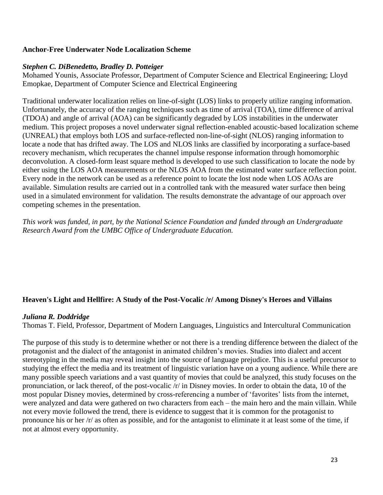#### **Anchor-Free Underwater Node Localization Scheme**

## *Stephen C. DiBenedetto, Bradley D. Potteiger*

Mohamed Younis, Associate Professor, Department of Computer Science and Electrical Engineering; Lloyd Emopkae, Department of Computer Science and Electrical Engineering

Traditional underwater localization relies on line-of-sight (LOS) links to properly utilize ranging information. Unfortunately, the accuracy of the ranging techniques such as time of arrival (TOA), time difference of arrival (TDOA) and angle of arrival (AOA) can be significantly degraded by LOS instabilities in the underwater medium. This project proposes a novel underwater signal reflection-enabled acoustic-based localization scheme (UNREAL) that employs both LOS and surface-reflected non-line-of-sight (NLOS) ranging information to locate a node that has drifted away. The LOS and NLOS links are classified by incorporating a surface-based recovery mechanism, which recuperates the channel impulse response information through homomorphic deconvolution. A closed-form least square method is developed to use such classification to locate the node by either using the LOS AOA measurements or the NLOS AOA from the estimated water surface reflection point. Every node in the network can be used as a reference point to locate the lost node when LOS AOAs are available. Simulation results are carried out in a controlled tank with the measured water surface then being used in a simulated environment for validation. The results demonstrate the advantage of our approach over competing schemes in the presentation.

*This work was funded, in part, by the National Science Foundation and funded through an Undergraduate Research Award from the UMBC Office of Undergraduate Education.*

## **Heaven's Light and Hellfire: A Study of the Post-Vocalic /r/ Among Disney's Heroes and Villains**

## *Juliana R. Doddridge*

Thomas T. Field, Professor, Department of Modern Languages, Linguistics and Intercultural Communication

The purpose of this study is to determine whether or not there is a trending difference between the dialect of the protagonist and the dialect of the antagonist in animated children's movies. Studies into dialect and accent stereotyping in the media may reveal insight into the source of language prejudice. This is a useful precursor to studying the effect the media and its treatment of linguistic variation have on a young audience. While there are many possible speech variations and a vast quantity of movies that could be analyzed, this study focuses on the pronunciation, or lack thereof, of the post-vocalic /r/ in Disney movies. In order to obtain the data, 10 of the most popular Disney movies, determined by cross-referencing a number of 'favorites' lists from the internet, were analyzed and data were gathered on two characters from each – the main hero and the main villain. While not every movie followed the trend, there is evidence to suggest that it is common for the protagonist to pronounce his or her /r/ as often as possible, and for the antagonist to eliminate it at least some of the time, if not at almost every opportunity.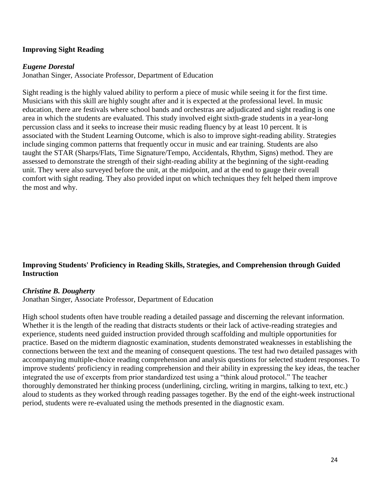## **Improving Sight Reading**

#### *Eugene Dorestal*

Jonathan Singer, Associate Professor, Department of Education

Sight reading is the highly valued ability to perform a piece of music while seeing it for the first time. Musicians with this skill are highly sought after and it is expected at the professional level. In music education, there are festivals where school bands and orchestras are adjudicated and sight reading is one area in which the students are evaluated. This study involved eight sixth-grade students in a year-long percussion class and it seeks to increase their music reading fluency by at least 10 percent. It is associated with the Student Learning Outcome, which is also to improve sight-reading ability. Strategies include singing common patterns that frequently occur in music and ear training. Students are also taught the STAR (Sharps/Flats, Time Signature/Tempo, Accidentals, Rhythm, Signs) method. They are assessed to demonstrate the strength of their sight-reading ability at the beginning of the sight-reading unit. They were also surveyed before the unit, at the midpoint, and at the end to gauge their overall comfort with sight reading. They also provided input on which techniques they felt helped them improve the most and why.

## **Improving Students' Proficiency in Reading Skills, Strategies, and Comprehension through Guided Instruction**

#### *Christine B. Dougherty*

Jonathan Singer, Associate Professor, Department of Education

High school students often have trouble reading a detailed passage and discerning the relevant information. Whether it is the length of the reading that distracts students or their lack of active-reading strategies and experience, students need guided instruction provided through scaffolding and multiple opportunities for practice. Based on the midterm diagnostic examination, students demonstrated weaknesses in establishing the connections between the text and the meaning of consequent questions. The test had two detailed passages with accompanying multiple-choice reading comprehension and analysis questions for selected student responses. To improve students' proficiency in reading comprehension and their ability in expressing the key ideas, the teacher integrated the use of excerpts from prior standardized test using a "think aloud protocol." The teacher thoroughly demonstrated her thinking process (underlining, circling, writing in margins, talking to text, etc.) aloud to students as they worked through reading passages together. By the end of the eight-week instructional period, students were re-evaluated using the methods presented in the diagnostic exam.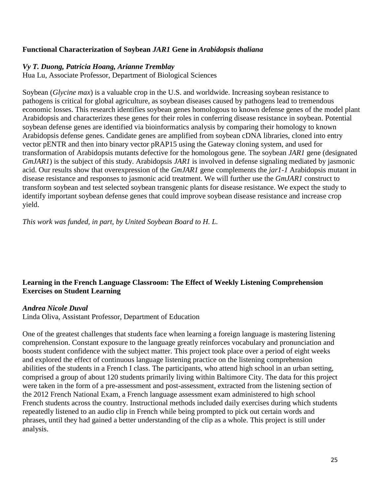## **Functional Characterization of Soybean** *JAR1* **Gene in** *Arabidopsis thaliana*

#### *Vy T. Duong, Patricia Hoang, Arianne Tremblay*

Hua Lu, Associate Professor, Department of Biological Sciences

Soybean (*Glycine max*) is a valuable crop in the U.S. and worldwide. Increasing soybean resistance to pathogens is critical for global agriculture, as soybean diseases caused by pathogens lead to tremendous economic losses. This research identifies soybean genes homologous to known defense genes of the model plant Arabidopsis and characterizes these genes for their roles in conferring disease resistance in soybean. Potential soybean defense genes are identified via bioinformatics analysis by comparing their homology to known Arabidopsis defense genes. Candidate genes are amplified from soybean cDNA libraries, cloned into entry vector pENTR and then into binary vector pRAP15 using the Gateway cloning system, and used for transformation of Arabidopsis mutants defective for the homologous gene*.* The soybean *JAR1* gene (designated *GmJAR1*) is the subject of this study. Arabidopsis *JAR1* is involved in defense signaling mediated by jasmonic acid. Our results show that overexpression of the *GmJAR1* gene complements the *jar1-1* Arabidopsis mutant in disease resistance and responses to jasmonic acid treatment. We will further use the *GmJAR1* construct to transform soybean and test selected soybean transgenic plants for disease resistance. We expect the study to identify important soybean defense genes that could improve soybean disease resistance and increase crop yield.

*This work was funded, in part, by United Soybean Board to H. L.* 

## **Learning in the French Language Classroom: The Effect of Weekly Listening Comprehension Exercises on Student Learning**

#### *Andrea Nicole Duval*

Linda Oliva, Assistant Professor, Department of Education

One of the greatest challenges that students face when learning a foreign language is mastering listening comprehension. Constant exposure to the language greatly reinforces vocabulary and pronunciation and boosts student confidence with the subject matter. This project took place over a period of eight weeks and explored the effect of continuous language listening practice on the listening comprehension abilities of the students in a French I class. The participants, who attend high school in an urban setting, comprised a group of about 120 students primarily living within Baltimore City. The data for this project were taken in the form of a pre-assessment and post-assessment, extracted from the listening section of the 2012 French National Exam, a French language assessment exam administered to high school French students across the country. Instructional methods included daily exercises during which students repeatedly listened to an audio clip in French while being prompted to pick out certain words and phrases, until they had gained a better understanding of the clip as a whole. This project is still under analysis.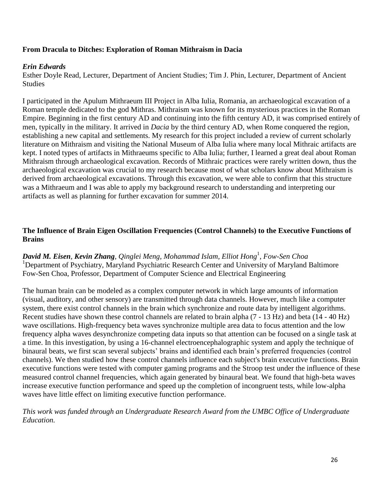## **From Dracula to Ditches: Exploration of Roman Mithraism in Dacia**

#### *Erin Edwards*

Esther Doyle Read, Lecturer, Department of Ancient Studies; Tim J. Phin, Lecturer, Department of Ancient Studies

I participated in the Apulum Mithraeum III Project in Alba Iulia, Romania, an archaeological excavation of a Roman temple dedicated to the god Mithras. Mithraism was known for its mysterious practices in the Roman Empire. Beginning in the first century AD and continuing into the fifth century AD, it was comprised entirely of men, typically in the military. It arrived in *Dacia* by the third century AD, when Rome conquered the region, establishing a new capital and settlements. My research for this project included a review of current scholarly literature on Mithraism and visiting the National Museum of Alba Iulia where many local Mithraic artifacts are kept. I noted types of artifacts in Mithraeums specific to Alba Iulia; further, I learned a great deal about Roman Mithraism through archaeological excavation. Records of Mithraic practices were rarely written down, thus the archaeological excavation was crucial to my research because most of what scholars know about Mithraism is derived from archaeological excavations. Through this excavation, we were able to confirm that this structure was a Mithraeum and I was able to apply my background research to understanding and interpreting our artifacts as well as planning for further excavation for summer 2014.

## **The Influence of Brain Eigen Oscillation Frequencies (Control Channels) to the Executive Functions of Brains**

*David M. Eisen, Kevin Zhang, Qinglei Meng, Mohammad Islam, Elliot Hong*<sup>1</sup> *, Fow-Sen Choa* <sup>1</sup>Department of Psychiatry, Maryland Psychiatric Research Center and University of Maryland Baltimore Fow-Sen Choa, Professor, Department of Computer Science and Electrical Engineering

The human brain can be modeled as a complex computer network in which large amounts of information (visual, auditory, and other sensory) are transmitted through data channels. However, much like a computer system, there exist control channels in the brain which synchronize and route data by intelligent algorithms. Recent studies have shown these control channels are related to brain alpha (7 - 13 Hz) and beta (14 - 40 Hz) wave oscillations. High-frequency beta waves synchronize multiple area data to focus attention and the low frequency alpha waves desynchronize competing data inputs so that attention can be focused on a single task at a time. In this investigation, by using a 16-channel electroencephalographic system and apply the technique of binaural beats, we first scan several subjects' brains and identified each brain's preferred frequencies (control channels). We then studied how these control channels influence each subject's brain executive functions. Brain executive functions were tested with computer gaming programs and the Stroop test under the influence of these measured control channel frequencies, which again generated by binaural beat. We found that high-beta waves increase executive function performance and speed up the completion of incongruent tests, while low-alpha waves have little effect on limiting executive function performance.

*This work was funded through an Undergraduate Research Award from the UMBC Office of Undergraduate Education.*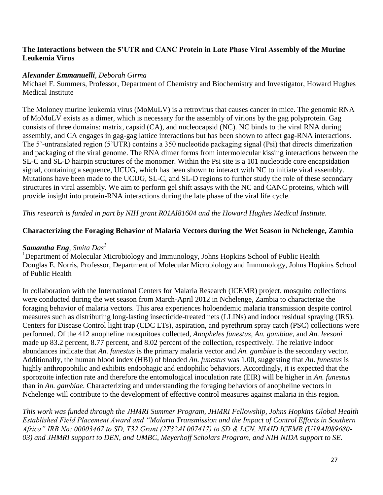## **The Interactions between the 5'UTR and CANC Protein in Late Phase Viral Assembly of the Murine Leukemia Virus**

## *Alexander Emmanuelli, Deborah Girma*

Michael F. Summers, Professor, Department of Chemistry and Biochemistry and Investigator, Howard Hughes Medical Institute

The Moloney murine leukemia virus (MoMuLV) is a retrovirus that causes cancer in mice. The genomic RNA of MoMuLV exists as a dimer, which is necessary for the assembly of virions by the gag polyprotein. Gag consists of three domains: matrix, capsid (CA), and nucleocapsid (NC). NC binds to the viral RNA during assembly, and CA engages in gag-gag lattice interactions but has been shown to affect gag-RNA interactions. The 5'-untranslated region (5'UTR) contains a 350 nucleotide packaging signal (Psi) that directs dimerization and packaging of the viral genome. The RNA dimer forms from intermolecular kissing interactions between the SL-C and SL-D hairpin structures of the monomer. Within the Psi site is a 101 nucleotide core encapsidation signal, containing a sequence, UCUG, which has been shown to interact with NC to initiate viral assembly. Mutations have been made to the UCUG, SL-C, and SL-D regions to further study the role of these secondary structures in viral assembly. We aim to perform gel shift assays with the NC and CANC proteins, which will provide insight into protein-RNA interactions during the late phase of the viral life cycle.

*This research is funded in part by NIH grant R01AI81604 and the Howard Hughes Medical Institute.*

## **Characterizing the Foraging Behavior of Malaria Vectors during the Wet Season in Nchelenge, Zambia**

## *Samantha Eng, Smita Das<sup>1</sup>*

<sup>1</sup>Department of Molecular Microbiology and Immunology, Johns Hopkins School of Public Health Douglas E. Norris, Professor, Department of Molecular Microbiology and Immunology, Johns Hopkins School of Public Health

In collaboration with the International Centers for Malaria Research (ICEMR) project, mosquito collections were conducted during the wet season from March-April 2012 in Nchelenge, Zambia to characterize the foraging behavior of malaria vectors. This area experiences holoendemic malaria transmission despite control measures such as distributing long-lasting insecticide-treated nets (LLINs) and indoor residual spraying (IRS). Centers for Disease Control light trap (CDC LTs), aspiration, and pyrethrum spray catch (PSC) collections were performed. Of the 412 anopheline mosquitoes collected, *Anopheles funestus*, *An. gambiae*, and *An. leesoni* made up 83.2 percent, 8.77 percent, and 8.02 percent of the collection, respectively. The relative indoor abundances indicate that *An. funestus* is the primary malaria vector and *An. gambiae* is the secondary vector. Additionally, the human blood index (HBI) of blooded *An. funestus* was 1.00, suggesting that *An. funestus* is highly anthropophilic and exhibits endophagic and endophilic behaviors. Accordingly, it is expected that the sporozoite infection rate and therefore the entomological inoculation rate (EIR) will be higher in *An. funestus* than in *An. gambiae*. Characterizing and understanding the foraging behaviors of anopheline vectors in Nchelenge will contribute to the development of effective control measures against malaria in this region.

*This work was funded through the JHMRI Summer Program, JHMRI Fellowship, Johns Hopkins Global Health Established Field Placement Award and "Malaria Transmission and the Impact of Control Efforts in Southern Africa" IRB No: 00003467 to SD, T32 Grant (2T32AI 007417) to SD & LCN, NIAID ICEMR (U19AI089680- 03) and JHMRI support to DEN, and UMBC, Meyerhoff Scholars Program, and NIH NIDA support to SE.*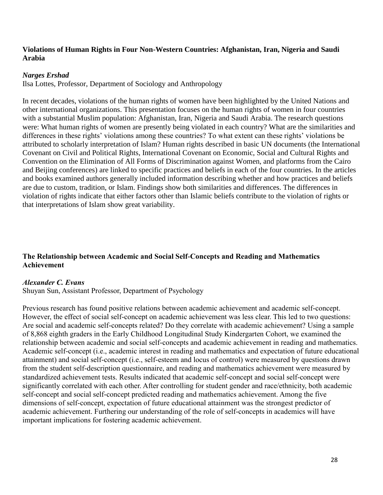## **Violations of Human Rights in Four Non-Western Countries: Afghanistan, Iran, Nigeria and Saudi Arabia**

#### *Narges Ershad*

Ilsa Lottes, Professor, Department of Sociology and Anthropology

In recent decades, violations of the human rights of women have been highlighted by the United Nations and other international organizations. This presentation focuses on the human rights of women in four countries with a substantial Muslim population: Afghanistan, Iran, Nigeria and Saudi Arabia. The research questions were: What human rights of women are presently being violated in each country? What are the similarities and differences in these rights' violations among these countries? To what extent can these rights' violations be attributed to scholarly interpretation of Islam? Human rights described in basic UN documents (the International Covenant on Civil and Political Rights, International Covenant on Economic, Social and Cultural Rights and Convention on the Elimination of All Forms of Discrimination against Women, and platforms from the Cairo and Beijing conferences) are linked to specific practices and beliefs in each of the four countries. In the articles and books examined authors generally included information describing whether and how practices and beliefs are due to custom, tradition, or Islam. Findings show both similarities and differences. The differences in violation of rights indicate that either factors other than Islamic beliefs contribute to the violation of rights or that interpretations of Islam show great variability.

## **The Relationship between Academic and Social Self-Concepts and Reading and Mathematics Achievement**

## *Alexander C. Evans*

Shuyan Sun, Assistant Professor, Department of Psychology

Previous research has found positive relations between academic achievement and academic self-concept. However, the effect of social self-concept on academic achievement was less clear. This led to two questions: Are social and academic self-concepts related? Do they correlate with academic achievement? Using a sample of 8,868 eighth graders in the Early Childhood Longitudinal Study Kindergarten Cohort, we examined the relationship between academic and social self-concepts and academic achievement in reading and mathematics. Academic self-concept (i.e., academic interest in reading and mathematics and expectation of future educational attainment) and social self-concept (i.e., self-esteem and locus of control) were measured by questions drawn from the student self-description questionnaire, and reading and mathematics achievement were measured by standardized achievement tests. Results indicated that academic self-concept and social self-concept were significantly correlated with each other. After controlling for student gender and race/ethnicity, both academic self-concept and social self-concept predicted reading and mathematics achievement. Among the five dimensions of self-concept, expectation of future educational attainment was the strongest predictor of academic achievement. Furthering our understanding of the role of self-concepts in academics will have important implications for fostering academic achievement.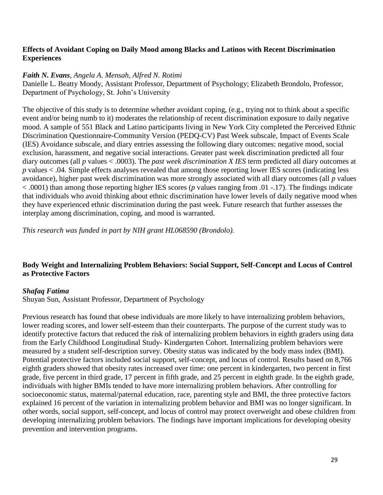## **Effects of Avoidant Coping on Daily Mood among Blacks and Latinos with Recent Discrimination Experiences**

#### *Faith N. Evans, Angela A. Mensah, Alfred N. Rotimi*

Danielle L. Beatty Moody, Assistant Professor, Department of Psychology; Elizabeth Brondolo, Professor, Department of Psychology, St. John's University

The objective of this study is to determine whether avoidant coping, (e.g., trying not to think about a specific event and/or being numb to it) moderates the relationship of recent discrimination exposure to daily negative mood. A sample of 551 Black and Latino participants living in New York City completed the Perceived Ethnic Discrimination Questionnaire-Community Version (PEDQ-CV) Past Week subscale, Impact of Events Scale (IES) Avoidance subscale, and diary entries assessing the following diary outcomes: negative mood, social exclusion, harassment, and negative social interactions. Greater past week discrimination predicted all four diary outcomes (all *p* values < .0003). The *past week discrimination X IES* term predicted all diary outcomes at *p* values < .04. Simple effects analyses revealed that among those reporting lower IES scores (indicating less avoidance), higher past week discrimination was more strongly associated with all diary outcomes (all *p* values < .0001) than among those reporting higher IES scores (*p* values ranging from .01 -.17). The findings indicate that individuals who avoid thinking about ethnic discrimination have lower levels of daily negative mood when they have experienced ethnic discrimination during the past week. Future research that further assesses the interplay among discrimination, coping, and mood is warranted.

*This research was funded in part by NIH grant HL068590 (Brondolo).*

## **Body Weight and Internalizing Problem Behaviors: Social Support, Self-Concept and Locus of Control as Protective Factors**

#### *Shafaq Fatima*

Shuyan Sun, Assistant Professor, Department of Psychology

Previous research has found that obese individuals are more likely to have internalizing problem behaviors, lower reading scores, and lower self-esteem than their counterparts. The purpose of the current study was to identify protective factors that reduced the risk of internalizing problem behaviors in eighth graders using data from the Early Childhood Longitudinal Study- Kindergarten Cohort. Internalizing problem behaviors were measured by a student self-description survey. Obesity status was indicated by the body mass index (BMI). Potential protective factors included social support, self-concept, and locus of control. Results based on 8,766 eighth graders showed that obesity rates increased over time: one percent in kindergarten, two percent in first grade, five percent in third grade, 17 percent in fifth grade, and 25 percent in eighth grade. In the eighth grade, individuals with higher BMIs tended to have more internalizing problem behaviors. After controlling for socioeconomic status, maternal/paternal education, race, parenting style and BMI, the three protective factors explained 16 percent of the variation in internalizing problem behavior and BMI was no longer significant. In other words, social support, self-concept, and locus of control may protect overweight and obese children from developing internalizing problem behaviors. The findings have important implications for developing obesity prevention and intervention programs.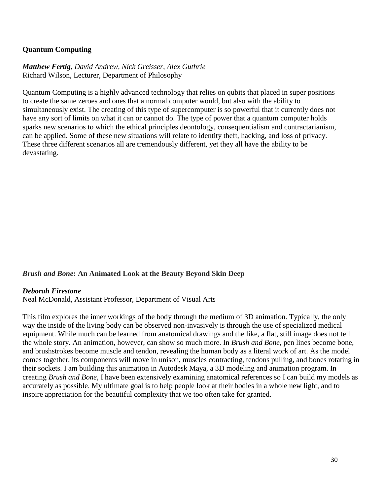## **Quantum Computing**

*Matthew Fertig, David Andrew, Nick Greisser, Alex Guthrie* Richard Wilson, Lecturer, Department of Philosophy

Quantum Computing is a highly advanced technology that relies on qubits that placed in super positions to create the same zeroes and ones that a normal computer would, but also with the ability to simultaneously exist. The creating of this type of supercomputer is so powerful that it currently does not have any sort of limits on what it can or cannot do. The type of power that a quantum computer holds sparks new scenarios to which the ethical principles deontology, consequentialism and contractarianism, can be applied. Some of these new situations will relate to identity theft, hacking, and loss of privacy. These three different scenarios all are tremendously different, yet they all have the ability to be devastating.

#### *Brush and Bone***: An Animated Look at the Beauty Beyond Skin Deep**

#### *Deborah Firestone*

Neal McDonald, Assistant Professor, Department of Visual Arts

This film explores the inner workings of the body through the medium of 3D animation. Typically, the only way the inside of the living body can be observed non-invasively is through the use of specialized medical equipment. While much can be learned from anatomical drawings and the like, a flat, still image does not tell the whole story. An animation, however, can show so much more. In *Brush and Bone*, pen lines become bone, and brushstrokes become muscle and tendon, revealing the human body as a literal work of art. As the model comes together, its components will move in unison, muscles contracting, tendons pulling, and bones rotating in their sockets. I am building this animation in Autodesk Maya, a 3D modeling and animation program. In creating *Brush and Bone*, I have been extensively examining anatomical references so I can build my models as accurately as possible. My ultimate goal is to help people look at their bodies in a whole new light, and to inspire appreciation for the beautiful complexity that we too often take for granted.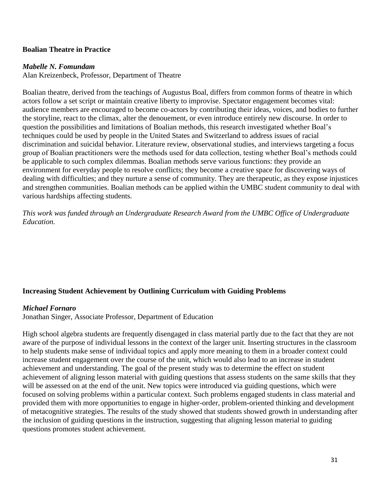## **Boalian Theatre in Practice**

#### *Mabelle N. Fomundam*

Alan Kreizenbeck, Professor, Department of Theatre

Boalian theatre, derived from the teachings of Augustus Boal, differs from common forms of theatre in which actors follow a set script or maintain creative liberty to improvise. Spectator engagement becomes vital: audience members are encouraged to become co-actors by contributing their ideas, voices, and bodies to further the storyline, react to the climax, alter the denouement, or even introduce entirely new discourse. In order to question the possibilities and limitations of Boalian methods, this research investigated whether Boal's techniques could be used by people in the United States and Switzerland to address issues of racial discrimination and suicidal behavior. Literature review, observational studies, and interviews targeting a focus group of Boalian practitioners were the methods used for data collection, testing whether Boal's methods could be applicable to such complex dilemmas. Boalian methods serve various functions: they provide an environment for everyday people to resolve conflicts; they become a creative space for discovering ways of dealing with difficulties; and they nurture a sense of community. They are therapeutic, as they expose injustices and strengthen communities. Boalian methods can be applied within the UMBC student community to deal with various hardships affecting students.

*This work was funded through an Undergraduate Research Award from the UMBC Office of Undergraduate Education.*

## **Increasing Student Achievement by Outlining Curriculum with Guiding Problems**

#### *Michael Fornaro*

Jonathan Singer, Associate Professor, Department of Education

High school algebra students are frequently disengaged in class material partly due to the fact that they are not aware of the purpose of individual lessons in the context of the larger unit. Inserting structures in the classroom to help students make sense of individual topics and apply more meaning to them in a broader context could increase student engagement over the course of the unit, which would also lead to an increase in student achievement and understanding. The goal of the present study was to determine the effect on student achievement of aligning lesson material with guiding questions that assess students on the same skills that they will be assessed on at the end of the unit. New topics were introduced via guiding questions, which were focused on solving problems within a particular context. Such problems engaged students in class material and provided them with more opportunities to engage in higher-order, problem-oriented thinking and development of metacognitive strategies. The results of the study showed that students showed growth in understanding after the inclusion of guiding questions in the instruction, suggesting that aligning lesson material to guiding questions promotes student achievement.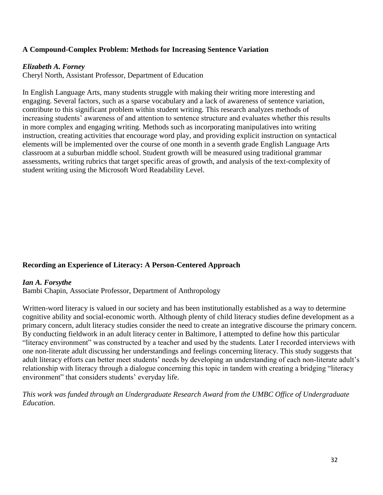## **A Compound-Complex Problem: Methods for Increasing Sentence Variation**

## *Elizabeth A. Forney*

Cheryl North, Assistant Professor, Department of Education

In English Language Arts, many students struggle with making their writing more interesting and engaging. Several factors, such as a sparse vocabulary and a lack of awareness of sentence variation, contribute to this significant problem within student writing. This research analyzes methods of increasing students' awareness of and attention to sentence structure and evaluates whether this results in more complex and engaging writing. Methods such as incorporating manipulatives into writing instruction, creating activities that encourage word play, and providing explicit instruction on syntactical elements will be implemented over the course of one month in a seventh grade English Language Arts classroom at a suburban middle school. Student growth will be measured using traditional grammar assessments, writing rubrics that target specific areas of growth, and analysis of the text-complexity of student writing using the Microsoft Word Readability Level.

## **Recording an Experience of Literacy: A Person-Centered Approach**

#### *Ian A. Forsythe*

Bambi Chapin, Associate Professor, Department of Anthropology

Written-word literacy is valued in our society and has been institutionally established as a way to determine cognitive ability and social-economic worth. Although plenty of child literacy studies define development as a primary concern, adult literacy studies consider the need to create an integrative discourse the primary concern. By conducting fieldwork in an adult literacy center in Baltimore, I attempted to define how this particular "literacy environment" was constructed by a teacher and used by the students. Later I recorded interviews with one non-literate adult discussing her understandings and feelings concerning literacy. This study suggests that adult literacy efforts can better meet students' needs by developing an understanding of each non-literate adult's relationship with literacy through a dialogue concerning this topic in tandem with creating a bridging "literacy environment" that considers students' everyday life.

*This work was funded through an Undergraduate Research Award from the UMBC Office of Undergraduate Education.*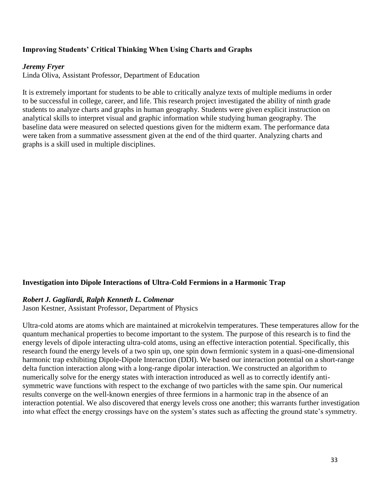## **Improving Students' Critical Thinking When Using Charts and Graphs**

#### *Jeremy Fryer*

Linda Oliva, Assistant Professor, Department of Education

It is extremely important for students to be able to critically analyze texts of multiple mediums in order to be successful in college, career, and life. This research project investigated the ability of ninth grade students to analyze charts and graphs in human geography. Students were given explicit instruction on analytical skills to interpret visual and graphic information while studying human geography. The baseline data were measured on selected questions given for the midterm exam. The performance data were taken from a summative assessment given at the end of the third quarter. Analyzing charts and graphs is a skill used in multiple disciplines.

#### **Investigation into Dipole Interactions of Ultra-Cold Fermions in a Harmonic Trap**

#### *Robert J. Gagliardi, Ralph Kenneth L. Colmenar*

Jason Kestner, Assistant Professor, Department of Physics

Ultra-cold atoms are atoms which are maintained at microkelvin temperatures. These temperatures allow for the quantum mechanical properties to become important to the system. The purpose of this research is to find the energy levels of dipole interacting ultra-cold atoms, using an effective interaction potential. Specifically, this research found the energy levels of a two spin up, one spin down fermionic system in a quasi-one-dimensional harmonic trap exhibiting Dipole-Dipole Interaction (DDI). We based our interaction potential on a short-range delta function interaction along with a long-range dipolar interaction. We constructed an algorithm to numerically solve for the energy states with interaction introduced as well as to correctly identify antisymmetric wave functions with respect to the exchange of two particles with the same spin. Our numerical results converge on the well-known energies of three fermions in a harmonic trap in the absence of an interaction potential. We also discovered that energy levels cross one another; this warrants further investigation into what effect the energy crossings have on the system's states such as affecting the ground state's symmetry.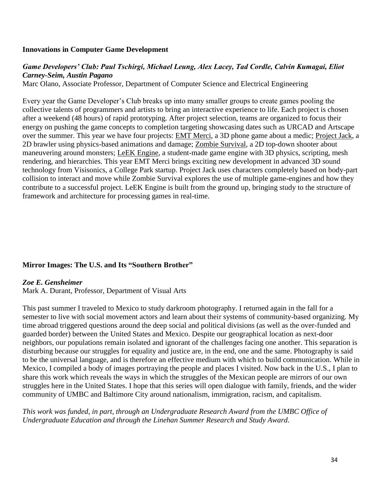#### **Innovations in Computer Game Development**

## *Game Developers' Club: Paul Tschirgi, Michael Leung, Alex Lacey, Tad Cordle, Calvin Kumagai, Eliot Carney-Seim, Austin Pagano*

Marc Olano, Associate Professor, Department of Computer Science and Electrical Engineering

Every year the Game Developer's Club breaks up into many smaller groups to create games pooling the collective talents of programmers and artists to bring an interactive experience to life. Each project is chosen after a weekend (48 hours) of rapid prototyping. After project selection, teams are organized to focus their energy on pushing the game concepts to completion targeting showcasing dates such as URCAD and Artscape over the summer. This year we have four projects: EMT Merci, a 3D phone game about a medic; Project Jack, a 2D brawler using physics-based animations and damage; Zombie Survival, a 2D top-down shooter about maneuvering around monsters; LeEK Engine, a student-made game engine with 3D physics, scripting, mesh rendering, and hierarchies. This year EMT Merci brings exciting new development in advanced 3D sound technology from Visisonics, a College Park startup. Project Jack uses characters completely based on body-part collision to interact and move while Zombie Survival explores the use of multiple game-engines and how they contribute to a successful project. LeEK Engine is built from the ground up, bringing study to the structure of framework and architecture for processing games in real-time.

## **Mirror Images: The U.S. and Its "Southern Brother"**

#### *Zoe E. Gensheimer*

Mark A. Durant, Professor, Department of Visual Arts

This past summer I traveled to Mexico to study darkroom photography. I returned again in the fall for a semester to live with social movement actors and learn about their systems of community-based organizing. My time abroad triggered questions around the deep social and political divisions (as well as the over-funded and guarded border) between the United States and Mexico. Despite our geographical location as next-door neighbors, our populations remain isolated and ignorant of the challenges facing one another. This separation is disturbing because our struggles for equality and justice are, in the end, one and the same. Photography is said to be the universal language, and is therefore an effective medium with which to build communication. While in Mexico, I compiled a body of images portraying the people and places I visited. Now back in the U.S., I plan to share this work which reveals the ways in which the struggles of the Mexican people are mirrors of our own struggles here in the United States. I hope that this series will open dialogue with family, friends, and the wider community of UMBC and Baltimore City around nationalism, immigration, racism, and capitalism.

*This work was funded, in part, through an Undergraduate Research Award from the UMBC Office of Undergraduate Education and through the Linehan Summer Research and Study Award.*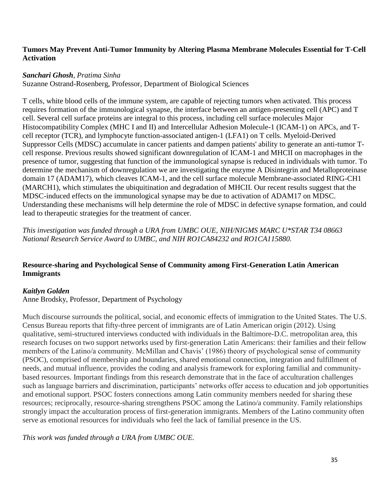## **Tumors May Prevent Anti-Tumor Immunity by Altering Plasma Membrane Molecules Essential for T-Cell Activation**

## *Sanchari Ghosh, Pratima Sinha*

Suzanne Ostrand-Rosenberg, Professor, Department of Biological Sciences

T cells, white blood cells of the immune system, are capable of rejecting tumors when activated. This process requires formation of the immunological synapse, the interface between an antigen-presenting cell (APC) and T cell. Several cell surface proteins are integral to this process, including cell surface molecules Major Histocompatibility Complex (MHC I and II) and Intercellular Adhesion Molecule-1 (ICAM-1) on APCs, and Tcell receptor (TCR), and lymphocyte function-associated antigen-1 (LFA1) on T cells. Myeloid-Derived Suppressor Cells (MDSC) accumulate in cancer patients and dampen patients' ability to generate an anti-tumor Tcell response. Previous results showed significant downregulation of ICAM-1 and MHCII on macrophages in the presence of tumor, suggesting that function of the immunological synapse is reduced in individuals with tumor. To determine the mechanism of downregulation we are investigating the enzyme A Disintegrin and Metalloproteinase domain 17 (ADAM17), which cleaves ICAM-1, and the cell surface molecule Membrane-associated RING-CH1 (MARCH1), which stimulates the ubiquitination and degradation of MHCII. Our recent results suggest that the MDSC-induced effects on the immunological synapse may be due to activation of ADAM17 on MDSC. Understanding these mechanisms will help determine the role of MDSC in defective synapse formation, and could lead to therapeutic strategies for the treatment of cancer.

*This investigation was funded through a URA from UMBC OUE, NIH/NIGMS MARC U\*STAR T34 08663 National Research Service Award to UMBC, and NIH RO1CA84232 and RO1CA115880.*

## **Resource-sharing and Psychological Sense of Community among First-Generation Latin American Immigrants**

## *Kaitlyn Golden*

Anne Brodsky, Professor, Department of Psychology

Much discourse surrounds the political, social, and economic effects of immigration to the United States. The U.S. Census Bureau reports that fifty-three percent of immigrants are of Latin American origin (2012). Using qualitative, semi-structured interviews conducted with individuals in the Baltimore-D.C. metropolitan area, this research focuses on two support networks used by first-generation Latin Americans: their families and their fellow members of the Latino/a community. McMillan and Chavis' (1986) theory of psychological sense of community (PSOC), comprised of membership and boundaries, shared emotional connection, integration and fulfillment of needs, and mutual influence, provides the coding and analysis framework for exploring familial and communitybased resources. Important findings from this research demonstrate that in the face of acculturation challenges such as language barriers and discrimination, participants' networks offer access to education and job opportunities and emotional support. PSOC fosters connections among Latin community members needed for sharing these resources; reciprocally, resource-sharing strengthens PSOC among the Latino/a community. Family relationships strongly impact the acculturation process of first-generation immigrants. Members of the Latino community often serve as emotional resources for individuals who feel the lack of familial presence in the US.

*This work was funded through a URA from UMBC OUE.*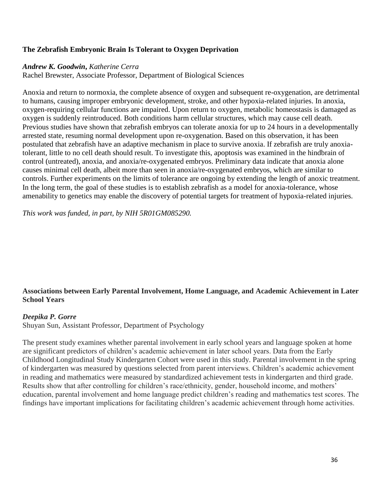# **The Zebrafish Embryonic Brain Is Tolerant to Oxygen Deprivation**

### *Andrew K. Goodwin***,** *Katherine Cerra*

Rachel Brewster, Associate Professor, Department of Biological Sciences

Anoxia and return to normoxia, the complete absence of oxygen and subsequent re-oxygenation, are detrimental to humans, causing improper embryonic development, stroke, and other hypoxia-related injuries. In anoxia, oxygen-requiring cellular functions are impaired. Upon return to oxygen, metabolic homeostasis is damaged as oxygen is suddenly reintroduced. Both conditions harm cellular structures, which may cause cell death. Previous studies have shown that zebrafish embryos can tolerate anoxia for up to 24 hours in a developmentally arrested state, resuming normal development upon re-oxygenation. Based on this observation, it has been postulated that zebrafish have an adaptive mechanism in place to survive anoxia. If zebrafish are truly anoxiatolerant, little to no cell death should result. To investigate this, apoptosis was examined in the hindbrain of control (untreated), anoxia, and anoxia/re-oxygenated embryos. Preliminary data indicate that anoxia alone causes minimal cell death, albeit more than seen in anoxia/re-oxygenated embryos, which are similar to controls. Further experiments on the limits of tolerance are ongoing by extending the length of anoxic treatment. In the long term, the goal of these studies is to establish zebrafish as a model for anoxia-tolerance, whose amenability to genetics may enable the discovery of potential targets for treatment of hypoxia-related injuries.

*This work was funded, in part, by NIH 5R01GM085290.*

# **Associations between Early Parental Involvement, Home Language, and Academic Achievement in Later School Years**

## *Deepika P. Gorre*

Shuyan Sun, Assistant Professor, Department of Psychology

The present study examines whether parental involvement in early school years and language spoken at home are significant predictors of children's academic achievement in later school years. Data from the Early Childhood Longitudinal Study Kindergarten Cohort were used in this study. Parental involvement in the spring of kindergarten was measured by questions selected from parent interviews. Children's academic achievement in reading and mathematics were measured by standardized achievement tests in kindergarten and third grade. Results show that after controlling for children's race/ethnicity, gender, household income, and mothers' education, parental involvement and home language predict children's reading and mathematics test scores. The findings have important implications for facilitating children's academic achievement through home activities.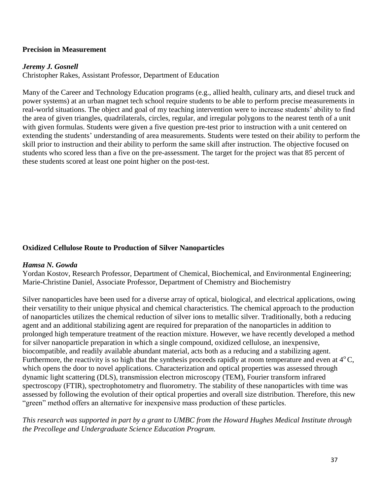### **Precision in Measurement**

### *Jeremy J. Gosnell*

Christopher Rakes, Assistant Professor, Department of Education

Many of the Career and Technology Education programs (e.g., allied health, culinary arts, and diesel truck and power systems) at an urban magnet tech school require students to be able to perform precise measurements in real-world situations. The object and goal of my teaching intervention were to increase students' ability to find the area of given triangles, quadrilaterals, circles, regular, and irregular polygons to the nearest tenth of a unit with given formulas. Students were given a five question pre-test prior to instruction with a unit centered on extending the students' understanding of area measurements. Students were tested on their ability to perform the skill prior to instruction and their ability to perform the same skill after instruction. The objective focused on students who scored less than a five on the pre-assessment. The target for the project was that 85 percent of these students scored at least one point higher on the post-test.

### **Oxidized Cellulose Route to Production of Silver Nanoparticles**

### *Hamsa N. Gowda*

Yordan Kostov, Research Professor, Department of Chemical, Biochemical, and Environmental Engineering; Marie-Christine Daniel, Associate Professor, Department of Chemistry and Biochemistry

Silver nanoparticles have been used for a diverse array of optical, biological, and electrical applications, owing their versatility to their unique physical and chemical characteristics. The chemical approach to the production of nanoparticles utilizes the chemical reduction of silver ions to metallic silver. Traditionally, both a reducing agent and an additional stabilizing agent are required for preparation of the nanoparticles in addition to prolonged high temperature treatment of the reaction mixture. However, we have recently developed a method for silver nanoparticle preparation in which a single compound, oxidized cellulose, an inexpensive, biocompatible, and readily available abundant material, acts both as a reducing and a stabilizing agent. Furthermore, the reactivity is so high that the synthesis proceeds rapidly at room temperature and even at  $4^{\circ}$ C, which opens the door to novel applications. Characterization and optical properties was assessed through dynamic light scattering (DLS), transmission electron microscopy (TEM), Fourier transform infrared spectroscopy (FTIR), spectrophotometry and fluorometry. The stability of these nanoparticles with time was assessed by following the evolution of their optical properties and overall size distribution. Therefore, this new "green" method offers an alternative for inexpensive mass production of these particles.

*This research was supported in part by a grant to UMBC from the Howard Hughes Medical Institute through the Precollege and Undergraduate Science Education Program.*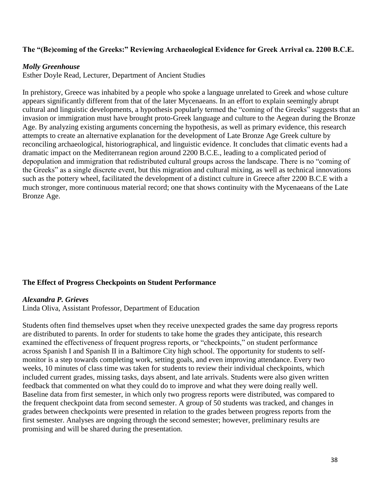### **The "(Be)coming of the Greeks:" Reviewing Archaeological Evidence for Greek Arrival ca. 2200 B.C.E.**

#### *Molly Greenhouse*

Esther Doyle Read, Lecturer, Department of Ancient Studies

In prehistory, Greece was inhabited by a people who spoke a language unrelated to Greek and whose culture appears significantly different from that of the later Mycenaeans. In an effort to explain seemingly abrupt cultural and linguistic developments, a hypothesis popularly termed the "coming of the Greeks" suggests that an invasion or immigration must have brought proto-Greek language and culture to the Aegean during the Bronze Age. By analyzing existing arguments concerning the hypothesis, as well as primary evidence, this research attempts to create an alternative explanation for the development of Late Bronze Age Greek culture by reconciling archaeological, historiographical, and linguistic evidence. It concludes that climatic events had a dramatic impact on the Mediterranean region around 2200 B.C.E., leading to a complicated period of depopulation and immigration that redistributed cultural groups across the landscape. There is no "coming of the Greeks" as a single discrete event, but this migration and cultural mixing, as well as technical innovations such as the pottery wheel, facilitated the development of a distinct culture in Greece after 2200 B.C.E with a much stronger, more continuous material record; one that shows continuity with the Mycenaeans of the Late Bronze Age.

#### **The Effect of Progress Checkpoints on Student Performance**

#### *Alexandra P. Grieves*

Linda Oliva, Assistant Professor, Department of Education

Students often find themselves upset when they receive unexpected grades the same day progress reports are distributed to parents. In order for students to take home the grades they anticipate, this research examined the effectiveness of frequent progress reports, or "checkpoints," on student performance across Spanish I and Spanish II in a Baltimore City high school. The opportunity for students to selfmonitor is a step towards completing work, setting goals, and even improving attendance. Every two weeks, 10 minutes of class time was taken for students to review their individual checkpoints, which included current grades, missing tasks, days absent, and late arrivals. Students were also given written feedback that commented on what they could do to improve and what they were doing really well. Baseline data from first semester, in which only two progress reports were distributed, was compared to the frequent checkpoint data from second semester. A group of 50 students was tracked, and changes in grades between checkpoints were presented in relation to the grades between progress reports from the first semester. Analyses are ongoing through the second semester; however, preliminary results are promising and will be shared during the presentation.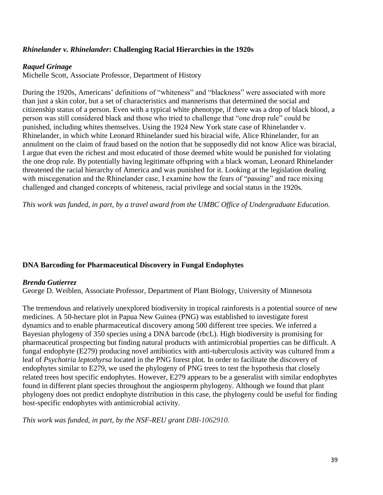# *Rhinelander v. Rhinelander***: Challenging Racial Hierarchies in the 1920s**

### *Raquel Grinage*

Michelle Scott, Associate Professor, Department of History

During the 1920s, Americans' definitions of "whiteness" and "blackness" were associated with more than just a skin color, but a set of characteristics and mannerisms that determined the social and citizenship status of a person. Even with a typical white phenotype, if there was a drop of black blood, a person was still considered black and those who tried to challenge that "one drop rule" could be punished, including whites themselves. Using the 1924 New York state case of Rhinelander v. Rhinelander, in which white Leonard Rhinelander sued his biracial wife, Alice Rhinelander, for an annulment on the claim of fraud based on the notion that he supposedly did not know Alice was biracial, I argue that even the richest and most educated of those deemed white would be punished for violating the one drop rule. By potentially having legitimate offspring with a black woman, Leonard Rhinelander threatened the racial hierarchy of America and was punished for it. Looking at the legislation dealing with miscegenation and the Rhinelander case, I examine how the fears of "passing" and race mixing challenged and changed concepts of whiteness, racial privilege and social status in the 1920s.

*This work was funded, in part, by a travel award from the UMBC Office of Undergraduate Education.*

## **DNA Barcoding for Pharmaceutical Discovery in Fungal Endophytes**

### *Brenda Gutierrez*

George D. Weiblen, Associate Professor, Department of Plant Biology, University of Minnesota

The tremendous and relatively unexplored biodiversity in tropical rainforests is a potential source of new medicines. A 50-hectare plot in Papua New Guinea (PNG) was established to investigate forest dynamics and to enable pharmaceutical discovery among 500 different tree species. We inferred a Bayesian phylogeny of 350 species using a DNA barcode (rbcL). High biodiversity is promising for pharmaceutical prospecting but finding natural products with antimicrobial properties can be difficult. A fungal endophyte (E279) producing novel antibiotics with anti-tuberculosis activity was cultured from a leaf of *Psychotria leptothyrsa* located in the PNG forest plot*.* In order to facilitate the discovery of endophytes similar to E279, we used the phylogeny of PNG trees to test the hypothesis that closely related trees host specific endophytes. However, E279 appears to be a generalist with similar endophytes found in different plant species throughout the angiosperm phylogeny. Although we found that plant phylogeny does not predict endophyte distribution in this case, the phylogeny could be useful for finding host-specific endophytes with antimicrobial activity.

*This work was funded, in part, by the NSF-REU grant DBI-1062910.*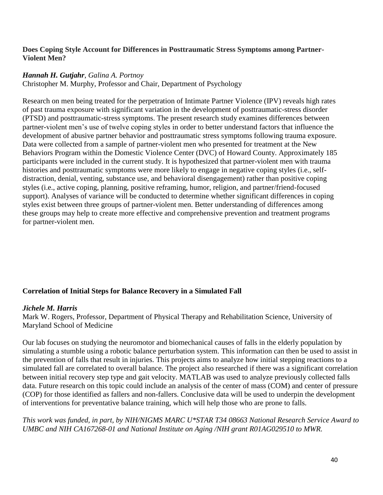### **Does Coping Style Account for Differences in Posttraumatic Stress Symptoms among Partner-Violent Men?**

### *Hannah H. Gutjahr*, *Galina A. Portnoy*

Christopher M. Murphy, Professor and Chair, Department of Psychology

Research on men being treated for the perpetration of Intimate Partner Violence (IPV) reveals high rates of past trauma exposure with significant variation in the development of posttraumatic-stress disorder (PTSD) and posttraumatic-stress symptoms. The present research study examines differences between partner-violent men's use of twelve coping styles in order to better understand factors that influence the development of abusive partner behavior and posttraumatic stress symptoms following trauma exposure. Data were collected from a sample of partner-violent men who presented for treatment at the New Behaviors Program within the Domestic Violence Center (DVC) of Howard County. Approximately 185 participants were included in the current study. It is hypothesized that partner-violent men with trauma histories and posttraumatic symptoms were more likely to engage in negative coping styles (i.e., selfdistraction, denial, venting, substance use, and behavioral disengagement) rather than positive coping styles (i.e., active coping, planning, positive reframing, humor, religion, and partner/friend-focused support). Analyses of variance will be conducted to determine whether significant differences in coping styles exist between three groups of partner-violent men. Better understanding of differences among these groups may help to create more effective and comprehensive prevention and treatment programs for partner-violent men.

# **Correlation of Initial Steps for Balance Recovery in a Simulated Fall**

### *Jichele M. Harris*

Mark W. Rogers, Professor, Department of Physical Therapy and Rehabilitation Science, University of Maryland School of Medicine

Our lab focuses on studying the neuromotor and biomechanical causes of falls in the elderly population by simulating a stumble using a robotic balance perturbation system. This information can then be used to assist in the prevention of falls that result in injuries. This projects aims to analyze how initial stepping reactions to a simulated fall are correlated to overall balance. The project also researched if there was a significant correlation between initial recovery step type and gait velocity. MATLAB was used to analyze previously collected falls data. Future research on this topic could include an analysis of the center of mass (COM) and center of pressure (COP) for those identified as fallers and non-fallers. Conclusive data will be used to underpin the development of interventions for preventative balance training, which will help those who are prone to falls.

*This work was funded, in part, by NIH/NIGMS MARC U\*STAR T34 08663 National Research Service Award to UMBC and NIH CA167268-01 and National Institute on Aging /NIH grant R01AG029510 to MWR.*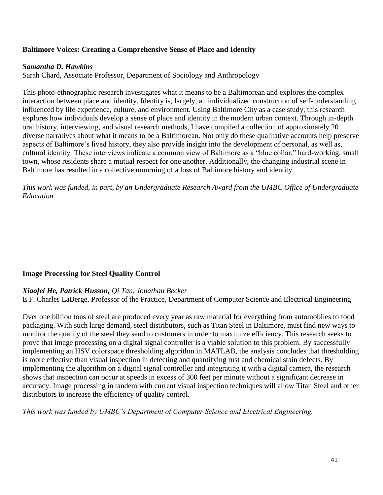## **Baltimore Voices: Creating a Comprehensive Sense of Place and Identity**

### *Samantha D. Hawkins*

Sarah Chard, Associate Professor, Department of Sociology and Anthropology

This photo-ethnographic research investigates what it means to be a Baltimorean and explores the complex interaction between place and identity. Identity is, largely, an individualized construction of self-understanding influenced by life experience, culture, and environment. Using Baltimore City as a case study, this research explores how individuals develop a sense of place and identity in the modern urban context. Through in-depth oral history, interviewing, and visual research methods, I have compiled a collection of approximately 20 diverse narratives about what it means to be a Baltimorean. Not only do these qualitative accounts help preserve aspects of Baltimore's lived history, they also provide insight into the development of personal, as well as, cultural identity. These interviews indicate a common view of Baltimore as a "blue collar," hard-working, small town, whose residents share a mutual respect for one another. Additionally, the changing industrial scene in Baltimore has resulted in a collective mourning of a loss of Baltimore history and identity.

*This work was funded, in part, by an Undergraduate Research Award from the UMBC Office of Undergraduate Education.*

## **Image Processing for Steel Quality Control**

### *Xiaofei He, Patrick Husson, Qi Tan, Jonathan Becker*

E.F. Charles LaBerge, Professor of the Practice, Department of Computer Science and Electrical Engineering

Over one billion tons of steel are produced every year as raw material for everything from automobiles to food packaging. With such large demand, steel distributors, such as Titan Steel in Baltimore, must find new ways to monitor the quality of the steel they send to customers in order to maximize efficiency. This research seeks to prove that image processing on a digital signal controller is a viable solution to this problem. By successfully implementing an HSV colorspace thresholding algorithm in MATLAB, the analysis concludes that thresholding is more effective than visual inspection in detecting and quantifying rust and chemical stain defects. By implementing the algorithm on a digital signal controller and integrating it with a digital camera, the research shows that inspection can occur at speeds in excess of 300 feet per minute without a significant decrease in accuracy. Image processing in tandem with current visual inspection techniques will allow Titan Steel and other distributors to increase the efficiency of quality control.

*This work was funded by UMBC's Department of Computer Science and Electrical Engineering.*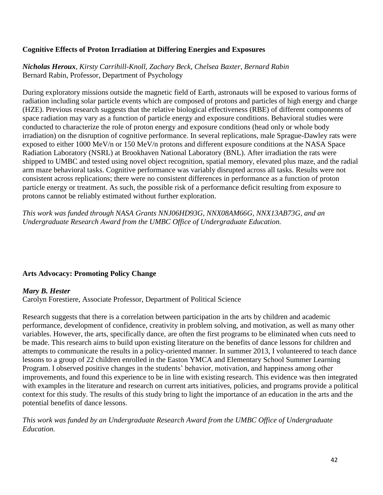## **Cognitive Effects of Proton Irradiation at Differing Energies and Exposures**

*Nicholas Heroux, Kirsty Carrihill-Knoll, Zachary Beck, Chelsea Baxter, Bernard Rabin* Bernard Rabin, Professor, Department of Psychology

During exploratory missions outside the magnetic field of Earth, astronauts will be exposed to various forms of radiation including solar particle events which are composed of protons and particles of high energy and charge (HZE). Previous research suggests that the relative biological effectiveness (RBE) of different components of space radiation may vary as a function of particle energy and exposure conditions. Behavioral studies were conducted to characterize the role of proton energy and exposure conditions (head only or whole body irradiation) on the disruption of cognitive performance. In several replications, male Sprague-Dawley rats were exposed to either 1000 MeV/n or 150 MeV/n protons and different exposure conditions at the NASA Space Radiation Laboratory (NSRL) at Brookhaven National Laboratory (BNL). After irradiation the rats were shipped to UMBC and tested using novel object recognition, spatial memory, elevated plus maze, and the radial arm maze behavioral tasks. Cognitive performance was variably disrupted across all tasks. Results were not consistent across replications; there were no consistent differences in performance as a function of proton particle energy or treatment. As such, the possible risk of a performance deficit resulting from exposure to protons cannot be reliably estimated without further exploration.

*This work was funded through NASA Grants NNJ06HD93G, NNX08AM66G, NNX13AB73G, and an Undergraduate Research Award from the UMBC Office of Undergraduate Education.*

### **Arts Advocacy: Promoting Policy Change**

#### *Mary B. Hester*

Carolyn Forestiere, Associate Professor, Department of Political Science

Research suggests that there is a correlation between participation in the arts by children and academic performance, development of confidence, creativity in problem solving, and motivation, as well as many other variables. However, the arts, specifically dance, are often the first programs to be eliminated when cuts need to be made. This research aims to build upon existing literature on the benefits of dance lessons for children and attempts to communicate the results in a policy-oriented manner. In summer 2013, I volunteered to teach dance lessons to a group of 22 children enrolled in the Easton YMCA and Elementary School Summer Learning Program. I observed positive changes in the students' behavior, motivation, and happiness among other improvements, and found this experience to be in line with existing research. This evidence was then integrated with examples in the literature and research on current arts initiatives, policies, and programs provide a political context for this study. The results of this study bring to light the importance of an education in the arts and the potential benefits of dance lessons.

*This work was funded by an Undergraduate Research Award from the UMBC Office of Undergraduate Education.*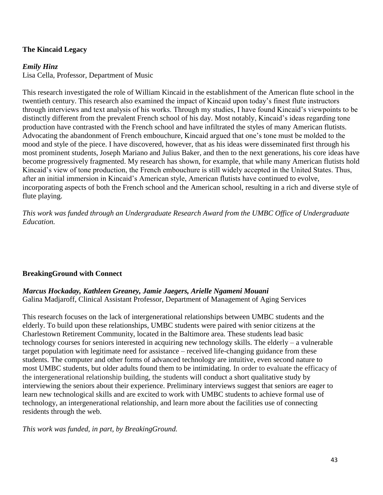### **The Kincaid Legacy**

#### *Emily Hinz*

Lisa Cella, Professor, Department of Music

This research investigated the role of William Kincaid in the establishment of the American flute school in the twentieth century. This research also examined the impact of Kincaid upon today's finest flute instructors through interviews and text analysis of his works. Through my studies, I have found Kincaid's viewpoints to be distinctly different from the prevalent French school of his day. Most notably, Kincaid's ideas regarding tone production have contrasted with the French school and have infiltrated the styles of many American flutists. Advocating the abandonment of French embouchure, Kincaid argued that one's tone must be molded to the mood and style of the piece. I have discovered, however, that as his ideas were disseminated first through his most prominent students, Joseph Mariano and Julius Baker, and then to the next generations, his core ideas have become progressively fragmented. My research has shown, for example, that while many American flutists hold Kincaid's view of tone production, the French embouchure is still widely accepted in the United States. Thus, after an initial immersion in Kincaid's American style, American flutists have continued to evolve, incorporating aspects of both the French school and the American school, resulting in a rich and diverse style of flute playing.

*This work was funded through an Undergraduate Research Award from the UMBC Office of Undergraduate Education.*

### **BreakingGround with Connect**

### *Marcus Hockaday, Kathleen Greaney, Jamie Jaegers, Arielle Ngameni Mouani*

Galina Madjaroff, Clinical Assistant Professor, Department of Management of Aging Services

This research focuses on the lack of intergenerational relationships between UMBC students and the elderly. To build upon these relationships, UMBC students were paired with senior citizens at the Charlestown Retirement Community, located in the Baltimore area. These students lead basic technology courses for seniors interested in acquiring new technology skills. The elderly – a vulnerable target population with legitimate need for assistance – received life-changing guidance from these students. The computer and other forms of advanced technology are intuitive, even second nature to most UMBC students, but older adults found them to be intimidating. In order to evaluate the efficacy of the intergenerational relationship building, the students will conduct a short qualitative study by interviewing the seniors about their experience. Preliminary interviews suggest that seniors are eager to learn new technological skills and are excited to work with UMBC students to achieve formal use of technology, an intergenerational relationship, and learn more about the facilities use of connecting residents through the web.

*This work was funded, in part, by BreakingGround.*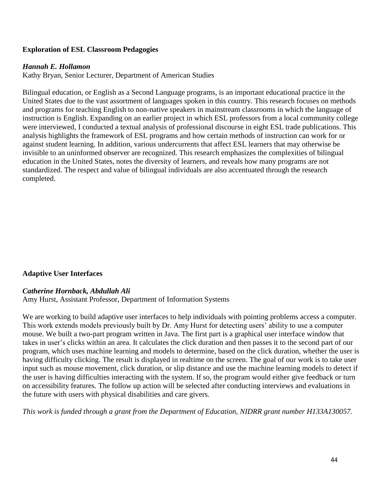### **Exploration of ESL Classroom Pedagogies**

### *Hannah E. Hollamon*

Kathy Bryan, Senior Lecturer, Department of American Studies

Bilingual education, or English as a Second Language programs, is an important educational practice in the United States due to the vast assortment of languages spoken in this country. This research focuses on methods and programs for teaching English to non-native speakers in mainstream classrooms in which the language of instruction is English. Expanding on an earlier project in which ESL professors from a local community college were interviewed, I conducted a textual analysis of professional discourse in eight ESL trade publications. This analysis highlights the framework of ESL programs and how certain methods of instruction can work for or against student learning. In addition, various undercurrents that affect ESL learners that may otherwise be invisible to an uninformed observer are recognized. This research emphasizes the complexities of bilingual education in the United States, notes the diversity of learners, and reveals how many programs are not standardized. The respect and value of bilingual individuals are also accentuated through the research completed.

### **Adaptive User Interfaces**

### *Catherine Hornback, Abdullah Ali*

Amy Hurst, Assistant Professor, Department of Information Systems

We are working to build adaptive user interfaces to help individuals with pointing problems access a computer. This work extends models previously built by Dr. Amy Hurst for detecting users' ability to use a computer mouse. We built a two-part program written in Java. The first part is a graphical user interface window that takes in user's clicks within an area. It calculates the click duration and then passes it to the second part of our program, which uses machine learning and models to determine, based on the click duration, whether the user is having difficulty clicking. The result is displayed in realtime on the screen. The goal of our work is to take user input such as mouse movement, click duration, or slip distance and use the machine learning models to detect if the user is having difficulties interacting with the system. If so, the program would either give feedback or turn on accessibility features. The follow up action will be selected after conducting interviews and evaluations in the future with users with physical disabilities and care givers.

*This work is funded through a grant from the Department of Education, NIDRR grant number H133A130057.*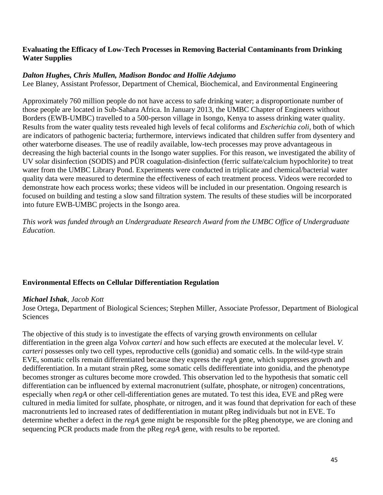### **Evaluating the Efficacy of Low-Tech Processes in Removing Bacterial Contaminants from Drinking Water Supplies**

### *Dalton Hughes, Chris Mullen, Madison Bondoc and Hollie Adejumo*

Lee Blaney, Assistant Professor, Department of Chemical, Biochemical, and Environmental Engineering

Approximately 760 million people do not have access to safe drinking water; a disproportionate number of those people are located in Sub-Sahara Africa. In January 2013, the UMBC Chapter of Engineers without Borders (EWB-UMBC) travelled to a 500-person village in Isongo, Kenya to assess drinking water quality. Results from the water quality tests revealed high levels of fecal coliforms and *Escherichia coli*, both of which are indicators of pathogenic bacteria; furthermore, interviews indicated that children suffer from dysentery and other waterborne diseases. The use of readily available, low-tech processes may prove advantageous in decreasing the high bacterial counts in the Isongo water supplies. For this reason, we investigated the ability of UV solar disinfection (SODIS) and PÜR coagulation-disinfection (ferric sulfate/calcium hypochlorite) to treat water from the UMBC Library Pond. Experiments were conducted in triplicate and chemical/bacterial water quality data were measured to determine the effectiveness of each treatment process. Videos were recorded to demonstrate how each process works; these videos will be included in our presentation. Ongoing research is focused on building and testing a slow sand filtration system. The results of these studies will be incorporated into future EWB-UMBC projects in the Isongo area.

*This work was funded through an Undergraduate Research Award from the UMBC Office of Undergraduate Education.*

## **Environmental Effects on Cellular Differentiation Regulation**

### *Michael Ishak*, *Jacob Kott*

Jose Ortega, Department of Biological Sciences; Stephen Miller, Associate Professor, Department of Biological Sciences

The objective of this study is to investigate the effects of varying growth environments on cellular differentiation in the green alga *Volvox carteri* and how such effects are executed at the molecular level. *V. carteri* possesses only two cell types, reproductive cells (gonidia) and somatic cells. In the wild-type strain EVE, somatic cells remain differentiated because they express the *regA* gene, which suppresses growth and dedifferentiation. In a mutant strain pReg, some somatic cells dedifferentiate into gonidia, and the phenotype becomes stronger as cultures become more crowded. This observation led to the hypothesis that somatic cell differentiation can be influenced by external macronutrient (sulfate, phosphate, or nitrogen) concentrations, especially when *regA* or other cell-differentiation genes are mutated. To test this idea, EVE and pReg were cultured in media limited for sulfate, phosphate, or nitrogen, and it was found that deprivation for each of these macronutrients led to increased rates of dedifferentiation in mutant pReg individuals but not in EVE. To determine whether a defect in the *regA* gene might be responsible for the pReg phenotype, we are cloning and sequencing PCR products made from the pReg *regA* gene, with results to be reported.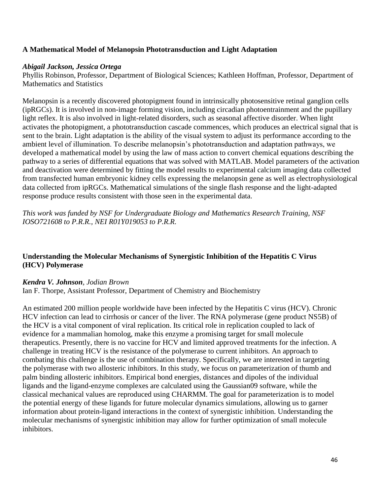## **A Mathematical Model of Melanopsin Phototransduction and Light Adaptation**

#### *Abigail Jackson, Jessica Ortega*

Phyllis Robinson, Professor, Department of Biological Sciences; Kathleen Hoffman, Professor, Department of Mathematics and Statistics

Melanopsin is a recently discovered photopigment found in intrinsically photosensitive retinal ganglion cells (ipRGCs). It is involved in non-image forming vision, including circadian photoentrainment and the pupillary light reflex. It is also involved in light-related disorders, such as seasonal affective disorder. When light activates the photopigment, a phototransduction cascade commences, which produces an electrical signal that is sent to the brain. Light adaptation is the ability of the visual system to adjust its performance according to the ambient level of illumination. To describe melanopsin's phototransduction and adaptation pathways, we developed a mathematical model by using the law of mass action to convert chemical equations describing the pathway to a series of differential equations that was solved with MATLAB. Model parameters of the activation and deactivation were determined by fitting the model results to experimental calcium imaging data collected from transfected human embryonic kidney cells expressing the melanopsin gene as well as electrophysiological data collected from ipRGCs. Mathematical simulations of the single flash response and the light-adapted response produce results consistent with those seen in the experimental data.

*This work was funded by NSF for Undergraduate Biology and Mathematics Research Training, NSF IOSO721608 to P.R.R., NEI R01Y019053 to P.R.R.*

## **Understanding the Molecular Mechanisms of Synergistic Inhibition of the Hepatitis C Virus (HCV) Polymerase**

#### *Kendra V. Johnson, Jodian Brown*

Ian F. Thorpe, Assistant Professor, Department of Chemistry and Biochemistry

An estimated 200 million people worldwide have been infected by the Hepatitis C virus (HCV). Chronic HCV infection can lead to cirrhosis or cancer of the liver. The RNA polymerase (gene product NS5B) of the HCV is a vital component of viral replication. Its critical role in replication coupled to lack of evidence for a mammalian homolog, make this enzyme a promising target for small molecule therapeutics. Presently, there is no vaccine for HCV and limited approved treatments for the infection. A challenge in treating HCV is the resistance of the polymerase to current inhibitors. An approach to combating this challenge is the use of combination therapy. Specifically, we are interested in targeting the polymerase with two allosteric inhibitors. In this study, we focus on parameterization of thumb and palm binding allosteric inhibitors. Empirical bond energies, distances and dipoles of the individual ligands and the ligand-enzyme complexes are calculated using the Gaussian09 software, while the classical mechanical values are reproduced using CHARMM. The goal for parameterization is to model the potential energy of these ligands for future molecular dynamics simulations, allowing us to garner information about protein-ligand interactions in the context of synergistic inhibition. Understanding the molecular mechanisms of synergistic inhibition may allow for further optimization of small molecule inhibitors.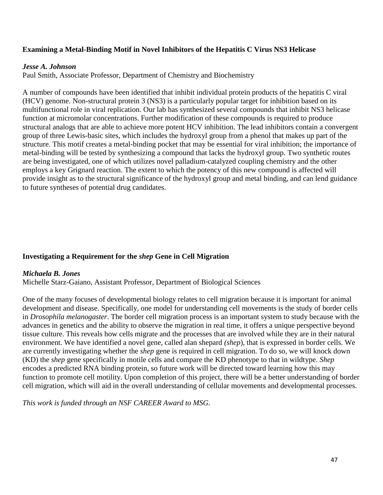### **Examining a Metal-Binding Motif in Novel Inhibitors of the Hepatitis C Virus NS3 Helicase**

#### *Jesse A. Johnson*

Paul Smith, Associate Professor, Department of Chemistry and Biochemistry

A number of compounds have been identified that inhibit individual protein products of the hepatitis C viral (HCV) genome. Non-structural protein 3 (NS3) is a particularly popular target for inhibition based on its multifunctional role in viral replication. Our lab has synthesized several compounds that inhibit NS3 helicase function at micromolar concentrations. Further modification of these compounds is required to produce structural analogs that are able to achieve more potent HCV inhibition. The lead inhibitors contain a convergent group of three Lewis-basic sites, which includes the hydroxyl group from a phenol that makes up part of the structure. This motif creates a metal-binding pocket that may be essential for viral inhibition; the importance of metal-binding will be tested by synthesizing a compound that lacks the hydroxyl group. Two synthetic routes are being investigated, one of which utilizes novel palladium-catalyzed coupling chemistry and the other employs a key Grignard reaction. The extent to which the potency of this new compound is affected will provide insight as to the structural significance of the hydroxyl group and metal binding, and can lend guidance to future syntheses of potential drug candidates.

## **Investigating a Requirement for the** *shep* **Gene in Cell Migration**

### *Michaela B. Jones*

Michelle Starz-Gaiano, Assistant Professor, Department of Biological Sciences

One of the many focuses of developmental biology relates to cell migration because it is important for animal development and disease. Specifically, one model for understanding cell movements is the study of border cells in *Drosophila melanogaster*. The border cell migration process is an important system to study because with the advances in genetics and the ability to observe the migration in real time, it offers a unique perspective beyond tissue culture. This reveals how cells migrate and the processes that are involved while they are in their natural environment. We have identified a novel gene, called alan shepard *(shep*), that is expressed in border cells. We are currently investigating whether the *shep* gene is required in cell migration. To do so, we will knock down (KD) the *shep* gene specifically in motile cells and compare the KD phenotype to that in wildtype. *Shep* encodes a predicted RNA binding protein, so future work will be directed toward learning how this may function to promote cell motility. Upon completion of this project, there will be a better understanding of border cell migration, which will aid in the overall understanding of cellular movements and developmental processes.

*This work is funded through an NSF CAREER Award to MSG.*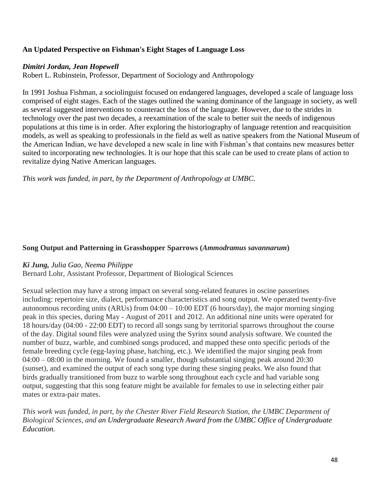# **An Updated Perspective on Fishman's Eight Stages of Language Loss**

### *Dimitri Jordan, Jean Hopewell*

Robert L. Rubinstein, Professor, Department of Sociology and Anthropology

In 1991 Joshua Fishman, a sociolinguist focused on endangered languages, developed a scale of language loss comprised of eight stages. Each of the stages outlined the waning dominance of the language in society, as well as several suggested interventions to counteract the loss of the language. However, due to the strides in technology over the past two decades, a reexamination of the scale to better suit the needs of indigenous populations at this time is in order. After exploring the historiography of language retention and reacquisition models, as well as speaking to professionals in the field as well as native speakers from the National Museum of the American Indian, we have developed a new scale in line with Fishman's that contains new measures better suited to incorporating new technologies. It is our hope that this scale can be used to create plans of action to revitalize dying Native American languages.

*This work was funded, in part, by the Department of Anthropology at UMBC.*

### **Song Output and Patterning in Grasshopper Sparrows (***Ammodramus savannarum***)**

### *Ki Jung, Julia Gao, Neema Philippe*

Bernard Lohr, Assistant Professor, Department of Biological Sciences

Sexual selection may have a strong impact on several song-related features in oscine passerines including: repertoire size, dialect, performance characteristics and song output. We operated twenty-five autonomous recording units (ARUs) from 04:00 – 10:00 EDT (6 hours/day), the major morning singing peak in this species, during May - August of 2011 and 2012. An additional nine units were operated for 18 hours/day (04:00 - 22:00 EDT) to record all songs sung by territorial sparrows throughout the course of the day. Digital sound files were analyzed using the Syrinx sound analysis software. We counted the number of buzz, warble, and combined songs produced, and mapped these onto specific periods of the female breeding cycle (egg-laying phase, hatching, etc.). We identified the major singing peak from 04:00 – 08:00 in the morning. We found a smaller, though substantial singing peak around 20:30 (sunset), and examined the output of each song type during these singing peaks. We also found that birds gradually transitioned from buzz to warble song throughout each cycle and had variable song output, suggesting that this song feature might be available for females to use in selecting either pair mates or extra-pair mates.

*This work was funded, in part, by the Chester River Field Research Station, the UMBC Department of Biological Sciences, and an Undergraduate Research Award from the UMBC Office of Undergraduate Education.*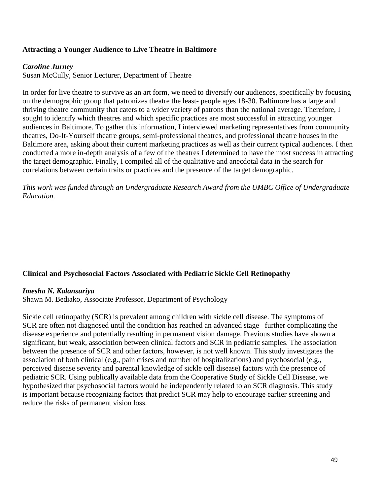## **Attracting a Younger Audience to Live Theatre in Baltimore**

#### *Caroline Jurney*

Susan McCully, Senior Lecturer, Department of Theatre

In order for live theatre to survive as an art form, we need to diversify our audiences, specifically by focusing on the demographic group that patronizes theatre the least- people ages 18-30. Baltimore has a large and thriving theatre community that caters to a wider variety of patrons than the national average. Therefore, I sought to identify which theatres and which specific practices are most successful in attracting younger audiences in Baltimore. To gather this information, I interviewed marketing representatives from community theatres, Do-It-Yourself theatre groups, semi-professional theatres, and professional theatre houses in the Baltimore area, asking about their current marketing practices as well as their current typical audiences. I then conducted a more in-depth analysis of a few of the theatres I determined to have the most success in attracting the target demographic. Finally, I compiled all of the qualitative and anecdotal data in the search for correlations between certain traits or practices and the presence of the target demographic.

*This work was funded through an Undergraduate Research Award from the UMBC Office of Undergraduate Education.*

### **Clinical and Psychosocial Factors Associated with Pediatric Sickle Cell Retinopathy**

#### *Imesha N. Kalansuriya*

Shawn M. Bediako, Associate Professor, Department of Psychology

Sickle cell retinopathy (SCR) is prevalent among children with sickle cell disease. The symptoms of SCR are often not diagnosed until the condition has reached an advanced stage –further complicating the disease experience and potentially resulting in permanent vision damage. Previous studies have shown a significant, but weak, association between clinical factors and SCR in pediatric samples. The association between the presence of SCR and other factors, however, is not well known. This study investigates the association of both clinical (e.g., pain crises and number of hospitalizations**)** and psychosocial (e.g., perceived disease severity and parental knowledge of sickle cell disease) factors with the presence of pediatric SCR. Using publically available data from the Cooperative Study of Sickle Cell Disease, we hypothesized that psychosocial factors would be independently related to an SCR diagnosis. This study is important because recognizing factors that predict SCR may help to encourage earlier screening and reduce the risks of permanent vision loss.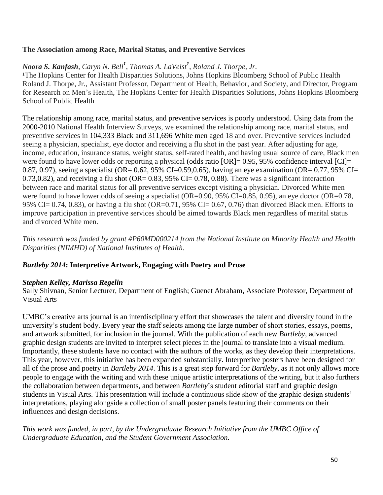### **The Association among Race, Marital Status, and Preventive Services**

# *Noora S. Kanfash, Caryn N. Bell<sup>1</sup> , Thomas A. LaVeist<sup>1</sup> , Roland J. Thorpe, Jr.*

<sup>1</sup>The Hopkins Center for Health Disparities Solutions, Johns Hopkins Bloomberg School of Public Health Roland J. Thorpe, Jr., Assistant Professor, Department of Health, Behavior, and Society, and Director, Program for Research on Men's Health, The Hopkins Center for Health Disparities Solutions, Johns Hopkins Bloomberg School of Public Health

The relationship among race, marital status, and preventive services is poorly understood. Using data from the 2000-2010 National Health Interview Surveys, we examined the relationship among race, marital status, and preventive services in 104,333 Black and 311,696 White men aged 18 and over. Preventive services included seeing a physician, specialist, eye doctor and receiving a flu shot in the past year. After adjusting for age, income, education, insurance status, weight status, self-rated health, and having usual source of care, Black men were found to have lower odds or reporting a physical (odds ratio [OR]= 0.95, 95% confidence interval [CI]= 0.87, 0.97), seeing a specialist (OR= 0.62, 95% CI=0.59,0.65), having an eye examination (OR= 0.77, 95% CI= 0.73,0.82), and receiving a flu shot (OR=  $0.83$ , 95% CI= 0.78, 0.88). There was a significant interaction between race and marital status for all preventive services except visiting a physician. Divorced White men were found to have lower odds of seeing a specialist (OR=0.90, 95% CI=0.85, 0.95), an eye doctor (OR=0.78, 95% CI= 0.74, 0.83), or having a flu shot (OR=0.71, 95% CI= 0.67, 0.76) than divorced Black men. Efforts to improve participation in preventive services should be aimed towards Black men regardless of marital status and divorced White men.

*This research was funded by grant #P60MD000214 from the National Institute on Minority Health and Health Disparities (NIMHD) of National Institutes of Health.*

## *Bartleby 2014***: Interpretive Artwork, Engaging with Poetry and Prose**

### *Stephen Kelley, Marissa Regelin*

Sally Shivnan, Senior Lecturer, Department of English; Guenet Abraham, Associate Professor, Department of Visual Arts

UMBC's creative arts journal is an interdisciplinary effort that showcases the talent and diversity found in the university's student body. Every year the staff selects among the large number of short stories, essays, poems, and artwork submitted, for inclusion in the journal. With the publication of each new *Bartleby*, advanced graphic design students are invited to interpret select pieces in the journal to translate into a visual medium. Importantly, these students have no contact with the authors of the works, as they develop their interpretations. This year, however, this initiative has been expanded substantially. Interpretive posters have been designed for all of the prose and poetry in *Bartleby 2014*. This is a great step forward for *Bartleby*, as it not only allows more people to engage with the writing and with these unique artistic interpretations of the writing, but it also furthers the collaboration between departments, and between *Bartleby*'s student editorial staff and graphic design students in Visual Arts. This presentation will include a continuous slide show of the graphic design students' interpretations, playing alongside a collection of small poster panels featuring their comments on their influences and design decisions.

*This work was funded, in part, by the Undergraduate Research Initiative from the UMBC Office of Undergraduate Education, and the Student Government Association.*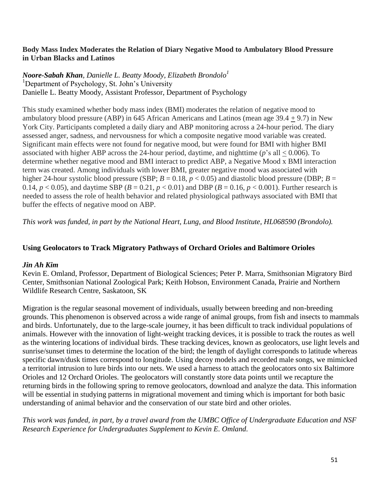### **Body Mass Index Moderates the Relation of Diary Negative Mood to Ambulatory Blood Pressure in Urban Blacks and Latinos**

### *Noore-Sabah Khan, Danielle L. Beatty Moody, Elizabeth Brondolo<sup>1</sup>* <sup>1</sup>Department of Psychology, St. John's University Danielle L. Beatty Moody, Assistant Professor, Department of Psychology

This study examined whether body mass index (BMI) moderates the relation of negative mood to ambulatory blood pressure (ABP) in 645 African Americans and Latinos (mean age 39.4 + 9.7) in New York City. Participants completed a daily diary and ABP monitoring across a 24-hour period. The diary assessed anger, sadness, and nervousness for which a composite negative mood variable was created. Significant main effects were not found for negative mood, but were found for BMI with higher BMI associated with higher ABP across the 24-hour period, daytime, and nighttime (*p*'s all < 0.006). To determine whether negative mood and BMI interact to predict ABP, a Negative Mood x BMI interaction term was created. Among individuals with lower BMI, greater negative mood was associated with higher 24-hour systolic blood pressure (SBP;  $B = 0.18$ ,  $p < 0.05$ ) and diastolic blood pressure (DBP;  $B =$ 0.14,  $p < 0.05$ ), and daytime SBP ( $B = 0.21$ ,  $p < 0.01$ ) and DBP ( $B = 0.16$ ,  $p < 0.001$ ). Further research is needed to assess the role of health behavior and related physiological pathways associated with BMI that buffer the effects of negative mood on ABP.

*This work was funded, in part by the National Heart, Lung, and Blood Institute, HL068590 (Brondolo).* 

## **Using Geolocators to Track Migratory Pathways of Orchard Orioles and Baltimore Orioles**

### *Jin Ah Kim*

Kevin E. Omland, Professor, Department of Biological Sciences; Peter P. Marra, Smithsonian Migratory Bird Center, Smithsonian National Zoological Park; Keith Hobson, Environment Canada, Prairie and Northern Wildlife Research Centre, Saskatoon, SK

Migration is the regular seasonal movement of individuals, usually between breeding and non-breeding grounds. This phenomenon is observed across a wide range of animal groups, from fish and insects to mammals and birds. Unfortunately, due to the large-scale journey, it has been difficult to track individual populations of animals. However with the innovation of light-weight tracking devices, it is possible to track the routes as well as the wintering locations of individual birds. These tracking devices, known as geolocators, use light levels and sunrise/sunset times to determine the location of the bird; the length of daylight corresponds to latitude whereas specific dawn/dusk times correspond to longitude. Using decoy models and recorded male songs, we mimicked a territorial intrusion to lure birds into our nets. We used a harness to attach the geolocators onto six Baltimore Orioles and 12 Orchard Orioles. The geolocators will constantly store data points until we recapture the returning birds in the following spring to remove geolocators, download and analyze the data. This information will be essential in studying patterns in migrational movement and timing which is important for both basic understanding of animal behavior and the conservation of our state bird and other orioles.

*This work was funded, in part, by a travel award from the UMBC Office of Undergraduate Education and NSF Research Experience for Undergraduates Supplement to Kevin E. Omland.*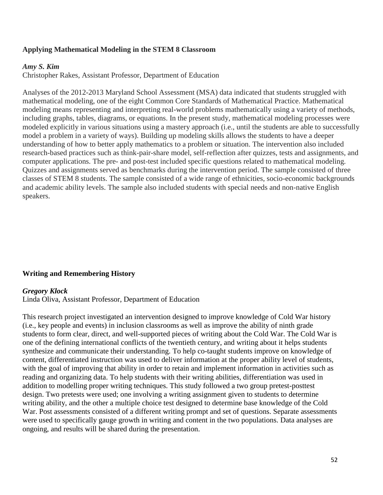### **Applying Mathematical Modeling in the STEM 8 Classroom**

#### *Amy S. Kim*

Christopher Rakes, Assistant Professor, Department of Education

Analyses of the 2012-2013 Maryland School Assessment (MSA) data indicated that students struggled with mathematical modeling, one of the eight Common Core Standards of Mathematical Practice. Mathematical modeling means representing and interpreting real-world problems mathematically using a variety of methods, including graphs, tables, diagrams, or equations. In the present study, mathematical modeling processes were modeled explicitly in various situations using a mastery approach (i.e., until the students are able to successfully model a problem in a variety of ways). Building up modeling skills allows the students to have a deeper understanding of how to better apply mathematics to a problem or situation. The intervention also included research-based practices such as think-pair-share model, self-reflection after quizzes, tests and assignments, and computer applications. The pre- and post-test included specific questions related to mathematical modeling. Quizzes and assignments served as benchmarks during the intervention period. The sample consisted of three classes of STEM 8 students. The sample consisted of a wide range of ethnicities, socio-economic backgrounds and academic ability levels. The sample also included students with special needs and non-native English speakers.

### **Writing and Remembering History**

#### *Gregory Klock*

Linda Oliva, Assistant Professor, Department of Education

This research project investigated an intervention designed to improve knowledge of Cold War history (i.e., key people and events) in inclusion classrooms as well as improve the ability of ninth grade students to form clear, direct, and well-supported pieces of writing about the Cold War. The Cold War is one of the defining international conflicts of the twentieth century, and writing about it helps students synthesize and communicate their understanding. To help co-taught students improve on knowledge of content, differentiated instruction was used to deliver information at the proper ability level of students, with the goal of improving that ability in order to retain and implement information in activities such as reading and organizing data. To help students with their writing abilities, differentiation was used in addition to modelling proper writing techniques. This study followed a two group pretest-posttest design. Two pretests were used; one involving a writing assignment given to students to determine writing ability, and the other a multiple choice test designed to determine base knowledge of the Cold War. Post assessments consisted of a different writing prompt and set of questions. Separate assessments were used to specifically gauge growth in writing and content in the two populations. Data analyses are ongoing, and results will be shared during the presentation.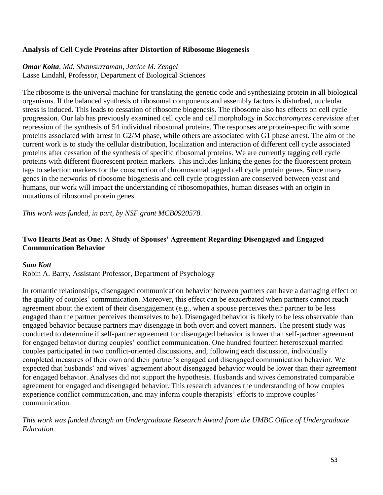### **Analysis of Cell Cycle Proteins after Distortion of Ribosome Biogenesis**

#### *Omar Koita, Md. Shamsuzzaman, Janice M. Zengel* Lasse Lindahl, Professor, Department of Biological Sciences

The ribosome is the universal machine for translating the genetic code and synthesizing protein in all biological organisms. If the balanced synthesis of ribosomal components and assembly factors is disturbed, nucleolar stress is induced. This leads to cessation of ribosome biogenesis. The ribosome also has effects on cell cycle progression. Our lab has previously examined cell cycle and cell morphology in *Saccharomyces cerevisiae* after repression of the synthesis of 54 individual ribosomal proteins. The responses are protein-specific with some proteins associated with arrest in G2/M phase, while others are associated with G1 phase arrest. The aim of the current work is to study the cellular distribution, localization and interaction of different cell cycle associated proteins after cessation of the synthesis of specific ribosomal proteins. We are currently tagging cell cycle proteins with different fluorescent protein markers. This includes linking the genes for the fluorescent protein tags to selection markers for the construction of chromosomal tagged cell cycle protein genes. Since many genes in the networks of ribosome biogenesis and cell cycle progression are conserved between yeast and humans, our work will impact the understanding of ribosomopathies, human diseases with an origin in mutations of ribosomal protein genes.

*This work was funded, in part, by NSF grant MCB0920578.*

# **Two Hearts Beat as One: A Study of Spouses' Agreement Regarding Disengaged and Engaged Communication Behavior**

## *Sam Kott*

Robin A. Barry, Assistant Professor, Department of Psychology

In romantic relationships, disengaged communication behavior between partners can have a damaging effect on the quality of couples' communication. Moreover, this effect can be exacerbated when partners cannot reach agreement about the extent of their disengagement (e.g., when a spouse perceives their partner to be less engaged than the partner perceives themselves to be). Disengaged behavior is likely to be less observable than engaged behavior because partners may disengage in both overt and covert manners. The present study was conducted to determine if self-partner agreement for disengaged behavior is lower than self-partner agreement for engaged behavior during couples' conflict communication. One hundred fourteen heterosexual married couples participated in two conflict-oriented discussions, and, following each discussion, individually completed measures of their own and their partner's engaged and disengaged communication behavior. We expected that husbands' and wives' agreement about disengaged behavior would be lower than their agreement for engaged behavior. Analyses did not support the hypothesis. Husbands and wives demonstrated comparable agreement for engaged and disengaged behavior. This research advances the understanding of how couples experience conflict communication, and may inform couple therapists' efforts to improve couples' communication.

*This work was funded through an Undergraduate Research Award from the UMBC Office of Undergraduate Education.*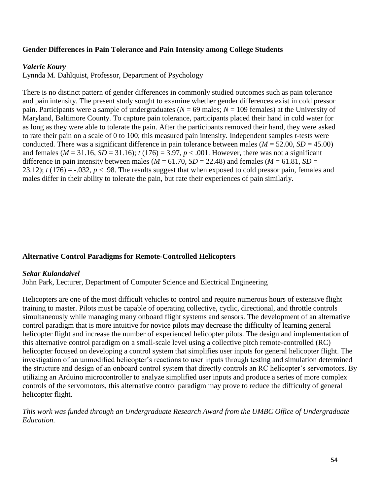### **Gender Differences in Pain Tolerance and Pain Intensity among College Students**

#### *Valerie Koury*

Lynnda M. Dahlquist, Professor, Department of Psychology

There is no distinct pattern of gender differences in commonly studied outcomes such as pain tolerance and pain intensity. The present study sought to examine whether gender differences exist in cold pressor pain. Participants were a sample of undergraduates (*N* = 69 males; *N* = 109 females) at the University of Maryland, Baltimore County. To capture pain tolerance, participants placed their hand in cold water for as long as they were able to tolerate the pain. After the participants removed their hand, they were asked to rate their pain on a scale of 0 to 100; this measured pain intensity. Independent samples *t-*tests were conducted. There was a significant difference in pain tolerance between males ( $M = 52.00$ ,  $SD = 45.00$ ) and females ( $M = 31.16$ ,  $SD = 31.16$ );  $t (176) = 3.97$ ,  $p < .001$ . However, there was not a significant difference in pain intensity between males ( $M = 61.70$ ,  $SD = 22.48$ ) and females ( $M = 61.81$ ,  $SD =$ 23.12);  $t(176) = -0.032$ ,  $p < 0.98$ . The results suggest that when exposed to cold pressor pain, females and males differ in their ability to tolerate the pain, but rate their experiences of pain similarly.

### **Alternative Control Paradigms for Remote-Controlled Helicopters**

#### *Sekar Kulandaivel*

John Park, Lecturer, Department of Computer Science and Electrical Engineering

Helicopters are one of the most difficult vehicles to control and require numerous hours of extensive flight training to master. Pilots must be capable of operating collective, cyclic, directional, and throttle controls simultaneously while managing many onboard flight systems and sensors. The development of an alternative control paradigm that is more intuitive for novice pilots may decrease the difficulty of learning general helicopter flight and increase the number of experienced helicopter pilots. The design and implementation of this alternative control paradigm on a small-scale level using a collective pitch remote-controlled (RC) helicopter focused on developing a control system that simplifies user inputs for general helicopter flight. The investigation of an unmodified helicopter's reactions to user inputs through testing and simulation determined the structure and design of an onboard control system that directly controls an RC helicopter's servomotors. By utilizing an Arduino microcontroller to analyze simplified user inputs and produce a series of more complex controls of the servomotors, this alternative control paradigm may prove to reduce the difficulty of general helicopter flight.

*This work was funded through an Undergraduate Research Award from the UMBC Office of Undergraduate Education.*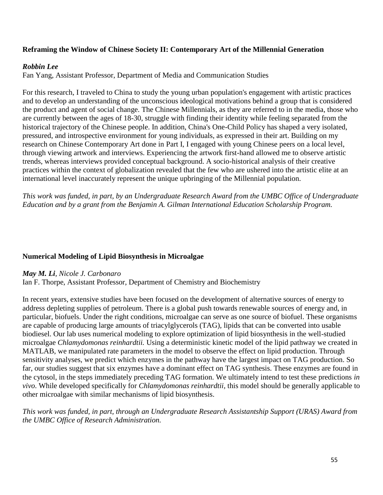### **Reframing the Window of Chinese Society II: Contemporary Art of the Millennial Generation**

#### *Robbin Lee*

Fan Yang, Assistant Professor, Department of Media and Communication Studies

For this research, I traveled to China to study the young urban population's engagement with artistic practices and to develop an understanding of the unconscious ideological motivations behind a group that is considered the product and agent of social change. The Chinese Millennials, as they are referred to in the media, those who are currently between the ages of 18-30, struggle with finding their identity while feeling separated from the historical trajectory of the Chinese people. In addition, China's One-Child Policy has shaped a very isolated, pressured, and introspective environment for young individuals, as expressed in their art. Building on my research on Chinese Contemporary Art done in Part I, I engaged with young Chinese peers on a local level, through viewing artwork and interviews. Experiencing the artwork first-hand allowed me to observe artistic trends, whereas interviews provided conceptual background. A socio-historical analysis of their creative practices within the context of globalization revealed that the few who are ushered into the artistic elite at an international level inaccurately represent the unique upbringing of the Millennial population.

*This work was funded, in part, by an Undergraduate Research Award from the UMBC Office of Undergraduate Education and by a grant from the Benjamin A. Gilman International Education Scholarship Program.*

### **Numerical Modeling of Lipid Biosynthesis in Microalgae**

#### *May M. Li, Nicole J. Carbonaro*

Ian F. Thorpe, Assistant Professor, Department of Chemistry and Biochemistry

In recent years, extensive studies have been focused on the development of alternative sources of energy to address depleting supplies of petroleum. There is a global push towards renewable sources of energy and, in particular, biofuels. Under the right conditions, microalgae can serve as one source of biofuel. These organisms are capable of producing large amounts of triacylglycerols (TAG), lipids that can be converted into usable biodiesel. Our lab uses numerical modeling to explore optimization of lipid biosynthesis in the well-studied microalgae *Chlamydomonas reinhardtii.* Using a deterministic kinetic model of the lipid pathway we created in MATLAB, we manipulated rate parameters in the model to observe the effect on lipid production. Through sensitivity analyses, we predict which enzymes in the pathway have the largest impact on TAG production. So far, our studies suggest that six enzymes have a dominant effect on TAG synthesis. These enzymes are found in the cytosol, in the steps immediately preceding TAG formation. We ultimately intend to test these predictions *in vivo*. While developed specifically for *Chlamydomonas reinhardtii,* this model should be generally applicable to other microalgae with similar mechanisms of lipid biosynthesis.

*This work was funded, in part, through an Undergraduate Research Assistantship Support (URAS) Award from the UMBC Office of Research Administration.*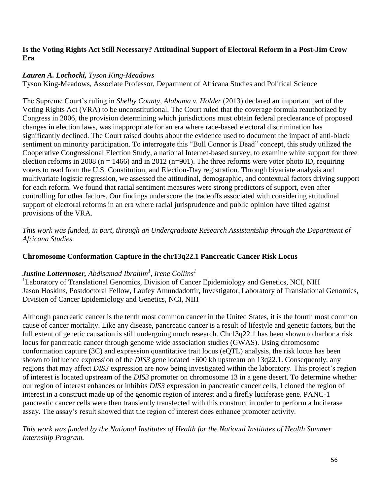# **Is the Voting Rights Act Still Necessary? Attitudinal Support of Electoral Reform in a Post-Jim Crow Era**

# *Lauren A. Lochocki, Tyson King-Meadows*

Tyson King-Meadows, Associate Professor, Department of Africana Studies and Political Science

The Supreme Court's ruling in *Shelby County, Alabama v. Holder* (2013) declared an important part of the Voting Rights Act (VRA) to be unconstitutional. The Court ruled that the coverage formula reauthorized by Congress in 2006, the provision determining which jurisdictions must obtain federal preclearance of proposed changes in election laws, was inappropriate for an era where race-based electoral discrimination has significantly declined. The Court raised doubts about the evidence used to document the impact of anti-black sentiment on minority participation. To interrogate this "Bull Connor is Dead" concept, this study utilized the Cooperative Congressional Election Study, a national Internet-based survey, to examine white support for three election reforms in 2008 (n = 1466) and in 2012 (n=901). The three reforms were voter photo ID, requiring voters to read from the U.S. Constitution, and Election-Day registration. Through bivariate analysis and multivariate logistic regression, we assessed the attitudinal, demographic, and contextual factors driving support for each reform. We found that racial sentiment measures were strong predictors of support, even after controlling for other factors. Our findings underscore the tradeoffs associated with considering attitudinal support of electoral reforms in an era where racial jurisprudence and public opinion have tilted against provisions of the VRA.

*This work was funded, in part, through an Undergraduate Research Assistantship through the Department of Africana Studies.*

# **Chromosome Conformation Capture in the chr13q22.1 Pancreatic Cancer Risk Locus**

# *Justine Lottermoser, Abdisamad Ibrahim<sup>1</sup> , Irene Collins<sup>1</sup>*

<sup>1</sup>Laboratory of Translational Genomics, Division of Cancer Epidemiology and Genetics, NCI, NIH Jason Hoskins, Postdoctoral Fellow, Laufey Amundadottir, Investigator, Laboratory of Translational Genomics, Division of Cancer Epidemiology and Genetics, NCI, NIH

Although pancreatic cancer is the tenth most common cancer in the United States, it is the fourth most common cause of cancer mortality. Like any disease, pancreatic cancer is a result of lifestyle and genetic factors, but the full extent of genetic causation is still undergoing much research. Chr13q22.1 has been shown to harbor a risk locus for pancreatic cancer through genome wide association studies (GWAS). Using chromosome conformation capture (3C) and expression quantitative trait locus (eQTL) analysis, the risk locus has been shown to influence expression of the *DIS3* gene located ~600 kb upstream on 13q22.1. Consequently, any regions that may affect *DIS3* expression are now being investigated within the laboratory. This project's region of interest is located upstream of the *DIS3* promoter on chromosome 13 in a gene desert. To determine whether our region of interest enhances or inhibits *DIS3* expression in pancreatic cancer cells, I cloned the region of interest in a construct made up of the genomic region of interest and a firefly luciferase gene. PANC-1 pancreatic cancer cells were then transiently transfected with this construct in order to perform a luciferase assay. The assay's result showed that the region of interest does enhance promoter activity.

# *This work was funded by the National Institutes of Health for the National Institutes of Health Summer Internship Program.*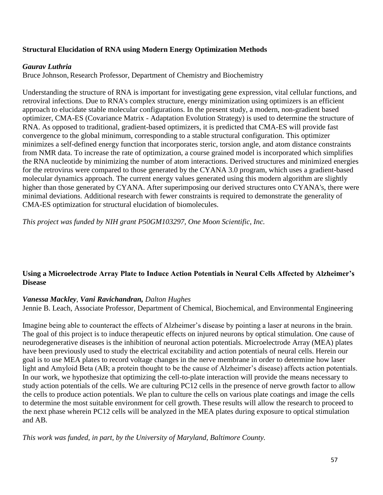## **Structural Elucidation of RNA using Modern Energy Optimization Methods**

### *Gaurav Luthria*

Bruce Johnson, Research Professor, Department of Chemistry and Biochemistry

Understanding the structure of RNA is important for investigating gene expression, vital cellular functions, and retroviral infections. Due to RNA's complex structure, energy minimization using optimizers is an efficient approach to elucidate stable molecular configurations. In the present study, a modern, non-gradient based optimizer, CMA-ES (Covariance Matrix - Adaptation Evolution Strategy) is used to determine the structure of RNA. As opposed to traditional, gradient-based optimizers, it is predicted that CMA-ES will provide fast convergence to the global minimum, corresponding to a stable structural configuration. This optimizer minimizes a self-defined energy function that incorporates steric, torsion angle, and atom distance constraints from NMR data. To increase the rate of optimization, a course grained model is incorporated which simplifies the RNA nucleotide by minimizing the number of atom interactions. Derived structures and minimized energies for the retrovirus were compared to those generated by the CYANA 3.0 program, which uses a gradient-based molecular dynamics approach. The current energy values generated using this modern algorithm are slightly higher than those generated by CYANA. After superimposing our derived structures onto CYANA's, there were minimal deviations. Additional research with fewer constraints is required to demonstrate the generality of CMA-ES optimization for structural elucidation of biomolecules.

*This project was funded by NIH grant P50GM103297, One Moon Scientific, Inc.*

# **Using a Microelectrode Array Plate to Induce Action Potentials in Neural Cells Affected by Alzheimer's Disease**

### *Vanessa Mackley, Vani Ravichandran, Dalton Hughes*

Jennie B. Leach, Associate Professor, Department of Chemical, Biochemical, and Environmental Engineering

Imagine being able to counteract the effects of Alzheimer's disease by pointing a laser at neurons in the brain. The goal of this project is to induce therapeutic effects on injured neurons by optical stimulation. One cause of neurodegenerative diseases is the inhibition of neuronal action potentials. Microelectrode Array (MEA) plates have been previously used to study the electrical excitability and action potentials of neural cells. Herein our goal is to use MEA plates to record voltage changes in the nerve membrane in order to determine how laser light and Amyloid Beta (AB; a protein thought to be the cause of Alzheimer's disease) affects action potentials. In our work, we hypothesize that optimizing the cell-to-plate interaction will provide the means necessary to study action potentials of the cells. We are culturing PC12 cells in the presence of nerve growth factor to allow the cells to produce action potentials. We plan to culture the cells on various plate coatings and image the cells to determine the most suitable environment for cell growth. These results will allow the research to proceed to the next phase wherein PC12 cells will be analyzed in the MEA plates during exposure to optical stimulation and AB.

*This work was funded, in part, by the University of Maryland, Baltimore County.*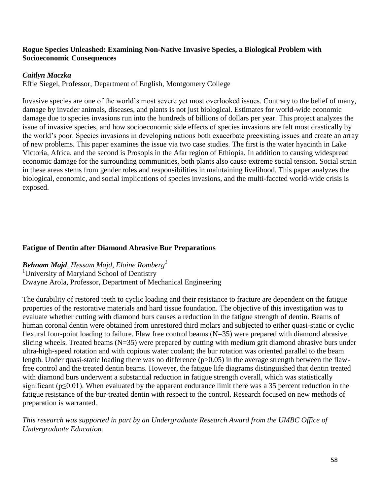### **Rogue Species Unleashed: Examining Non-Native Invasive Species, a Biological Problem with Socioeconomic Consequences**

### *Caitlyn Maczka*

Effie Siegel, Professor, Department of English, Montgomery College

Invasive species are one of the world's most severe yet most overlooked issues. Contrary to the belief of many, damage by invader animals, diseases, and plants is not just biological. Estimates for world-wide economic damage due to species invasions run into the hundreds of billions of dollars per year. This project analyzes the issue of invasive species, and how socioeconomic side effects of species invasions are felt most drastically by the world's poor. Species invasions in developing nations both exacerbate preexisting issues and create an array of new problems. This paper examines the issue via two case studies. The first is the water hyacinth in Lake Victoria, Africa, and the second is Prosopis in the Afar region of Ethiopia. In addition to causing widespread economic damage for the surrounding communities, both plants also cause extreme social tension. Social strain in these areas stems from gender roles and responsibilities in maintaining livelihood. This paper analyzes the biological, economic, and social implications of species invasions, and the multi-faceted world-wide crisis is exposed.

### **Fatigue of Dentin after Diamond Abrasive Bur Preparations**

*Behnam Majd, Hessam Majd, Elaine Romberg<sup>1</sup>* <sup>1</sup>University of Maryland School of Dentistry Dwayne Arola, Professor, Department of Mechanical Engineering

The durability of restored teeth to cyclic loading and their resistance to fracture are dependent on the fatigue properties of the restorative materials and hard tissue foundation. The objective of this investigation was to evaluate whether cutting with diamond burs causes a reduction in the fatigue strength of dentin. Beams of human coronal dentin were obtained from unrestored third molars and subjected to either quasi-static or cyclic flexural four-point loading to failure. Flaw free control beams (N=35) were prepared with diamond abrasive slicing wheels. Treated beams (N=35) were prepared by cutting with medium grit diamond abrasive burs under ultra-high-speed rotation and with copious water coolant; the bur rotation was oriented parallel to the beam length. Under quasi-static loading there was no difference (p>0.05) in the average strength between the flawfree control and the treated dentin beams. However, the fatigue life diagrams distinguished that dentin treated with diamond burs underwent a substantial reduction in fatigue strength overall, which was statistically significant ( $p \le 0.01$ ). When evaluated by the apparent endurance limit there was a 35 percent reduction in the fatigue resistance of the bur-treated dentin with respect to the control. Research focused on new methods of preparation is warranted.

*This research was supported in part by an Undergraduate Research Award from the UMBC Office of Undergraduate Education.*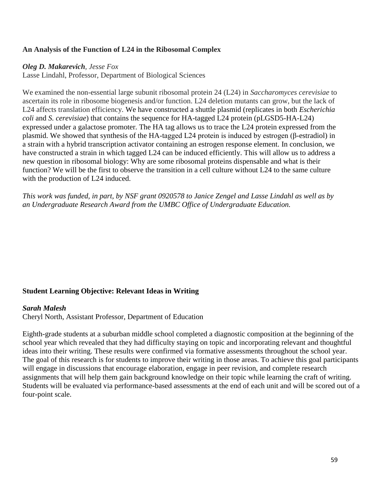### **An Analysis of the Function of L24 in the Ribosomal Complex**

#### *Oleg D. Makarevich, Jesse Fox*

Lasse Lindahl, Professor, Department of Biological Sciences

We examined the non-essential large subunit ribosomal protein 24 (L24) in *Saccharomyces cerevisiae* to ascertain its role in ribosome biogenesis and/or function. L24 deletion mutants can grow, but the lack of L24 affects translation efficiency. We have constructed a shuttle plasmid (replicates in both *Escherichia coli* and *S. cerevisiae*) that contains the sequence for HA-tagged L24 protein (pLGSD5-HA-L24) expressed under a galactose promoter. The HA tag allows us to trace the L24 protein expressed from the plasmid. We showed that synthesis of the HA-tagged L24 protein is induced by estrogen (β-estradiol) in a strain with a hybrid transcription activator containing an estrogen response element. In conclusion, we have constructed a strain in which tagged L24 can be induced efficiently. This will allow us to address a new question in ribosomal biology: Why are some ribosomal proteins dispensable and what is their function? We will be the first to observe the transition in a cell culture without L24 to the same culture with the production of L24 induced.

*This work was funded, in part, by NSF grant 0920578 to Janice Zengel and Lasse Lindahl as well as by an Undergraduate Research Award from the UMBC Office of Undergraduate Education.*

### **Student Learning Objective: Relevant Ideas in Writing**

### *Sarah Malesh*

Cheryl North, Assistant Professor, Department of Education

Eighth-grade students at a suburban middle school completed a diagnostic composition at the beginning of the school year which revealed that they had difficulty staying on topic and incorporating relevant and thoughtful ideas into their writing. These results were confirmed via formative assessments throughout the school year. The goal of this research is for students to improve their writing in those areas. To achieve this goal participants will engage in discussions that encourage elaboration, engage in peer revision, and complete research assignments that will help them gain background knowledge on their topic while learning the craft of writing. Students will be evaluated via performance-based assessments at the end of each unit and will be scored out of a four-point scale.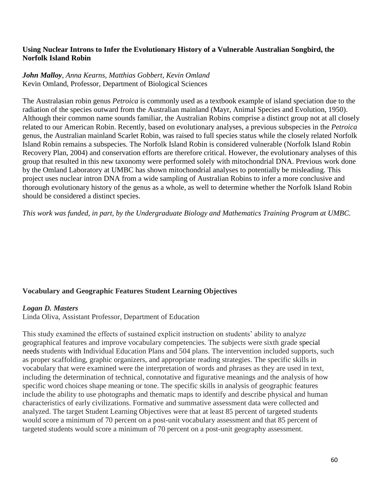### **Using Nuclear Introns to Infer the Evolutionary History of a Vulnerable Australian Songbird, the Norfolk Island Robin**

### *John Malloy, Anna Kearns, Matthias Gobbert, Kevin Omland* Kevin Omland, Professor, Department of Biological Sciences

The Australasian robin genus *Petroica* is commonly used as a textbook example of island speciation due to the radiation of the species outward from the Australian mainland (Mayr, Animal Species and Evolution, 1950). Although their common name sounds familiar, the Australian Robins comprise a distinct group not at all closely related to our American Robin. Recently, based on evolutionary analyses, a previous subspecies in the *Petroica*  genus, the Australian mainland Scarlet Robin*,* was raised to full species status while the closely related Norfolk Island Robin remains a subspecies. The Norfolk Island Robin is considered vulnerable (Norfolk Island Robin Recovery Plan, 2004) and conservation efforts are therefore critical. However, the evolutionary analyses of this group that resulted in this new taxonomy were performed solely with mitochondrial DNA. Previous work done by the Omland Laboratory at UMBC has shown mitochondrial analyses to potentially be misleading. This project uses nuclear intron DNA from a wide sampling of Australian Robins to infer a more conclusive and thorough evolutionary history of the genus as a whole, as well to determine whether the Norfolk Island Robin should be considered a distinct species.

*This work was funded, in part, by the Undergraduate Biology and Mathematics Training Program at UMBC.*

## **Vocabulary and Geographic Features Student Learning Objectives**

### *Logan D. Masters*

Linda Oliva, Assistant Professor, Department of Education

This study examined the effects of sustained explicit instruction on students' ability to analyze geographical features and improve vocabulary competencies. The subjects were sixth grade special needs students with Individual Education Plans and 504 plans. The intervention included supports, such as proper scaffolding, graphic organizers, and appropriate reading strategies. The specific skills in vocabulary that were examined were the interpretation of words and phrases as they are used in text, including the determination of technical, connotative and figurative meanings and the analysis of how specific word choices shape meaning or tone. The specific skills in analysis of geographic features include the ability to use photographs and thematic maps to identify and describe physical and human characteristics of early civilizations. Formative and summative assessment data were collected and analyzed. The target Student Learning Objectives were that at least 85 percent of targeted students would score a minimum of 70 percent on a post-unit vocabulary assessment and that 85 percent of targeted students would score a minimum of 70 percent on a post-unit geography assessment.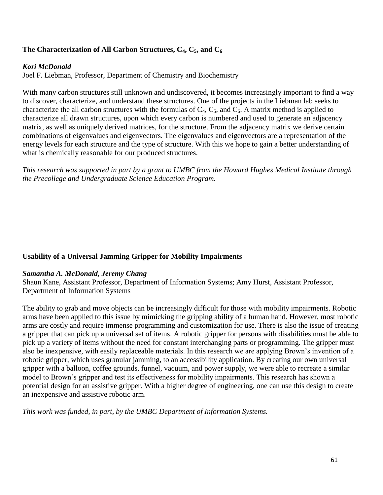# **The Characterization of All Carbon Structures, C4, C5, and C<sup>6</sup>**

# *Kori McDonald*

Joel F. Liebman, Professor, Department of Chemistry and Biochemistry

With many carbon structures still unknown and undiscovered, it becomes increasingly important to find a way to discover, characterize, and understand these structures. One of the projects in the Liebman lab seeks to characterize the all carbon structures with the formulas of  $C_4$ ,  $C_5$ , and  $C_6$ . A matrix method is applied to characterize all drawn structures, upon which every carbon is numbered and used to generate an adjacency matrix, as well as uniquely derived matrices, for the structure. From the adjacency matrix we derive certain combinations of eigenvalues and eigenvectors. The eigenvalues and eigenvectors are a representation of the energy levels for each structure and the type of structure. With this we hope to gain a better understanding of what is chemically reasonable for our produced structures.

*This research was supported in part by a grant to UMBC from the Howard Hughes Medical Institute through the Precollege and Undergraduate Science Education Program.*

## **Usability of a Universal Jamming Gripper for Mobility Impairments**

## *Samantha A. McDonald, Jeremy Chang*

Shaun Kane, Assistant Professor, Department of Information Systems; Amy Hurst, Assistant Professor, Department of Information Systems

The ability to grab and move objects can be increasingly difficult for those with mobility impairments. Robotic arms have been applied to this issue by mimicking the gripping ability of a human hand. However, most robotic arms are costly and require immense programming and customization for use. There is also the issue of creating a gripper that can pick up a universal set of items. A robotic gripper for persons with disabilities must be able to pick up a variety of items without the need for constant interchanging parts or programming. The gripper must also be inexpensive, with easily replaceable materials. In this research we are applying Brown's invention of a robotic gripper, which uses granular jamming, to an accessibility application. By creating our own universal gripper with a balloon, coffee grounds, funnel, vacuum, and power supply, we were able to recreate a similar model to Brown's gripper and test its effectiveness for mobility impairments. This research has shown a potential design for an assistive gripper. With a higher degree of engineering, one can use this design to create an inexpensive and assistive robotic arm.

*This work was funded, in part, by the UMBC Department of Information Systems.*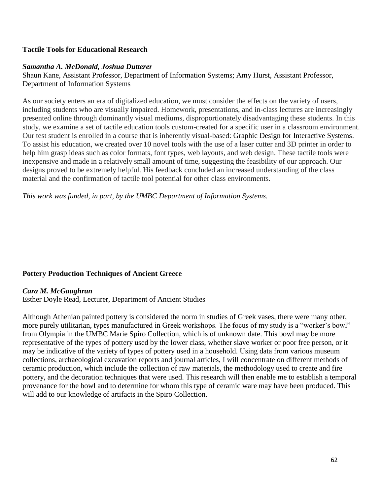### **Tactile Tools for Educational Research**

### *Samantha A. McDonald, Joshua Dutterer*

Shaun Kane, Assistant Professor, Department of Information Systems; Amy Hurst, Assistant Professor, Department of Information Systems

As our society enters an era of digitalized education, we must consider the effects on the variety of users, including students who are visually impaired. Homework, presentations, and in-class lectures are increasingly presented online through dominantly visual mediums, disproportionately disadvantaging these students. In this study, we examine a set of tactile education tools custom-created for a specific user in a classroom environment. Our test student is enrolled in a course that is inherently visual-based: Graphic Design for Interactive Systems. To assist his education, we created over 10 novel tools with the use of a laser cutter and 3D printer in order to help him grasp ideas such as color formats, font types, web layouts, and web design. These tactile tools were inexpensive and made in a relatively small amount of time, suggesting the feasibility of our approach. Our designs proved to be extremely helpful. His feedback concluded an increased understanding of the class material and the confirmation of tactile tool potential for other class environments.

*This work was funded, in part, by the UMBC Department of Information Systems.* 

## **Pottery Production Techniques of Ancient Greece**

### *Cara M. McGaughran*

Esther Doyle Read, Lecturer, Department of Ancient Studies

Although Athenian painted pottery is considered the norm in studies of Greek vases, there were many other, more purely utilitarian, types manufactured in Greek workshops. The focus of my study is a "worker's bowl" from Olympia in the UMBC Marie Spiro Collection, which is of unknown date. This bowl may be more representative of the types of pottery used by the lower class, whether slave worker or poor free person, or it may be indicative of the variety of types of pottery used in a household. Using data from various museum collections, archaeological excavation reports and journal articles, I will concentrate on different methods of ceramic production, which include the collection of raw materials, the methodology used to create and fire pottery, and the decoration techniques that were used. This research will then enable me to establish a temporal provenance for the bowl and to determine for whom this type of ceramic ware may have been produced. This will add to our knowledge of artifacts in the Spiro Collection.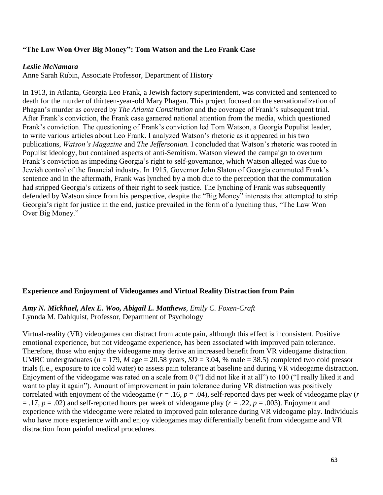### **"The Law Won Over Big Money": Tom Watson and the Leo Frank Case**

#### *Leslie McNamara*

Anne Sarah Rubin, Associate Professor, Department of History

In 1913, in Atlanta, Georgia Leo Frank, a Jewish factory superintendent, was convicted and sentenced to death for the murder of thirteen-year-old Mary Phagan. This project focused on the sensationalization of Phagan's murder as covered by *The Atlanta Constitution* and the coverage of Frank's subsequent trial. After Frank's conviction, the Frank case garnered national attention from the media, which questioned Frank's conviction. The questioning of Frank's conviction led Tom Watson, a Georgia Populist leader, to write various articles about Leo Frank. I analyzed Watson's rhetoric as it appeared in his two publications, *Watson's Magazine* and *The Jeffersonian.* I concluded that Watson's rhetoric was rooted in Populist ideology, but contained aspects of anti-Semitism. Watson viewed the campaign to overturn Frank's conviction as impeding Georgia's right to self-governance, which Watson alleged was due to Jewish control of the financial industry. In 1915, Governor John Slaton of Georgia commuted Frank's sentence and in the aftermath, Frank was lynched by a mob due to the perception that the commutation had stripped Georgia's citizens of their right to seek justice. The lynching of Frank was subsequently defended by Watson since from his perspective, despite the "Big Money" interests that attempted to strip Georgia's right for justice in the end, justice prevailed in the form of a lynching thus, "The Law Won Over Big Money."

### **Experience and Enjoyment of Videogames and Virtual Reality Distraction from Pain**

*Amy N. Mickhael, Alex E. Woo, Abigail L. Matthews, Emily C. Foxen-Craft* Lynnda M. Dahlquist, Professor, Department of Psychology

Virtual-reality (VR) videogames can distract from acute pain, although this effect is inconsistent. Positive emotional experience, but not videogame experience, has been associated with improved pain tolerance. Therefore, those who enjoy the videogame may derive an increased benefit from VR videogame distraction. UMBC undergraduates ( $n = 179$ , *M* age = 20.58 years, *SD* = 3.04, % male = 38.5) completed two cold pressor trials (i.e., exposure to ice cold water) to assess pain tolerance at baseline and during VR videogame distraction. Enjoyment of the videogame was rated on a scale from 0 ("I did not like it at all") to 100 ("I really liked it and want to play it again"). Amount of improvement in pain tolerance during VR distraction was positively correlated with enjoyment of the videogame  $(r = .16, p = .04)$ , self-reported days per week of videogame play  $(r = .16, p = .04)$ = .17, *p* = .02) and self-reported hours per week of videogame play (*r =* .22, *p* = .003). Enjoyment and experience with the videogame were related to improved pain tolerance during VR videogame play. Individuals who have more experience with and enjoy videogames may differentially benefit from videogame and VR distraction from painful medical procedures.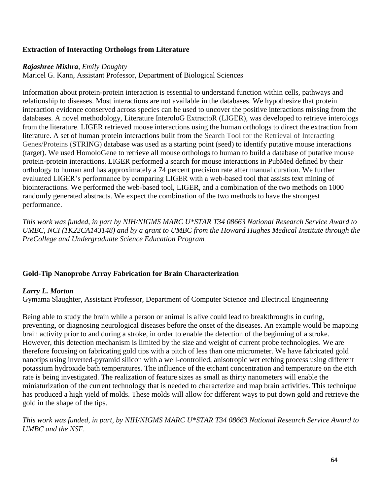# **Extraction of Interacting Orthologs from Literature**

### *Rajashree Mishra*, *Emily Doughty*

Maricel G. Kann, Assistant Professor, Department of Biological Sciences

Information about protein-protein interaction is essential to understand function within cells, pathways and relationship to diseases. Most interactions are not available in the databases. We hypothesize that protein interaction evidence conserved across species can be used to uncover the positive interactions missing from the databases. A novel methodology, Literature InteroloG ExtractoR (LIGER), was developed to retrieve interologs from the literature. LIGER retrieved mouse interactions using the human orthologs to direct the extraction from literature. A set of human protein interactions built from the Search Tool for the Retrieval of Interacting Genes/Proteins (STRING) database was used as a starting point (seed) to identify putative mouse interactions (target). We used HomoloGene to retrieve all mouse orthologs to human to build a database of putative mouse protein-protein interactions. LIGER performed a search for mouse interactions in PubMed defined by their orthology to human and has approximately a 74 percent precision rate after manual curation. We further evaluated LIGER's performance by comparing LIGER with a web-based tool that assists text mining of biointeractions. We performed the web-based tool, LIGER, and a combination of the two methods on 1000 randomly generated abstracts. We expect the combination of the two methods to have the strongest performance.

*This work was funded, in part by NIH/NIGMS MARC U\*STAR T34 08663 National Research Service Award to UMBC, NCI (1K22CA143148) and by a grant to UMBC from the Howard Hughes Medical Institute through the PreCollege and Undergraduate Science Education Program.*

## **Gold-Tip Nanoprobe Array Fabrication for Brain Characterization**

## *Larry L. Morton*

Gymama Slaughter, Assistant Professor, Department of Computer Science and Electrical Engineering

Being able to study the brain while a person or animal is alive could lead to breakthroughs in curing, preventing, or diagnosing neurological diseases before the onset of the diseases. An example would be mapping brain activity prior to and during a stroke, in order to enable the detection of the beginning of a stroke. However, this detection mechanism is limited by the size and weight of current probe technologies. We are therefore focusing on fabricating gold tips with a pitch of less than one micrometer. We have fabricated gold nanotips using inverted-pyramid silicon with a well-controlled, anisotropic wet etching process using different potassium hydroxide bath temperatures. The influence of the etchant concentration and temperature on the etch rate is being investigated. The realization of feature sizes as small as thirty nanometers will enable the miniaturization of the current technology that is needed to characterize and map brain activities. This technique has produced a high yield of molds. These molds will allow for different ways to put down gold and retrieve the gold in the shape of the tips.

*This work was funded, in part, by NIH/NIGMS MARC U\*STAR T34 08663 National Research Service Award to UMBC and the NSF.*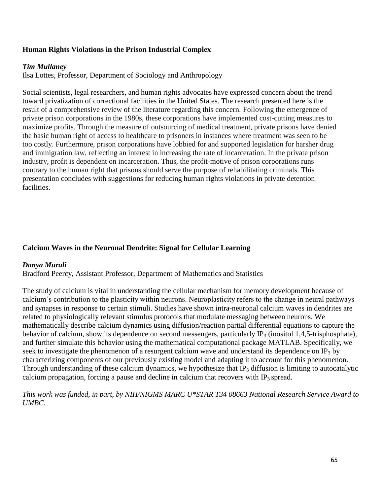## **Human Rights Violations in the Prison Industrial Complex**

### *Tim Mullaney*

Ilsa Lottes, Professor, Department of Sociology and Anthropology

Social scientists, legal researchers, and human rights advocates have expressed concern about the trend toward privatization of correctional facilities in the United States. The research presented here is the result of a comprehensive review of the literature regarding this concern. Following the emergence of private prison corporations in the 1980s, these corporations have implemented cost-cutting measures to maximize profits. Through the measure of outsourcing of medical treatment, private prisons have denied the basic human right of access to healthcare to prisoners in instances where treatment was seen to be too costly. Furthermore, prison corporations have lobbied for and supported legislation for harsher drug and immigration law, reflecting an interest in increasing the rate of incarceration. In the private prison industry, profit is dependent on incarceration. Thus, the profit-motive of prison corporations runs contrary to the human right that prisons should serve the purpose of rehabilitating criminals. This presentation concludes with suggestions for reducing human rights violations in private detention facilities.

## **Calcium Waves in the Neuronal Dendrite: Signal for Cellular Learning**

## *Danya Murali*

Bradford Peercy, Assistant Professor, Department of Mathematics and Statistics

The study of calcium is vital in understanding the cellular mechanism for memory development because of calcium's contribution to the plasticity within neurons. Neuroplasticity refers to the change in neural pathways and synapses in response to certain stimuli. Studies have shown intra-neuronal calcium waves in dendrites are related to physiologically relevant stimulus protocols that modulate messaging between neurons. We mathematically describe calcium dynamics using diffusion/reaction partial differential equations to capture the behavior of calcium, show its dependence on second messengers, particularly IP<sub>3</sub> (inositol 1,4,5-trisphosphate), and further simulate this behavior using the mathematical computational package MATLAB. Specifically, we seek to investigate the phenomenon of a resurgent calcium wave and understand its dependence on IP<sub>3</sub> by characterizing components of our previously existing model and adapting it to account for this phenomenon. Through understanding of these calcium dynamics, we hypothesize that  $IP_3$  diffusion is limiting to autocatalytic calcium propagation, forcing a pause and decline in calcium that recovers with  $IP_3$  spread.

*This work was funded, in part, by NIH/NIGMS MARC U\*STAR T34 08663 National Research Service Award to UMBC.*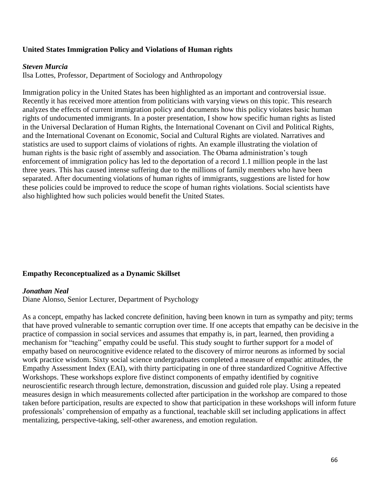### **United States Immigration Policy and Violations of Human rights**

#### *Steven Murcia*

Ilsa Lottes, Professor, Department of Sociology and Anthropology

Immigration policy in the United States has been highlighted as an important and controversial issue. Recently it has received more attention from politicians with varying views on this topic. This research analyzes the effects of current immigration policy and documents how this policy violates basic human rights of undocumented immigrants. In a poster presentation, I show how specific human rights as listed in the Universal Declaration of Human Rights, the International Covenant on Civil and Political Rights, and the International Covenant on Economic, Social and Cultural Rights are violated. Narratives and statistics are used to support claims of violations of rights. An example illustrating the violation of human rights is the basic right of assembly and association. The Obama administration's tough enforcement of immigration policy has led to the deportation of a record 1.1 million people in the last three years. This has caused intense suffering due to the millions of family members who have been separated. After documenting violations of human rights of immigrants, suggestions are listed for how these policies could be improved to reduce the scope of human rights violations. Social scientists have also highlighted how such policies would benefit the United States.

### **Empathy Reconceptualized as a Dynamic Skillset**

#### *Jonathan Neal*

Diane Alonso, Senior Lecturer, Department of Psychology

As a concept, empathy has lacked concrete definition, having been known in turn as sympathy and pity; terms that have proved vulnerable to semantic corruption over time. If one accepts that empathy can be decisive in the practice of compassion in social services and assumes that empathy is, in part, learned, then providing a mechanism for "teaching" empathy could be useful. This study sought to further support for a model of empathy based on neurocognitive evidence related to the discovery of mirror neurons as informed by social work practice wisdom. Sixty social science undergraduates completed a measure of empathic attitudes, the Empathy Assessment Index (EAI), with thirty participating in one of three standardized Cognitive Affective Workshops. These workshops explore five distinct components of empathy identified by cognitive neuroscientific research through lecture, demonstration, discussion and guided role play. Using a repeated measures design in which measurements collected after participation in the workshop are compared to those taken before participation, results are expected to show that participation in these workshops will inform future professionals' comprehension of empathy as a functional, teachable skill set including applications in affect mentalizing, perspective-taking, self-other awareness, and emotion regulation.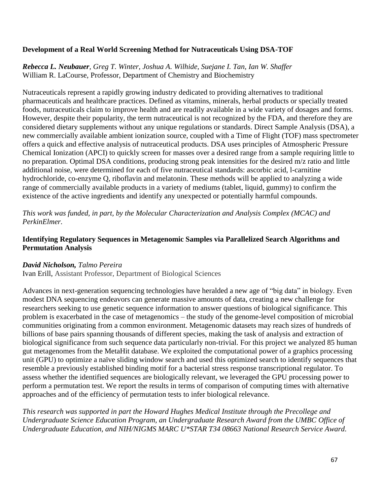# **Development of a Real World Screening Method for Nutraceuticals Using DSA-TOF**

*Rebecca L. Neubauer, Greg T. Winter, Joshua A. Wilhide, Suejane I. Tan, Ian W. Shaffer* William R. LaCourse, Professor, Department of Chemistry and Biochemistry

Nutraceuticals represent a rapidly growing industry dedicated to providing alternatives to traditional pharmaceuticals and healthcare practices. Defined as vitamins, minerals, herbal products or specially treated foods, nutraceuticals claim to improve health and are readily available in a wide variety of dosages and forms. However, despite their popularity, the term nutraceutical is not recognized by the FDA, and therefore they are considered dietary supplements without any unique regulations or standards. Direct Sample Analysis (DSA), a new commercially available ambient ionization source, coupled with a Time of Flight (TOF) mass spectrometer offers a quick and effective analysis of nutraceutical products. DSA uses principles of Atmospheric Pressure Chemical Ionization (APCI) to quickly screen for masses over a desired range from a sample requiring little to no preparation. Optimal DSA conditions, producing strong peak intensities for the desired m/z ratio and little additional noise, were determined for each of five nutraceutical standards: ascorbic acid, l-carnitine hydrochloride, co-enzyme Q, riboflavin and melatonin. These methods will be applied to analyzing a wide range of commercially available products in a variety of mediums (tablet, liquid, gummy) to confirm the existence of the active ingredients and identify any unexpected or potentially harmful compounds.

*This work was funded, in part, by the Molecular Characterization and Analysis Complex (MCAC) and PerkinElmer.*

# **Identifying Regulatory Sequences in Metagenomic Samples via Parallelized Search Algorithms and Permutation Analysis**

## *David Nicholson, Talmo Pereira*

Ivan Erill, Assistant Professor, Department of Biological Sciences

Advances in next-generation sequencing technologies have heralded a new age of "big data" in biology. Even modest DNA sequencing endeavors can generate massive amounts of data, creating a new challenge for researchers seeking to use genetic sequence information to answer questions of biological significance. This problem is exacerbated in the case of metagenomics – the study of the genome-level composition of microbial communities originating from a common environment. Metagenomic datasets may reach sizes of hundreds of billions of base pairs spanning thousands of different species, making the task of analysis and extraction of biological significance from such sequence data particularly non-trivial. For this project we analyzed 85 human gut metagenomes from the MetaHit database. We exploited the computational power of a graphics processing unit (GPU) to optimize a naïve sliding window search and used this optimized search to identify sequences that resemble a previously established binding motif for a bacterial stress response transcriptional regulator. To assess whether the identified sequences are biologically relevant, we leveraged the GPU processing power to perform a permutation test. We report the results in terms of comparison of computing times with alternative approaches and of the efficiency of permutation tests to infer biological relevance.

*This research was supported in part the Howard Hughes Medical Institute through the Precollege and Undergraduate Science Education Program, an Undergraduate Research Award from the UMBC Office of Undergraduate Education, and NIH/NIGMS MARC U\*STAR T34 08663 National Research Service Award.*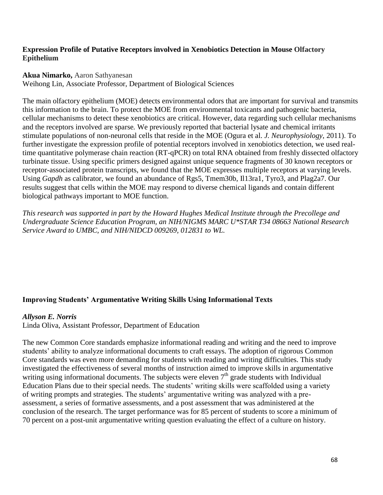## **Expression Profile of Putative Receptors involved in Xenobiotics Detection in Mouse Olfactory Epithelium**

#### **Akua Nimarko,** Aaron Sathyanesan

Weihong Lin, Associate Professor, Department of Biological Sciences

The main olfactory epithelium (MOE) detects environmental odors that are important for survival and transmits this information to the brain. To protect the MOE from environmental toxicants and pathogenic bacteria, cellular mechanisms to detect these xenobiotics are critical. However, data regarding such cellular mechanisms and the receptors involved are sparse*.* We previously reported that bacterial lysate and chemical irritants stimulate populations of non-neuronal cells that reside in the MOE (Ogura et al. *J. Neurophysiology*, 2011). To further investigate the expression profile of potential receptors involved in xenobiotics detection, we used realtime quantitative polymerase chain reaction (RT-qPCR) on total RNA obtained from freshly dissected olfactory turbinate tissue. Using specific primers designed against unique sequence fragments of 30 known receptors or receptor-associated protein transcripts, we found that the MOE expresses multiple receptors at varying levels. Using *Gapdh* as calibrator, we found an abundance of Rgs5, Tmem30b, Il13ra1, Tyro3, and Plag2a7. Our results suggest that cells within the MOE may respond to diverse chemical ligands and contain different biological pathways important to MOE function.

*This research was supported in part by the Howard Hughes Medical Institute through the Precollege and Undergraduate Science Education Program, an NIH/NIGMS MARC U\*STAR T34 08663 National Research Service Award to UMBC, and NIH/NIDCD 009269, 012831 to WL.*

## **Improving Students' Argumentative Writing Skills Using Informational Texts**

### *Allyson E. Norris*

Linda Oliva, Assistant Professor, Department of Education

The new Common Core standards emphasize informational reading and writing and the need to improve students' ability to analyze informational documents to craft essays. The adoption of rigorous Common Core standards was even more demanding for students with reading and writing difficulties. This study investigated the effectiveness of several months of instruction aimed to improve skills in argumentative writing using informational documents. The subjects were eleven  $7<sup>th</sup>$  grade students with Individual Education Plans due to their special needs. The students' writing skills were scaffolded using a variety of writing prompts and strategies. The students' argumentative writing was analyzed with a preassessment, a series of formative assessments, and a post assessment that was administered at the conclusion of the research. The target performance was for 85 percent of students to score a minimum of 70 percent on a post-unit argumentative writing question evaluating the effect of a culture on history.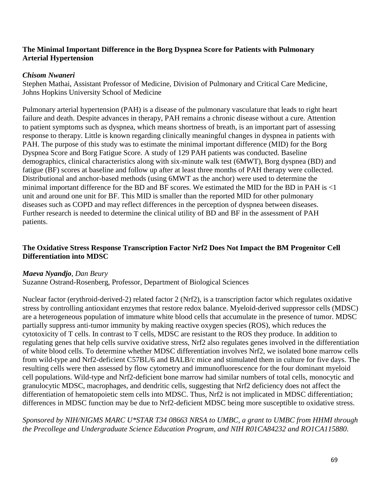## **The Minimal Important Difference in the Borg Dyspnea Score for Patients with Pulmonary Arterial Hypertension**

### *Chisom Nwaneri*

Stephen Mathai, Assistant Professor of Medicine, Division of Pulmonary and Critical Care Medicine, Johns Hopkins University School of Medicine

Pulmonary arterial hypertension (PAH) is a disease of the pulmonary vasculature that leads to right heart failure and death. Despite advances in therapy, PAH remains a chronic disease without a cure. Attention to patient symptoms such as dyspnea, which means shortness of breath, is an important part of assessing response to therapy. Little is known regarding clinically meaningful changes in dyspnea in patients with PAH. The purpose of this study was to estimate the minimal important difference (MID) for the Borg Dyspnea Score and Borg Fatigue Score. A study of 129 PAH patients was conducted. Baseline demographics, clinical characteristics along with six-minute walk test (6MWT), Borg dyspnea (BD) and fatigue (BF) scores at baseline and follow up after at least three months of PAH therapy were collected. Distributional and anchor-based methods (using 6MWT as the anchor) were used to determine the minimal important difference for the BD and BF scores. We estimated the MID for the BD in PAH is <1 unit and around one unit for BF. This MID is smaller than the reported MID for other pulmonary diseases such as COPD and may reflect differences in the perception of dyspnea between diseases. Further research is needed to determine the clinical utility of BD and BF in the assessment of PAH patients.

## **The Oxidative Stress Response Transcription Factor Nrf2 Does Not Impact the BM Progenitor Cell Differentiation into MDSC**

## *Maeva Nyandjo*, *Dan Beury*

Suzanne Ostrand-Rosenberg, Professor, Department of Biological Sciences

Nuclear factor (erythroid-derived-2) related factor 2 (Nrf2), is a transcription factor which regulates oxidative stress by controlling antioxidant enzymes that restore redox balance. Myeloid-derived suppressor cells (MDSC) are a heterogeneous population of immature white blood cells that accumulate in the presence of tumor. MDSC partially suppress anti-tumor immunity by making reactive oxygen species (ROS), which reduces the cytotoxicity of T cells. In contrast to T cells, MDSC are resistant to the ROS they produce. In addition to regulating genes that help cells survive oxidative stress, Nrf2 also regulates genes involved in the differentiation of white blood cells. To determine whether MDSC differentiation involves Nrf2, we isolated bone marrow cells from wild-type and Nrf2-deficient C57BL/6 and BALB/c mice and stimulated them in culture for five days. The resulting cells were then assessed by flow cytometry and immunofluorescence for the four dominant myeloid cell populations. Wild-type and Nrf2-deficient bone marrow had similar numbers of total cells, monocytic and granulocytic MDSC, macrophages, and dendritic cells, suggesting that Nrf2 deficiency does not affect the differentiation of hematopoietic stem cells into MDSC. Thus, Nrf2 is not implicated in MDSC differentiation; differences in MDSC function may be due to Nrf2-deficient MDSC being more susceptible to oxidative stress.

## *Sponsored by NIH/NIGMS MARC U\*STAR T34 08663 NRSA to UMBC, a grant to UMBC from HHMI through the Precollege and Undergraduate Science Education Program, and NIH R01CA84232 and RO1CA115880.*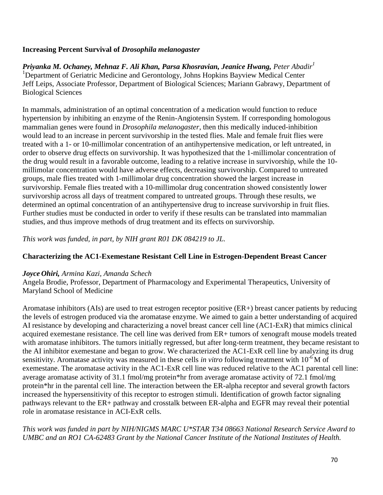## **Increasing Percent Survival of** *Drosophila melanogaster*

*Priyanka M. Ochaney, Mehnaz F. Ali Khan, Parsa Khosravian, Jeanice Hwang, Peter Abadir<sup>1</sup>* <sup>1</sup>Department of Geriatric Medicine and Gerontology, Johns Hopkins Bayview Medical Center Jeff Leips, Associate Professor, Department of Biological Sciences; Mariann Gabrawy, Department of Biological Sciences

In mammals, administration of an optimal concentration of a medication would function to reduce hypertension by inhibiting an enzyme of the Renin-Angiotensin System. If corresponding homologous mammalian genes were found in *Drosophila melanogaster*, then this medically induced-inhibition would lead to an increase in percent survivorship in the tested flies. Male and female fruit flies were treated with a 1- or 10-millimolar concentration of an antihypertensive medication, or left untreated, in order to observe drug effects on survivorship. It was hypothesized that the 1-millimolar concentration of the drug would result in a favorable outcome, leading to a relative increase in survivorship, while the 10 millimolar concentration would have adverse effects, decreasing survivorship. Compared to untreated groups, male flies treated with 1-millimolar drug concentration showed the largest increase in survivorship. Female flies treated with a 10-millimolar drug concentration showed consistently lower survivorship across all days of treatment compared to untreated groups. Through these results, we determined an optimal concentration of an antihypertensive drug to increase survivorship in fruit flies. Further studies must be conducted in order to verify if these results can be translated into mammalian studies, and thus improve methods of drug treatment and its effects on survivorship.

*This work was funded, in part, by NIH grant R01 DK 084219 to JL.* 

## **Characterizing the AC1-Exemestane Resistant Cell Line in Estrogen-Dependent Breast Cancer**

### *Joyce Ohiri, Armina Kazi, Amanda Schech*

Angela Brodie, Professor, Department of Pharmacology and Experimental Therapeutics, University of Maryland School of Medicine

Aromatase inhibitors (AIs) are used to treat estrogen receptor positive (ER+) breast cancer patients by reducing the levels of estrogen produced via the aromatase enzyme. We aimed to gain a better understanding of acquired AI resistance by developing and characterizing a novel breast cancer cell line (AC1-ExR) that mimics clinical acquired exemestane resistance. The cell line was derived from ER+ tumors of xenograft mouse models treated with aromatase inhibitors. The tumors initially regressed, but after long-term treatment, they became resistant to the AI inhibitor exemestane and began to grow. We characterized the AC1-ExR cell line by analyzing its drug sensitivity. Aromatase activity was measured in these cells *in vitro* following treatment with 10-6 M of exemestane. The aromatase activity in the AC1-ExR cell line was reduced relative to the AC1 parental cell line: average aromatase activity of 31.1 fmol/mg protein\*hr from average aromatase activity of 72.1 fmol/mg protein\*hr in the parental cell line. The interaction between the ER-alpha receptor and several growth factors increased the hypersensitivity of this receptor to estrogen stimuli. Identification of growth factor signaling pathways relevant to the ER+ pathway and crosstalk between ER-alpha and EGFR may reveal their potential role in aromatase resistance in ACI-ExR cells.

*This work was funded in part by NIH/NIGMS MARC U\*STAR T34 08663 National Research Service Award to UMBC and an RO1 CA-62483 Grant by the National Cancer Institute of the National Institutes of Health.*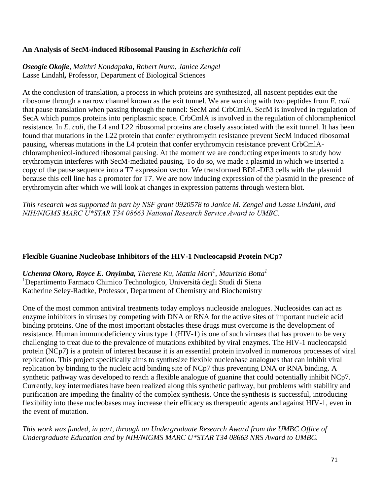### **An Analysis of SecM-induced Ribosomal Pausing in** *Escherichia coli*

*Oseogie Okojie*, *Maithri Kondapaka, Robert Nunn, Janice Zengel* Lasse Lindahl*,* Professor, Department of Biological Sciences

At the conclusion of translation, a process in which proteins are synthesized, all nascent peptides exit the ribosome through a narrow channel known as the exit tunnel. We are working with two peptides from *E. coli* that pause translation when passing through the tunnel: SecM and CrbCmlA. SecM is involved in regulation of SecA which pumps proteins into periplasmic space. CrbCmlA is involved in the regulation of chloramphenicol resistance. In *E. coli*, the L4 and L22 ribosomal proteins are closely associated with the exit tunnel. It has been found that mutations in the L22 protein that confer erythromycin resistance prevent SecM induced ribosomal pausing, whereas mutations in the L4 protein that confer erythromycin resistance prevent CrbCmlAchloramphenicol-induced ribosomal pausing. At the moment we are conducting experiments to study how erythromycin interferes with SecM-mediated pausing. To do so, we made a plasmid in which we inserted a copy of the pause sequence into a T7 expression vector. We transformed BDL-DE3 cells with the plasmid because this cell line has a promoter for T7. We are now inducing expression of the plasmid in the presence of erythromycin after which we will look at changes in expression patterns through western blot.

*This research was supported in part by NSF grant 0920578 to Janice M. Zengel and Lasse Lindahl, and NIH/NIGMS MARC U\*STAR T34 08663 National Research Service Award to UMBC.*

## **Flexible Guanine Nucleobase Inhibitors of the HIV-1 Nucleocapsid Protein NCp7**

*Uchenna Okoro, Royce E. Onyimba, Therese Ku, Mattia Mori<sup>1</sup> , Maurizio Botta<sup>1</sup>* <sup>1</sup>Departimento Farmaco Chimico Technologico, Università degli Studi di Siena Katherine Seley-Radtke, Professor, Department of Chemistry and Biochemistry

One of the most common antiviral treatments today employs nucleoside analogues. Nucleosides can act as enzyme inhibitors in viruses by competing with DNA or RNA for the active sites of important nucleic acid binding proteins. One of the most important obstacles these drugs must overcome is the development of resistance. Human immunodeficiency virus type 1 (HIV-1) is one of such viruses that has proven to be very challenging to treat due to the prevalence of mutations exhibited by viral enzymes. The HIV-1 nucleocapsid protein (NCp7) is a protein of interest because it is an essential protein involved in numerous processes of viral replication. This project specifically aims to synthesize flexible nucleobase analogues that can inhibit viral replication by binding to the nucleic acid binding site of NCp7 thus preventing DNA or RNA binding. A synthetic pathway was developed to reach a flexible analogue of guanine that could potentially inhibit NCp7. Currently, key intermediates have been realized along this synthetic pathway, but problems with stability and purification are impeding the finality of the complex synthesis. Once the synthesis is successful, introducing flexibility into these nucleobases may increase their efficacy as therapeutic agents and against HIV-1, even in the event of mutation.

*This work was funded, in part, through an Undergraduate Research Award from the UMBC Office of Undergraduate Education and by NIH/NIGMS MARC U\*STAR T34 08663 NRS Award to UMBC.*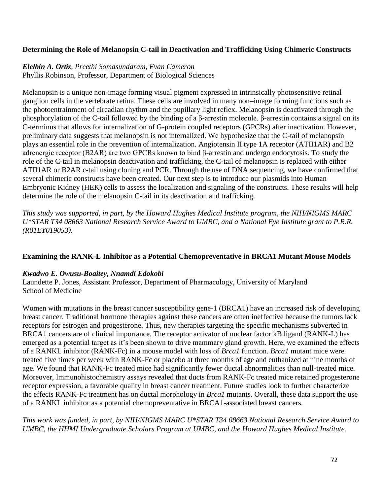### **Determining the Role of Melanopsin C-tail in Deactivation and Trafficking Using Chimeric Constructs**

# *Elelbin A. Ortiz, Preethi Somasundaram, Evan Cameron*

Phyllis Robinson, Professor, Department of Biological Sciences

Melanopsin is a unique non-image forming visual pigment expressed in intrinsically photosensitive retinal ganglion cells in the vertebrate retina. These cells are involved in many non–image forming functions such as the photoentrainment of circadian rhythm and the pupillary light reflex. Melanopsin is deactivated through the phosphorylation of the C-tail followed by the binding of a β-arrestin molecule. β-arrestin contains a signal on its C-terminus that allows for internalization of G-protein coupled receptors (GPCRs) after inactivation. However, preliminary data suggests that melanopsin is not internalized. We hypothesize that the C-tail of melanopsin plays an essential role in the prevention of internalization. Angiotensin II type 1A receptor (ATII1AR) and B2 adrenergic receptor (B2AR) are two GPCRs known to bind β-arrestin and undergo endocytosis. To study the role of the C-tail in melanopsin deactivation and trafficking, the C-tail of melanopsin is replaced with either ATII1AR or B2AR c-tail using cloning and PCR. Through the use of DNA sequencing, we have confirmed that several chimeric constructs have been created. Our next step is to introduce our plasmids into Human Embryonic Kidney (HEK) cells to assess the localization and signaling of the constructs. These results will help determine the role of the melanopsin C-tail in its deactivation and trafficking.

*This study was supported, in part, by the Howard Hughes Medical Institute program, the NIH/NIGMS MARC U\*STAR T34 08663 National Research Service Award to UMBC, and a National Eye Institute grant to P.R.R. (R01EY019053).*

### **Examining the RANK-L Inhibitor as a Potential Chemopreventative in BRCA1 Mutant Mouse Models**

### *Kwadwo E. Owusu-Boaitey, Nnamdi Edokobi*

Laundette P. Jones, Assistant Professor, Department of Pharmacology, University of Maryland School of Medicine

Women with mutations in the breast cancer susceptibility gene-1 (BRCA1) have an increased risk of developing breast cancer. Traditional hormone therapies against these cancers are often ineffective because the tumors lack receptors for estrogen and progesterone. Thus, new therapies targeting the specific mechanisms subverted in BRCA1 cancers are of clinical importance. The receptor activator of nuclear factor kB ligand (RANK-L) has emerged as a potential target as it's been shown to drive mammary gland growth. Here, we examined the effects of a RANKL inhibitor (RANK-Fc) in a mouse model with loss of *Brca1* function. *Brca1* mutant mice were treated five times per week with RANK-Fc or placebo at three months of age and euthanized at nine months of age. We found that RANK-Fc treated mice had significantly fewer ductal abnormalities than null-treated mice. Moreover, Immunohistochemistry assays revealed that ducts from RANK-Fc treated mice retained progesterone receptor expression, a favorable quality in breast cancer treatment. Future studies look to further characterize the effects RANK-Fc treatment has on ductal morphology in *Brca1* mutants. Overall, these data support the use of a RANKL inhibitor as a potential chemopreventative in BRCA1-associated breast cancers.

*This work was funded, in part, by NIH/NIGMS MARC U\*STAR T34 08663 National Research Service Award to UMBC, the HHMI Undergraduate Scholars Program at UMBC, and the Howard Hughes Medical Institute.*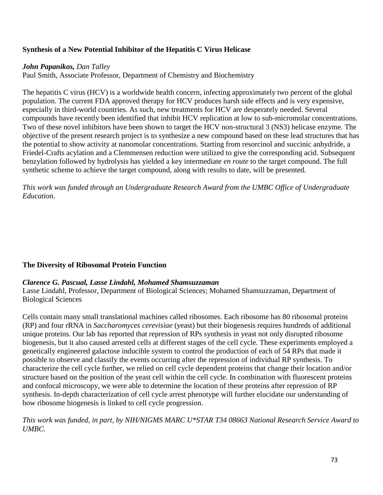## **Synthesis of a New Potential Inhibitor of the Hepatitis C Virus Helicase**

### *John Papanikos, Dan Talley*

Paul Smith, Associate Professor, Department of Chemistry and Biochemistry

The hepatitis C virus (HCV) is a worldwide health concern, infecting approximately two percent of the global population. The current FDA approved therapy for HCV produces harsh side effects and is very expensive, especially in third-world countries. As such, new treatments for HCV are desperately needed. Several compounds have recently been identified that inhibit HCV replication at low to sub-micromolar concentrations. Two of these novel inhibitors have been shown to target the HCV non-structural 3 (NS3) helicase enzyme. The objective of the present research project is to synthesize a new compound based on these lead structures that has the potential to show activity at nanomolar concentrations. Starting from resorcinol and succinic anhydride, a Friedel-Crafts acylation and a Clemmensen reduction were utilized to give the corresponding acid. Subsequent benzylation followed by hydrolysis has yielded a key intermediate *en route* to the target compound. The full synthetic scheme to achieve the target compound, along with results to date, will be presented.

*This work was funded through an Undergraduate Research Award from the UMBC Office of Undergraduate Education.*

### **The Diversity of Ribosomal Protein Function**

#### *Clarence G. Pascual, Lasse Lindahl, Mohamed Shamsuzzaman*

Lasse Lindahl, Professor, Department of Biological Sciences; Mohamed Shamsuzzaman, Department of Biological Sciences

Cells contain many small translational machines called ribosomes. Each ribosome has 80 ribosomal proteins (RP) and four rRNA in *Saccharomyces cerevisiae* (yeast) but their biogenesis requires hundreds of additional unique proteins. Our lab has reported that repression of RPs synthesis in yeast not only disrupted ribosome biogenesis, but it also caused arrested cells at different stages of the cell cycle. These experiments employed a genetically engineered galactose inducible system to control the production of each of 54 RPs that made it possible to observe and classify the events occurring after the repression of individual RP synthesis. To characterize the cell cycle further, we relied on cell cycle dependent proteins that change their location and/or structure based on the position of the yeast cell within the cell cycle. In combination with fluorescent proteins and confocal microscopy, we were able to determine the location of these proteins after repression of RP synthesis. In-depth characterization of cell cycle arrest phenotype will further elucidate our understanding of how ribosome biogenesis is linked to cell cycle progression.

*This work was funded, in part, by NIH/NIGMS MARC U\*STAR T34 08663 National Research Service Award to UMBC.*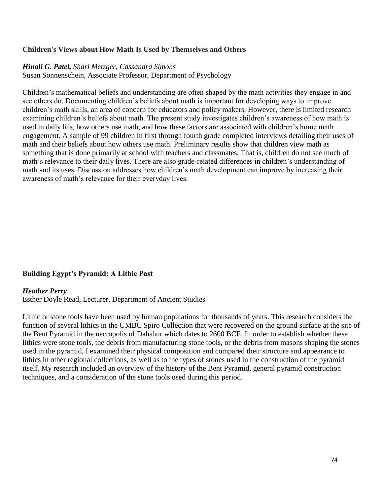### **Children's Views about How Math Is Used by Themselves and Others**

#### *Hinali G. Patel, Shari Metzger, Cassandra Simons*

Susan Sonnenschein, Associate Professor, Department of Psychology

Children's mathematical beliefs and understanding are often shaped by the math activities they engage in and see others do. Documenting children's beliefs about math is important for developing ways to improve children's math skills, an area of concern for educators and policy makers. However, there is limited research examining children's beliefs about math. The present study investigates children's awareness of how math is used in daily life, how others use math, and how these factors are associated with children's home math engagement. A sample of 99 children in first through fourth grade completed interviews detailing their uses of math and their beliefs about how others use math. Preliminary results show that children view math as something that is done primarily at school with teachers and classmates. That is, children do not see much of math's relevance to their daily lives. There are also grade-related differences in children's understanding of math and its uses. Discussion addresses how children's math development can improve by increasing their awareness of math's relevance for their everyday lives.

### **Building Egypt's Pyramid: A Lithic Past**

#### *Heather Perry*

Esther Doyle Read, Lecturer, Department of Ancient Studies

Lithic or stone tools have been used by human populations for thousands of years. This research considers the function of several lithics in the UMBC Spiro Collection that were recovered on the ground surface at the site of the Bent Pyramid in the necropolis of Dahshur which dates to 2600 BCE. In order to establish whether these lithics were stone tools, the debris from manufacturing stone tools, or the debris from masons shaping the stones used in the pyramid, I examined their physical composition and compared their structure and appearance to lithics in other regional collections, as well as to the types of stones used in the construction of the pyramid itself. My research included an overview of the history of the Bent Pyramid, general pyramid construction techniques, and a consideration of the stone tools used during this period.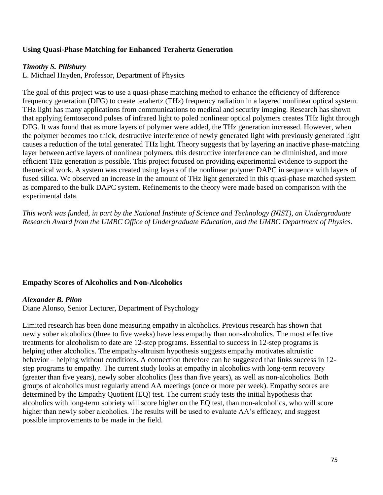### **Using Quasi-Phase Matching for Enhanced Terahertz Generation**

#### *Timothy S. Pillsbury*

L. Michael Hayden, Professor, Department of Physics

The goal of this project was to use a quasi-phase matching method to enhance the efficiency of difference frequency generation (DFG) to create terahertz (THz) frequency radiation in a layered nonlinear optical system. THz light has many applications from communications to medical and security imaging. Research has shown that applying femtosecond pulses of infrared light to poled nonlinear optical polymers creates THz light through DFG. It was found that as more layers of polymer were added, the THz generation increased. However, when the polymer becomes too thick, destructive interference of newly generated light with previously generated light causes a reduction of the total generated THz light. Theory suggests that by layering an inactive phase-matching layer between active layers of nonlinear polymers, this destructive interference can be diminished, and more efficient THz generation is possible. This project focused on providing experimental evidence to support the theoretical work. A system was created using layers of the nonlinear polymer DAPC in sequence with layers of fused silica. We observed an increase in the amount of THz light generated in this quasi-phase matched system as compared to the bulk DAPC system. Refinements to the theory were made based on comparison with the experimental data.

*This work was funded, in part by the National Institute of Science and Technology (NIST), an Undergraduate Research Award from the UMBC Office of Undergraduate Education, and the UMBC Department of Physics.*

#### **Empathy Scores of Alcoholics and Non-Alcoholics**

#### *Alexander B. Pilon*

Diane Alonso, Senior Lecturer, Department of Psychology

Limited research has been done measuring empathy in alcoholics. Previous research has shown that newly sober alcoholics (three to five weeks) have less empathy than non-alcoholics. The most effective treatments for alcoholism to date are 12-step programs. Essential to success in 12-step programs is helping other alcoholics. The empathy-altruism hypothesis suggests empathy motivates altruistic behavior – helping without conditions. A connection therefore can be suggested that links success in 12 step programs to empathy. The current study looks at empathy in alcoholics with long-term recovery (greater than five years), newly sober alcoholics (less than five years), as well as non-alcoholics. Both groups of alcoholics must regularly attend AA meetings (once or more per week). Empathy scores are determined by the Empathy Quotient (EQ) test. The current study tests the initial hypothesis that alcoholics with long-term sobriety will score higher on the EQ test, than non-alcoholics, who will score higher than newly sober alcoholics. The results will be used to evaluate AA's efficacy, and suggest possible improvements to be made in the field.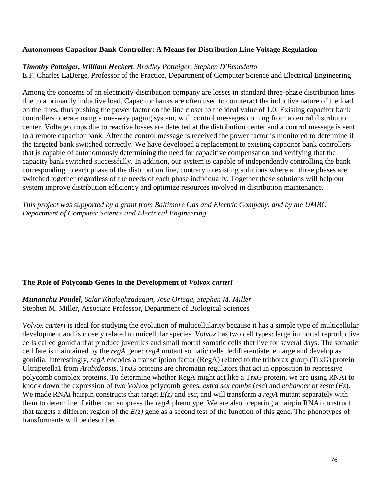### **Autonomous Capacitor Bank Controller: A Means for Distribution Line Voltage Regulation**

#### *Timothy Potteiger, William Heckert, Bradley Potteiger, Stephen DiBenedetto*

E.F. Charles LaBerge, Professor of the Practice, Department of Computer Science and Electrical Engineering

Among the concerns of an electricity-distribution company are losses in standard three-phase distribution lines due to a primarily inductive load. Capacitor banks are often used to counteract the inductive nature of the load on the lines, thus pushing the power factor on the line closer to the ideal value of 1.0. Existing capacitor bank controllers operate using a one-way paging system, with control messages coming from a central distribution center. Voltage drops due to reactive losses are detected at the distribution center and a control message is sent to a remote capacitor bank. After the control message is received the power factor is monitored to determine if the targeted bank switched correctly. We have developed a replacement to existing capacitor bank controllers that is capable of autonomously determining the need for capacitive compensation and verifying that the capacity bank switched successfully. In addition, our system is capable of independently controlling the bank corresponding to each phase of the distribution line, contrary to existing solutions where all three phases are switched together regardless of the needs of each phase individually. Together these solutions will help our system improve distribution efficiency and optimize resources involved in distribution maintenance.

*This project was supported by a grant from Baltimore Gas and Electric Company, and by the UMBC Department of Computer Science and Electrical Engineering.*

#### **The Role of Polycomb Genes in the Development of** *Volvox carteri*

*Munanchu Poudel, Salar Khaleghzadegan, Jose Ortega, Stephen M. Miller* Stephen M. Miller, Associate Professor, Department of Biological Sciences

*Volvox carteri* is ideal for studying the evolution of multicellularity because it has a simple type of multicellular development and is closely related to unicellular species. *Volvox* has two cell types: large immortal reproductive cells called gonidia that produce juveniles and small mortal somatic cells that live for several days. The somatic cell fate is maintained by the *regA* gene: *regA* mutant somatic cells dedifferentiate, enlarge and develop as gonidia. Interestingly, *regA* encodes a transcription factor (RegA) related to the trithorax group (TrxG) protein Ultrapetella1 from *Arabidopsis*. TrxG proteins are chromatin regulators that act in opposition to repressive polycomb complex proteins. To determine whether RegA might act like a TrxG protein, we are using RNAi to knock down the expression of two *Volvox* polycomb genes, *extra sex combs* (*esc*) and *enhancer of zeste* (*Ez*). We made RNAi hairpin constructs that target *E(z)* and *esc*, and will transform a *regA* mutant separately with them to determine if either can suppress the *regA* phenotype. We are also preparing a hairpin RNAi construct that targets a different region of the  $E(z)$  gene as a second test of the function of this gene. The phenotypes of transformants will be described.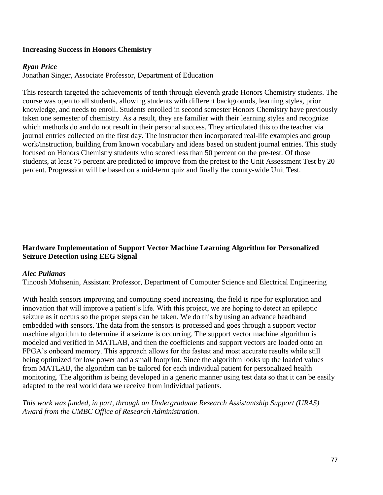### **Increasing Success in Honors Chemistry**

#### *Ryan Price*

Jonathan Singer, Associate Professor, Department of Education

This research targeted the achievements of tenth through eleventh grade Honors Chemistry students. The course was open to all students, allowing students with different backgrounds, learning styles, prior knowledge, and needs to enroll. Students enrolled in second semester Honors Chemistry have previously taken one semester of chemistry. As a result, they are familiar with their learning styles and recognize which methods do and do not result in their personal success. They articulated this to the teacher via journal entries collected on the first day. The instructor then incorporated real-life examples and group work/instruction, building from known vocabulary and ideas based on student journal entries. This study focused on Honors Chemistry students who scored less than 50 percent on the pre-test. Of those students, at least 75 percent are predicted to improve from the pretest to the Unit Assessment Test by 20 percent. Progression will be based on a mid-term quiz and finally the county-wide Unit Test.

## **Hardware Implementation of Support Vector Machine Learning Algorithm for Personalized Seizure Detection using EEG Signal**

#### *Alec Pulianas*

Tinoosh Mohsenin, Assistant Professor, Department of Computer Science and Electrical Engineering

With health sensors improving and computing speed increasing, the field is ripe for exploration and innovation that will improve a patient's life. With this project, we are hoping to detect an epileptic seizure as it occurs so the proper steps can be taken. We do this by using an advance headband embedded with sensors. The data from the sensors is processed and goes through a support vector machine algorithm to determine if a seizure is occurring. The support vector machine algorithm is modeled and verified in MATLAB, and then the coefficients and support vectors are loaded onto an FPGA's onboard memory. This approach allows for the fastest and most accurate results while still being optimized for low power and a small footprint. Since the algorithm looks up the loaded values from MATLAB, the algorithm can be tailored for each individual patient for personalized health monitoring. The algorithm is being developed in a generic manner using test data so that it can be easily adapted to the real world data we receive from individual patients.

*This work was funded, in part, through an Undergraduate Research Assistantship Support (URAS) Award from the UMBC Office of Research Administration.*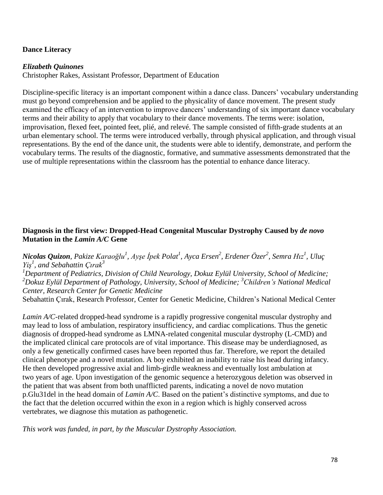### **Dance Literacy**

#### *Elizabeth Quinones*

Christopher Rakes, Assistant Professor, Department of Education

Discipline-specific literacy is an important component within a dance class. Dancers' vocabulary understanding must go beyond comprehension and be applied to the physicality of dance movement. The present study examined the efficacy of an intervention to improve dancers' understanding of six important dance vocabulary terms and their ability to apply that vocabulary to their dance movements. The terms were: isolation, improvisation, flexed feet, pointed feet, plié, and relevé. The sample consisted of fifth-grade students at an urban elementary school. The terms were introduced verbally, through physical application, and through visual representations. By the end of the dance unit, the students were able to identify, demonstrate, and perform the vocabulary terms. The results of the diagnostic, formative, and summative assessments demonstrated that the use of multiple representations within the classroom has the potential to enhance dance literacy.

### **Diagnosis in the first view: Dropped-Head Congenital Muscular Dystrophy Caused by** *de novo* **Mutation in the** *Lamin A/C* **Gene**

**Nicolas Quizon**, Pakize Karaoğlu<sup>1</sup>, Ayşe İpek Polat<sup>1</sup>, Ayca Ersen<sup>2</sup>, Erdener Özer<sup>2</sup>, Semra Hız<sup>1</sup>, Uluç *Yiş<sup>1</sup> , and Sebahattin Çırak<sup>3</sup>*

*<sup>1</sup>Department of Pediatrics, Division of Child Neurology, Dokuz Eylül University, School of Medicine; <sup>2</sup>Dokuz Eylül Department of Pathology, University, School of Medicine; <sup>3</sup>Children's National Medical Center, Research Center for Genetic Medicine*

Sebahattin Çırak, Research Professor, Center for Genetic Medicine, Children's National Medical Center

*Lamin A/C*-related dropped-head syndrome is a rapidly progressive congenital muscular dystrophy and may lead to loss of ambulation, respiratory insufficiency, and cardiac complications. Thus the genetic diagnosis of dropped-head syndrome as LMNA-related congenital muscular dystrophy (L-CMD) and the implicated clinical care protocols are of vital importance. This disease may be underdiagnosed, as only a few genetically confirmed cases have been reported thus far. Therefore, we report the detailed clinical phenotype and a novel mutation. A boy exhibited an inability to raise his head during infancy. He then developed progressive axial and limb-girdle weakness and eventually lost ambulation at two years of age. Upon investigation of the genomic sequence a heterozygous deletion was observed in the patient that was absent from both unafflicted parents, indicating a novel de novo mutation p.Glu31del in the head domain of *Lamin A/C*. Based on the patient's distinctive symptoms, and due to the fact that the deletion occurred within the exon in a region which is highly conserved across vertebrates, we diagnose this mutation as pathogenetic.

*This work was funded, in part, by the Muscular Dystrophy Association.*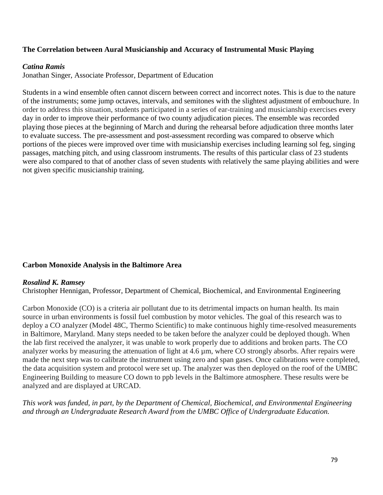### **The Correlation between Aural Musicianship and Accuracy of Instrumental Music Playing**

#### *Catina Ramis*

Jonathan Singer, Associate Professor, Department of Education

Students in a wind ensemble often cannot discern between correct and incorrect notes. This is due to the nature of the instruments; some jump octaves, intervals, and semitones with the slightest adjustment of embouchure. In order to address this situation, students participated in a series of ear-training and musicianship exercises every day in order to improve their performance of two county adjudication pieces. The ensemble was recorded playing those pieces at the beginning of March and during the rehearsal before adjudication three months later to evaluate success. The pre-assessment and post-assessment recording was compared to observe which portions of the pieces were improved over time with musicianship exercises including learning sol feg, singing passages, matching pitch, and using classroom instruments. The results of this particular class of 23 students were also compared to that of another class of seven students with relatively the same playing abilities and were not given specific musicianship training.

#### **Carbon Monoxide Analysis in the Baltimore Area**

#### *Rosalind K. Ramsey*

Christopher Hennigan, Professor, Department of Chemical, Biochemical, and Environmental Engineering

Carbon Monoxide (CO) is a criteria air pollutant due to its detrimental impacts on human health. Its main source in urban environments is fossil fuel combustion by motor vehicles. The goal of this research was to deploy a CO analyzer (Model 48C, Thermo Scientific) to make continuous highly time-resolved measurements in Baltimore, Maryland. Many steps needed to be taken before the analyzer could be deployed though. When the lab first received the analyzer, it was unable to work properly due to additions and broken parts. The CO analyzer works by measuring the attenuation of light at 4.6 µm, where CO strongly absorbs. After repairs were made the next step was to calibrate the instrument using zero and span gases. Once calibrations were completed, the data acquisition system and protocol were set up. The analyzer was then deployed on the roof of the UMBC Engineering Building to measure CO down to ppb levels in the Baltimore atmosphere. These results were be analyzed and are displayed at URCAD.

*This work was funded, in part, by the Department of Chemical, Biochemical, and Environmental Engineering and through an Undergraduate Research Award from the UMBC Office of Undergraduate Education.*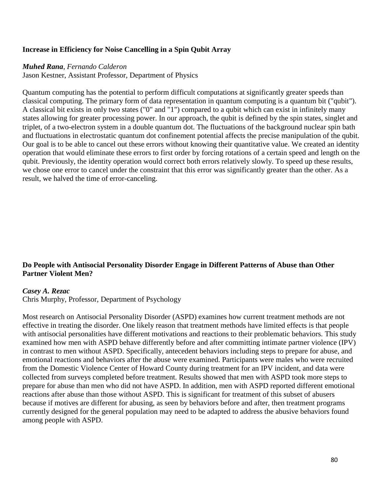#### **Increase in Efficiency for Noise Cancelling in a Spin Qubit Array**

#### *Muhed Rana*, *Fernando Calderon*

Jason Kestner, Assistant Professor, Department of Physics

Quantum computing has the potential to perform difficult computations at significantly greater speeds than classical computing. The primary form of data representation in quantum computing is a quantum bit ("qubit"). A classical bit exists in only two states ("0" and "1") compared to a qubit which can exist in infinitely many states allowing for greater processing power. In our approach, the qubit is defined by the spin states, singlet and triplet, of a two-electron system in a double quantum dot. The fluctuations of the background nuclear spin bath and fluctuations in electrostatic quantum dot confinement potential affects the precise manipulation of the qubit. Our goal is to be able to cancel out these errors without knowing their quantitative value. We created an identity operation that would eliminate these errors to first order by forcing rotations of a certain speed and length on the qubit. Previously, the identity operation would correct both errors relatively slowly. To speed up these results, we chose one error to cancel under the constraint that this error was significantly greater than the other. As a result, we halved the time of error-canceling.

### **Do People with Antisocial Personality Disorder Engage in Different Patterns of Abuse than Other Partner Violent Men?**

#### *Casey A. Rezac*

Chris Murphy, Professor, Department of Psychology

Most research on Antisocial Personality Disorder (ASPD) examines how current treatment methods are not effective in treating the disorder. One likely reason that treatment methods have limited effects is that people with antisocial personalities have different motivations and reactions to their problematic behaviors. This study examined how men with ASPD behave differently before and after committing intimate partner violence (IPV) in contrast to men without ASPD. Specifically, antecedent behaviors including steps to prepare for abuse, and emotional reactions and behaviors after the abuse were examined. Participants were males who were recruited from the Domestic Violence Center of Howard County during treatment for an IPV incident, and data were collected from surveys completed before treatment. Results showed that men with ASPD took more steps to prepare for abuse than men who did not have ASPD. In addition, men with ASPD reported different emotional reactions after abuse than those without ASPD. This is significant for treatment of this subset of abusers because if motives are different for abusing, as seen by behaviors before and after, then treatment programs currently designed for the general population may need to be adapted to address the abusive behaviors found among people with ASPD.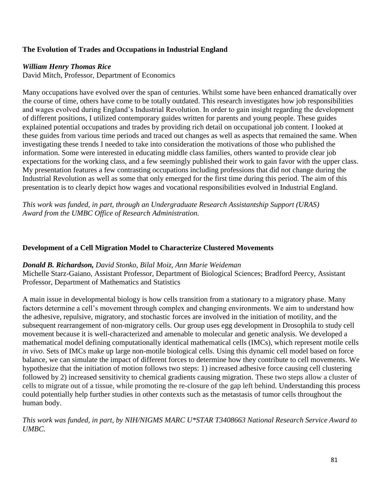### **The Evolution of Trades and Occupations in Industrial England**

## *William Henry Thomas Rice*

David Mitch, Professor, Department of Economics

Many occupations have evolved over the span of centuries. Whilst some have been enhanced dramatically over the course of time, others have come to be totally outdated. This research investigates how job responsibilities and wages evolved during England's Industrial Revolution. In order to gain insight regarding the development of different positions, I utilized contemporary guides written for parents and young people. These guides explained potential occupations and trades by providing rich detail on occupational job content. I looked at these guides from various time periods and traced out changes as well as aspects that remained the same. When investigating these trends I needed to take into consideration the motivations of those who published the information. Some were interested in educating middle class families, others wanted to provide clear job expectations for the working class, and a few seemingly published their work to gain favor with the upper class. My presentation features a few contrasting occupations including professions that did not change during the Industrial Revolution as well as some that only emerged for the first time during this period. The aim of this presentation is to clearly depict how wages and vocational responsibilities evolved in Industrial England.

*This work was funded, in part, through an Undergraduate Research Assistantship Support (URAS) Award from the UMBC Office of Research Administration.*

### **Development of a Cell Migration Model to Characterize Clustered Movements**

#### *Donald B. Richardson, David Stonko, Bilal Moiz, Ann Marie Weideman*

Michelle Starz-Gaiano, Assistant Professor, Department of Biological Sciences; Bradford Peercy, Assistant Professor, Department of Mathematics and Statistics

A main issue in developmental biology is how cells transition from a stationary to a migratory phase. Many factors determine a cell's movement through complex and changing environments. We aim to understand how the adhesive, repulsive, migratory, and stochastic forces are involved in the initiation of motility, and the subsequent rearrangement of non-migratory cells. Our group uses egg development in Drosophila to study cell movement because it is well-characterized and amenable to molecular and genetic analysis. We developed a mathematical model defining computationally identical mathematical cells (IMCs), which represent motile cells *in vivo*. Sets of IMCs make up large non-motile biological cells. Using this dynamic cell model based on force balance, we can simulate the impact of different forces to determine how they contribute to cell movements. We hypothesize that the initiation of motion follows two steps: 1) increased adhesive force causing cell clustering followed by 2) increased sensitivity to chemical gradients causing migration. These two steps allow a cluster of cells to migrate out of a tissue, while promoting the re-closure of the gap left behind. Understanding this process could potentially help further studies in other contexts such as the metastasis of tumor cells throughout the human body.

*This work was funded, in part, by NIH/NIGMS MARC U\*STAR T3408663 National Research Service Award to UMBC.*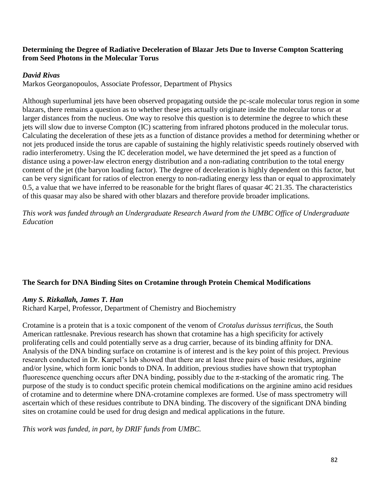### **Determining the Degree of Radiative Deceleration of Blazar Jets Due to Inverse Compton Scattering from Seed Photons in the Molecular Torus**

### *David Rivas*

Markos Georganopoulos, Associate Professor, Department of Physics

Although superluminal jets have been observed propagating outside the pc-scale molecular torus region in some blazars, there remains a question as to whether these jets actually originate inside the molecular torus or at larger distances from the nucleus. One way to resolve this question is to determine the degree to which these jets will slow due to inverse Compton (IC) scattering from infrared photons produced in the molecular torus. Calculating the deceleration of these jets as a function of distance provides a method for determining whether or not jets produced inside the torus are capable of sustaining the highly relativistic speeds routinely observed with radio interferometry. Using the IC deceleration model, we have determined the jet speed as a function of distance using a power-law electron energy distribution and a non-radiating contribution to the total energy content of the jet (the baryon loading factor). The degree of deceleration is highly dependent on this factor, but can be very significant for ratios of electron energy to non-radiating energy less than or equal to approximately 0.5, a value that we have inferred to be reasonable for the bright flares of quasar 4C 21.35. The characteristics of this quasar may also be shared with other blazars and therefore provide broader implications.

*This work was funded through an Undergraduate Research Award from the UMBC Office of Undergraduate Education*

### **The Search for DNA Binding Sites on Crotamine through Protein Chemical Modifications**

### *Amy S. Rizkallah, James T. Han*

Richard Karpel, Professor, Department of Chemistry and Biochemistry

Crotamine is a protein that is a toxic component of the venom of *Crotalus durissus terrificus*, the South American rattlesnake. Previous research has shown that crotamine has a high specificity for actively proliferating cells and could potentially serve as a drug carrier, because of its binding affinity for DNA. Analysis of the DNA binding surface on crotamine is of interest and is the key point of this project. Previous research conducted in Dr. Karpel's lab showed that there are at least three pairs of basic residues, arginine and/or lysine, which form ionic bonds to DNA. In addition, previous studies have shown that tryptophan fluorescence quenching occurs after DNA binding, possibly due to the  $\pi$ -stacking of the aromatic ring. The purpose of the study is to conduct specific protein chemical modifications on the arginine amino acid residues of crotamine and to determine where DNA-crotamine complexes are formed. Use of mass spectrometry will ascertain which of these residues contribute to DNA binding. The discovery of the significant DNA binding sites on crotamine could be used for drug design and medical applications in the future.

*This work was funded, in part, by DRIF funds from UMBC.*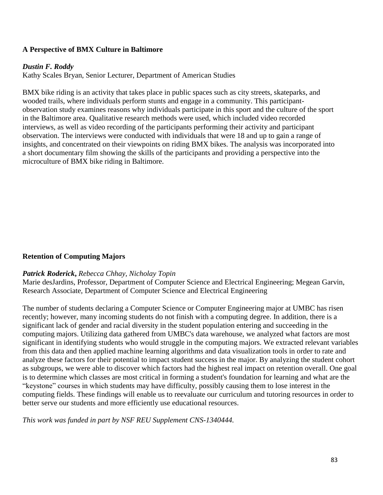### **A Perspective of BMX Culture in Baltimore**

### *Dustin F. Roddy*

Kathy Scales Bryan, Senior Lecturer, Department of American Studies

BMX bike riding is an activity that takes place in public spaces such as city streets, skateparks, and wooded trails, where individuals perform stunts and engage in a community. This participantobservation study examines reasons why individuals participate in this sport and the culture of the sport in the Baltimore area. Qualitative research methods were used, which included video recorded interviews, as well as video recording of the participants performing their activity and participant observation. The interviews were conducted with individuals that were 18 and up to gain a range of insights, and concentrated on their viewpoints on riding BMX bikes. The analysis was incorporated into a short documentary film showing the skills of the participants and providing a perspective into the microculture of BMX bike riding in Baltimore.

### **Retention of Computing Majors**

#### *Patrick Roderick***,** *Rebecca Chhay, Nicholay Topin*

Marie desJardins, Professor, Department of Computer Science and Electrical Engineering; Megean Garvin, Research Associate, Department of Computer Science and Electrical Engineering

The number of students declaring a Computer Science or Computer Engineering major at UMBC has risen recently; however, many incoming students do not finish with a computing degree. In addition, there is a significant lack of gender and racial diversity in the student population entering and succeeding in the computing majors. Utilizing data gathered from UMBC's data warehouse, we analyzed what factors are most significant in identifying students who would struggle in the computing majors. We extracted relevant variables from this data and then applied machine learning algorithms and data visualization tools in order to rate and analyze these factors for their potential to impact student success in the major. By analyzing the student cohort as subgroups, we were able to discover which factors had the highest real impact on retention overall. One goal is to determine which classes are most critical in forming a student's foundation for learning and what are the "keystone" courses in which students may have difficulty, possibly causing them to lose interest in the computing fields. These findings will enable us to reevaluate our curriculum and tutoring resources in order to better serve our students and more efficiently use educational resources.

*This work was funded in part by NSF REU Supplement CNS-1340444.*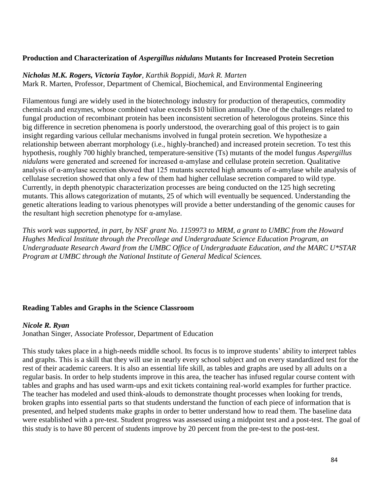### **Production and Characterization of** *Aspergillus nidulans* **Mutants for Increased Protein Secretion**

*Nicholas M.K. Rogers, Victoria Taylor, Karthik Boppidi, Mark R. Marten*

Mark R. Marten, Professor, Department of Chemical, Biochemical, and Environmental Engineering

Filamentous fungi are widely used in the biotechnology industry for production of therapeutics, commodity chemicals and enzymes, whose combined value exceeds \$10 billion annually. One of the challenges related to fungal production of recombinant protein has been inconsistent secretion of heterologous proteins. Since this big difference in secretion phenomena is poorly understood, the overarching goal of this project is to gain insight regarding various cellular mechanisms involved in fungal protein secretion. We hypothesize a relationship between aberrant morphology (i.e., highly-branched) and increased protein secretion. To test this hypothesis, roughly 700 highly branched, temperature-sensitive (Ts) mutants of the model fungus *Aspergillus nidulans* were generated and screened for increased α-amylase and cellulase protein secretion. Qualitative analysis of α-amylase secretion showed that 125 mutants secreted high amounts of α-amylase while analysis of cellulase secretion showed that only a few of them had higher cellulase secretion compared to wild type. Currently, in depth phenotypic characterization processes are being conducted on the 125 high secreting mutants. This allows categorization of mutants, 25 of which will eventually be sequenced. Understanding the genetic alterations leading to various phenotypes will provide a better understanding of the genomic causes for the resultant high secretion phenotype for α-amylase.

*This work was supported, in part, by NSF grant No. 1159973 to MRM, a grant to UMBC from the Howard Hughes Medical Institute through the Precollege and Undergraduate Science Education Program, an Undergraduate Research Award from the UMBC Office of Undergraduate Education, and the MARC U\*STAR Program at UMBC through the National Institute of General Medical Sciences.* 

### **Reading Tables and Graphs in the Science Classroom**

### *Nicole R. Ryan*

Jonathan Singer, Associate Professor, Department of Education

This study takes place in a high-needs middle school. Its focus is to improve students' ability to interpret tables and graphs. This is a skill that they will use in nearly every school subject and on every standardized test for the rest of their academic careers. It is also an essential life skill, as tables and graphs are used by all adults on a regular basis. In order to help students improve in this area, the teacher has infused regular course content with tables and graphs and has used warm-ups and exit tickets containing real-world examples for further practice. The teacher has modeled and used think-alouds to demonstrate thought processes when looking for trends, broken graphs into essential parts so that students understand the function of each piece of information that is presented, and helped students make graphs in order to better understand how to read them. The baseline data were established with a pre-test. Student progress was assessed using a midpoint test and a post-test. The goal of this study is to have 80 percent of students improve by 20 percent from the pre-test to the post-test.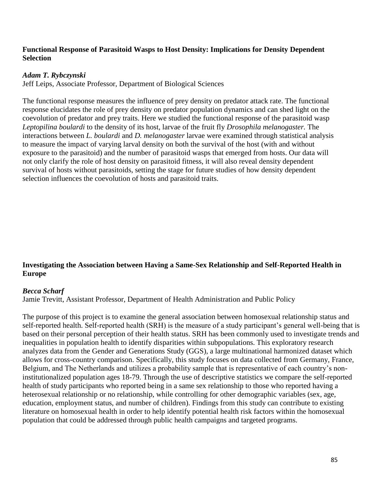### **Functional Response of Parasitoid Wasps to Host Density: Implications for Density Dependent Selection**

#### *Adam T. Rybczynski*

Jeff Leips, Associate Professor, Department of Biological Sciences

The functional response measures the influence of prey density on predator attack rate. The functional response elucidates the role of prey density on predator population dynamics and can shed light on the coevolution of predator and prey traits. Here we studied the functional response of the parasitoid wasp *Leptopilina boulardi* to the density of its host, larvae of the fruit fly *Drosophila melanogaster.* The interactions between *L. boulardi* and *D. melanogaster* larvae were examined through statistical analysis to measure the impact of varying larval density on both the survival of the host (with and without exposure to the parasitoid) and the number of parasitoid wasps that emerged from hosts. Our data will not only clarify the role of host density on parasitoid fitness, it will also reveal density dependent survival of hosts without parasitoids, setting the stage for future studies of how density dependent selection influences the coevolution of hosts and parasitoid traits.

### **Investigating the Association between Having a Same-Sex Relationship and Self-Reported Health in Europe**

#### *Becca Scharf*

Jamie Trevitt, Assistant Professor, Department of Health Administration and Public Policy

The purpose of this project is to examine the general association between homosexual relationship status and self-reported health. Self-reported health (SRH) is the measure of a study participant's general well-being that is based on their personal perception of their health status. SRH has been commonly used to investigate trends and inequalities in population health to identify disparities within subpopulations. This exploratory research analyzes data from the Gender and Generations Study (GGS), a large multinational harmonized dataset which allows for cross-country comparison. Specifically, this study focuses on data collected from Germany, France, Belgium, and The Netherlands and utilizes a probability sample that is representative of each country's noninstitutionalized population ages 18-79. Through the use of descriptive statistics we compare the self-reported health of study participants who reported being in a same sex relationship to those who reported having a heterosexual relationship or no relationship, while controlling for other demographic variables (sex, age, education, employment status, and number of children). Findings from this study can contribute to existing literature on homosexual health in order to help identify potential health risk factors within the homosexual population that could be addressed through public health campaigns and targeted programs.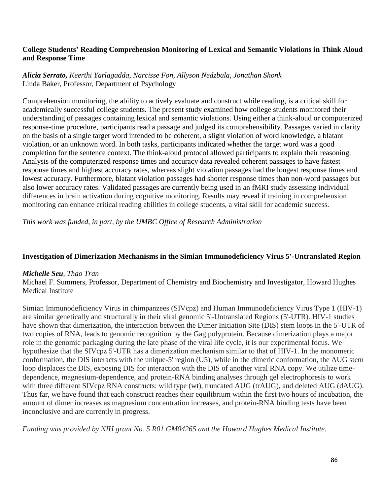### **College Students' Reading Comprehension Monitoring of Lexical and Semantic Violations in Think Aloud and Response Time**

### *Alicia Serrato, Keerthi Yarlagadda, Narcisse Fon, Allyson Nedzbala, Jonathan Shonk* Linda Baker, Professor, Department of Psychology

Comprehension monitoring, the ability to actively evaluate and construct while reading, is a critical skill for academically successful college students. The present study examined how college students monitored their understanding of passages containing lexical and semantic violations. Using either a think-aloud or computerized response-time procedure, participants read a passage and judged its comprehensibility. Passages varied in clarity on the basis of a single target word intended to be coherent, a slight violation of word knowledge, a blatant violation, or an unknown word. In both tasks, participants indicated whether the target word was a good completion for the sentence context. The think-aloud protocol allowed participants to explain their reasoning. Analysis of the computerized response times and accuracy data revealed coherent passages to have fastest response times and highest accuracy rates, whereas slight violation passages had the longest response times and lowest accuracy. Furthermore, blatant violation passages had shorter response times than non-word passages but also lower accuracy rates. Validated passages are currently being used in an fMRI study assessing individual differences in brain activation during cognitive monitoring. Results may reveal if training in comprehension monitoring can enhance critical reading abilities in college students, a vital skill for academic success.

*This work was funded, in part, by the UMBC Office of Research Administration*

#### **Investigation of Dimerization Mechanisms in the Simian Immunodeficiency Virus 5'-Untranslated Region**

#### *Michelle Seu, Thao Tran*

Michael F. Summers, Professor, Department of Chemistry and Biochemistry and Investigator, Howard Hughes Medical Institute

Simian Immunodeficiency Virus in chimpanzees (SIVcpz) and Human Immunodeficiency Virus Type 1 (HIV-1) are similar genetically and structurally in their viral genomic 5'-Untranslated Regions (5'-UTR). HIV-1 studies have shown that dimerization, the interaction between the Dimer Initiation Site (DIS) stem loops in the 5'-UTR of two copies of RNA, leads to genomic recognition by the Gag polyprotein. Because dimerization plays a major role in the genomic packaging during the late phase of the viral life cycle, it is our experimental focus. We hypothesize that the SIVcpz 5'-UTR has a dimerization mechanism similar to that of HIV-1. In the monomeric conformation, the DIS interacts with the unique-5' region (U5), while in the dimeric conformation, the AUG stem loop displaces the DIS, exposing DIS for interaction with the DIS of another viral RNA copy. We utilize timedependence, magnesium-dependence, and protein-RNA binding analyses through gel electrophoresis to work with three different SIVcpz RNA constructs: wild type (wt), truncated AUG (trAUG), and deleted AUG (dAUG). Thus far, we have found that each construct reaches their equilibrium within the first two hours of incubation, the amount of dimer increases as magnesium concentration increases, and protein-RNA binding tests have been inconclusive and are currently in progress.

*Funding was provided by NIH grant No. 5 R01 GM04265 and the Howard Hughes Medical Institute.*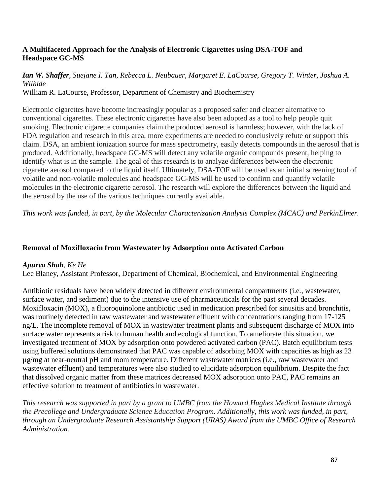## **A Multifaceted Approach for the Analysis of Electronic Cigarettes using DSA-TOF and Headspace GC-MS**

#### *Ian W. Shaffer, Suejane I. Tan, Rebecca L. Neubauer, Margaret E. LaCourse, Gregory T. Winter, Joshua A. Wilhide* William R. LaCourse, Professor, Department of Chemistry and Biochemistry

Electronic cigarettes have become increasingly popular as a proposed safer and cleaner alternative to conventional cigarettes. These electronic cigarettes have also been adopted as a tool to help people quit smoking. Electronic cigarette companies claim the produced aerosol is harmless; however, with the lack of FDA regulation and research in this area, more experiments are needed to conclusively refute or support this claim. DSA, an ambient ionization source for mass spectrometry, easily detects compounds in the aerosol that is produced. Additionally, headspace GC-MS will detect any volatile organic compounds present, helping to identify what is in the sample. The goal of this research is to analyze differences between the electronic cigarette aerosol compared to the liquid itself. Ultimately, DSA-TOF will be used as an initial screening tool of volatile and non-volatile molecules and headspace GC-MS will be used to confirm and quantify volatile molecules in the electronic cigarette aerosol. The research will explore the differences between the liquid and the aerosol by the use of the various techniques currently available.

*This work was funded, in part, by the Molecular Characterization Analysis Complex (MCAC) and PerkinElmer.*

## **Removal of Moxifloxacin from Wastewater by Adsorption onto Activated Carbon**

### *Apurva Shah, Ke He*

Lee Blaney, Assistant Professor, Department of Chemical, Biochemical, and Environmental Engineering

Antibiotic residuals have been widely detected in different environmental compartments (i.e*.*, wastewater, surface water, and sediment) due to the intensive use of pharmaceuticals for the past several decades. Moxifloxacin (MOX), a fluoroquinolone antibiotic used in medication prescribed for sinusitis and bronchitis, was routinely detected in raw wastewater and wastewater effluent with concentrations ranging from 17-125 ng/L. The incomplete removal of MOX in wastewater treatment plants and subsequent discharge of MOX into surface water represents a risk to human health and ecological function. To ameliorate this situation, we investigated treatment of MOX by adsorption onto powdered activated carbon (PAC). Batch equilibrium tests using buffered solutions demonstrated that PAC was capable of adsorbing MOX with capacities as high as 23 µg/mg at near-neutral pH and room temperature. Different wastewater matrices (i.e*.*, raw wastewater and wastewater effluent) and temperatures were also studied to elucidate adsorption equilibrium. Despite the fact that dissolved organic matter from these matrices decreased MOX adsorption onto PAC, PAC remains an effective solution to treatment of antibiotics in wastewater.

*This research was supported in part by a grant to UMBC from the Howard Hughes Medical Institute through the Precollege and Undergraduate Science Education Program. Additionally, this work was funded, in part, through an Undergraduate Research Assistantship Support (URAS) Award from the UMBC Office of Research Administration.*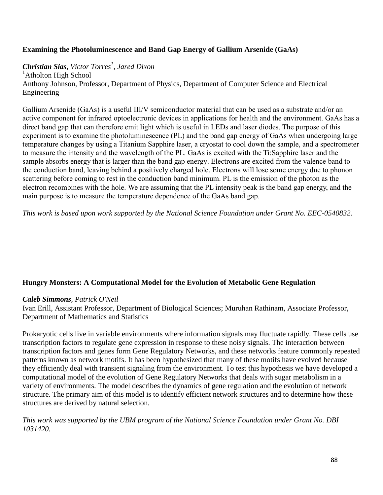## **Examining the Photoluminescence and Band Gap Energy of Gallium Arsenide (GaAs)**

# *Christian Sias, Victor Torres<sup>1</sup> , Jared Dixon*

<sup>1</sup>Atholton High School Anthony Johnson, Professor, Department of Physics, Department of Computer Science and Electrical Engineering

Gallium Arsenide (GaAs) is a useful III/V semiconductor material that can be used as a substrate and/or an active component for infrared optoelectronic devices in applications for health and the environment. GaAs has a direct band gap that can therefore emit light which is useful in LEDs and laser diodes. The purpose of this experiment is to examine the photoluminescence (PL) and the band gap energy of GaAs when undergoing large temperature changes by using a Titanium Sapphire laser, a cryostat to cool down the sample, and a spectrometer to measure the intensity and the wavelength of the PL. GaAs is excited with the Ti:Sapphire laser and the sample absorbs energy that is larger than the band gap energy. Electrons are excited from the valence band to the conduction band, leaving behind a positively charged hole. Electrons will lose some energy due to phonon scattering before coming to rest in the conduction band minimum. PL is the emission of the photon as the electron recombines with the hole. We are assuming that the PL intensity peak is the band gap energy, and the main purpose is to measure the temperature dependence of the GaAs band gap.

*This work is based upon work supported by the National Science Foundation under Grant No. EEC-0540832.*

### **Hungry Monsters: A Computational Model for the Evolution of Metabolic Gene Regulation**

#### *Caleb Simmons, Patrick O'Neil*

Ivan Erill, Assistant Professor, Department of Biological Sciences; Muruhan Rathinam, Associate Professor, Department of Mathematics and Statistics

Prokaryotic cells live in variable environments where information signals may fluctuate rapidly. These cells use transcription factors to regulate gene expression in response to these noisy signals. The interaction between transcription factors and genes form Gene Regulatory Networks, and these networks feature commonly repeated patterns known as network motifs. It has been hypothesized that many of these motifs have evolved because they efficiently deal with transient signaling from the environment. To test this hypothesis we have developed a computational model of the evolution of Gene Regulatory Networks that deals with sugar metabolism in a variety of environments. The model describes the dynamics of gene regulation and the evolution of network structure. The primary aim of this model is to identify efficient network structures and to determine how these structures are derived by natural selection.

### *This work was supported by the UBM program of the National Science Foundation under Grant No. DBI 1031420.*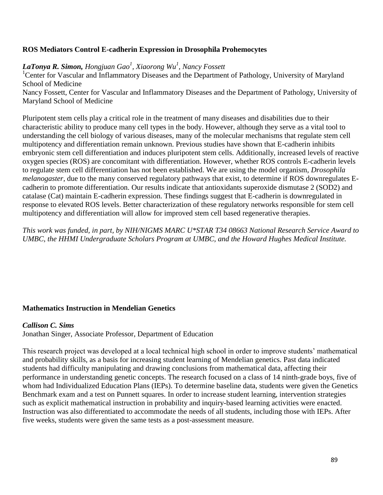### **ROS Mediators Control E-cadherin Expression in Drosophila Prohemocytes**

*LaTonya R. Simon, Hongjuan Gao<sup>1</sup> , Xiaorong Wu<sup>1</sup> , Nancy Fossett*

<sup>1</sup>Center for Vascular and Inflammatory Diseases and the Department of Pathology, University of Maryland School of Medicine Nancy Fossett, Center for Vascular and Inflammatory Diseases and the Department of Pathology, University of Maryland School of Medicine

Pluripotent stem cells play a critical role in the treatment of many diseases and disabilities due to their characteristic ability to produce many cell types in the body. However, although they serve as a vital tool to understanding the cell biology of various diseases, many of the molecular mechanisms that regulate stem cell multipotency and differentiation remain unknown. Previous studies have shown that E-cadherin inhibits embryonic stem cell differentiation and induces pluripotent stem cells. Additionally, increased levels of reactive oxygen species (ROS) are concomitant with differentiation. However, whether ROS controls E-cadherin levels to regulate stem cell differentiation has not been established. We are using the model organism, *Drosophila melanogaster*, due to the many conserved regulatory pathways that exist, to determine if ROS downregulates Ecadherin to promote differentiation. Our results indicate that antioxidants superoxide dismutase 2 (SOD2) and catalase (Cat) maintain E-cadherin expression. These findings suggest that E-cadherin is downregulated in response to elevated ROS levels. Better characterization of these regulatory networks responsible for stem cell multipotency and differentiation will allow for improved stem cell based regenerative therapies.

*This work was funded, in part, by NIH/NIGMS MARC U\*STAR T34 08663 National Research Service Award to UMBC, the HHMI Undergraduate Scholars Program at UMBC, and the Howard Hughes Medical Institute.*

### **Mathematics Instruction in Mendelian Genetics**

#### *Callison C. Sims*

Jonathan Singer, Associate Professor, Department of Education

This research project was developed at a local technical high school in order to improve students' mathematical and probability skills, as a basis for increasing student learning of Mendelian genetics. Past data indicated students had difficulty manipulating and drawing conclusions from mathematical data, affecting their performance in understanding genetic concepts. The research focused on a class of 14 ninth-grade boys, five of whom had Individualized Education Plans (IEPs). To determine baseline data, students were given the Genetics Benchmark exam and a test on Punnett squares. In order to increase student learning, intervention strategies such as explicit mathematical instruction in probability and inquiry-based learning activities were enacted. Instruction was also differentiated to accommodate the needs of all students, including those with IEPs. After five weeks, students were given the same tests as a post-assessment measure.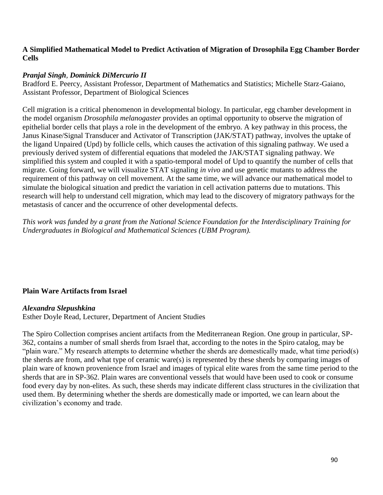### **A Simplified Mathematical Model to Predict Activation of Migration of Drosophila Egg Chamber Border Cells**

### *Pranjal Singh, Dominick DiMercurio II*

Bradford E. Peercy, Assistant Professor, Department of Mathematics and Statistics; Michelle Starz-Gaiano, Assistant Professor, Department of Biological Sciences

Cell migration is a critical phenomenon in developmental biology. In particular, egg chamber development in the model organism *Drosophila melanogaster* provides an optimal opportunity to observe the migration of epithelial border cells that plays a role in the development of the embryo. A key pathway in this process, the Janus Kinase/Signal Transducer and Activator of Transcription (JAK/STAT) pathway, involves the uptake of the ligand Unpaired (Upd) by follicle cells, which causes the activation of this signaling pathway. We used a previously derived system of differential equations that modeled the JAK/STAT signaling pathway. We simplified this system and coupled it with a spatio-temporal model of Upd to quantify the number of cells that migrate. Going forward, we will visualize STAT signaling *in vivo* and use genetic mutants to address the requirement of this pathway on cell movement. At the same time, we will advance our mathematical model to simulate the biological situation and predict the variation in cell activation patterns due to mutations. This research will help to understand cell migration, which may lead to the discovery of migratory pathways for the metastasis of cancer and the occurrence of other developmental defects.

*This work was funded by a grant from the National Science Foundation for the Interdisciplinary Training for Undergraduates in Biological and Mathematical Sciences (UBM Program).*

### **Plain Ware Artifacts from Israel**

#### *Alexandra Slepushkina*

Esther Doyle Read, Lecturer, Department of Ancient Studies

The Spiro Collection comprises ancient artifacts from the Mediterranean Region. One group in particular, SP-362, contains a number of small sherds from Israel that, according to the notes in the Spiro catalog, may be "plain ware." My research attempts to determine whether the sherds are domestically made, what time period(s) the sherds are from, and what type of ceramic ware(s) is represented by these sherds by comparing images of plain ware of known provenience from Israel and images of typical elite wares from the same time period to the sherds that are in SP-362. Plain wares are conventional vessels that would have been used to cook or consume food every day by non-elites. As such, these sherds may indicate different class structures in the civilization that used them. By determining whether the sherds are domestically made or imported, we can learn about the civilization's economy and trade.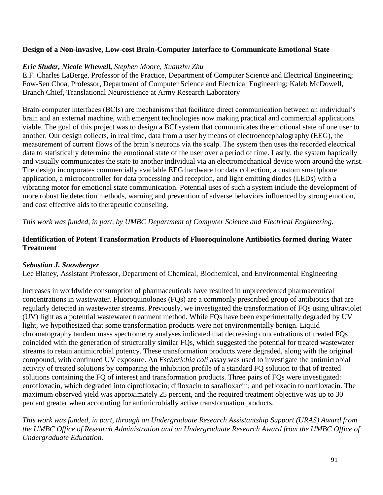### **Design of a Non-invasive, Low-cost Brain-Computer Interface to Communicate Emotional State**

### *Eric Sluder, Nicole Whewell, Stephen Moore, Xuanzhu Zhu*

E.F. Charles LaBerge, Professor of the Practice, Department of Computer Science and Electrical Engineering; Fow-Sen Choa, Professor, Department of Computer Science and Electrical Engineering; Kaleb McDowell, Branch Chief, Translational Neuroscience at Army Research Laboratory

Brain-computer interfaces (BCIs) are mechanisms that facilitate direct communication between an individual's brain and an external machine, with emergent technologies now making practical and commercial applications viable. The goal of this project was to design a BCI system that communicates the emotional state of one user to another. Our design collects, in real time, data from a user by means of electroencephalography (EEG), the measurement of current flows of the brain's neurons via the scalp. The system then uses the recorded electrical data to statistically determine the emotional state of the user over a period of time. Lastly, the system haptically and visually communicates the state to another individual via an electromechanical device worn around the wrist. The design incorporates commercially available EEG hardware for data collection, a custom smartphone application, a microcontroller for data processing and reception, and light emitting diodes (LEDs) with a vibrating motor for emotional state communication. Potential uses of such a system include the development of more robust lie detection methods, warning and prevention of adverse behaviors influenced by strong emotion, and cost effective aids to therapeutic counseling.

*This work was funded, in part, by UMBC Department of Computer Science and Electrical Engineering.*

## **Identification of Potent Transformation Products of Fluoroquinolone Antibiotics formed during Water Treatment**

### *Sebastian J. Snowberger*

Lee Blaney, Assistant Professor, Department of Chemical, Biochemical, and Environmental Engineering

Increases in worldwide consumption of pharmaceuticals have resulted in unprecedented pharmaceutical concentrations in wastewater. Fluoroquinolones (FQs) are a commonly prescribed group of antibiotics that are regularly detected in wastewater streams. Previously, we investigated the transformation of FQs using ultraviolet (UV) light as a potential wastewater treatment method. While FQs have been experimentally degraded by UV light, we hypothesized that some transformation products were not environmentally benign. Liquid chromatography tandem mass spectrometry analyses indicated that decreasing concentrations of treated FQs coincided with the generation of structurally similar FQs, which suggested the potential for treated wastewater streams to retain antimicrobial potency. These transformation products were degraded, along with the original compound, with continued UV exposure. An *Escherichia coli* assay was used to investigate the antimicrobial activity of treated solutions by comparing the inhibition profile of a standard FQ solution to that of treated solutions containing the FQ of interest and transformation products. Three pairs of FQs were investigated: enrofloxacin, which degraded into ciprofloxacin; difloxacin to sarafloxacin; and pefloxacin to norfloxacin. The maximum observed yield was approximately 25 percent, and the required treatment objective was up to 30 percent greater when accounting for antimicrobially active transformation products.

*This work was funded, in part, through an Undergraduate Research Assistantship Support (URAS) Award from the UMBC Office of Research Administration and an Undergraduate Research Award from the UMBC Office of Undergraduate Education.*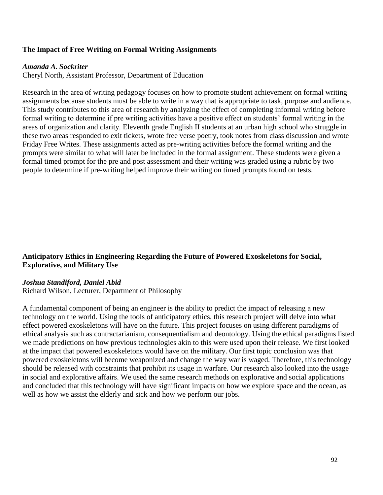### **The Impact of Free Writing on Formal Writing Assignments**

#### *Amanda A. Sockriter*

Cheryl North, Assistant Professor, Department of Education

Research in the area of writing pedagogy focuses on how to promote student achievement on formal writing assignments because students must be able to write in a way that is appropriate to task, purpose and audience. This study contributes to this area of research by analyzing the effect of completing informal writing before formal writing to determine if pre writing activities have a positive effect on students' formal writing in the areas of organization and clarity. Eleventh grade English II students at an urban high school who struggle in these two areas responded to exit tickets, wrote free verse poetry, took notes from class discussion and wrote Friday Free Writes. These assignments acted as pre-writing activities before the formal writing and the prompts were similar to what will later be included in the formal assignment. These students were given a formal timed prompt for the pre and post assessment and their writing was graded using a rubric by two people to determine if pre-writing helped improve their writing on timed prompts found on tests.

### **Anticipatory Ethics in Engineering Regarding the Future of Powered Exoskeletons for Social, Explorative, and Military Use**

#### *Joshua Standiford, Daniel Abid*

Richard Wilson, Lecturer, Department of Philosophy

A fundamental component of being an engineer is the ability to predict the impact of releasing a new technology on the world. Using the tools of anticipatory ethics, this research project will delve into what effect powered exoskeletons will have on the future. This project focuses on using different paradigms of ethical analysis such as contractarianism, consequentialism and deontology. Using the ethical paradigms listed we made predictions on how previous technologies akin to this were used upon their release. We first looked at the impact that powered exoskeletons would have on the military. Our first topic conclusion was that powered exoskeletons will become weaponized and change the way war is waged. Therefore, this technology should be released with constraints that prohibit its usage in warfare. Our research also looked into the usage in social and explorative affairs. We used the same research methods on explorative and social applications and concluded that this technology will have significant impacts on how we explore space and the ocean, as well as how we assist the elderly and sick and how we perform our jobs.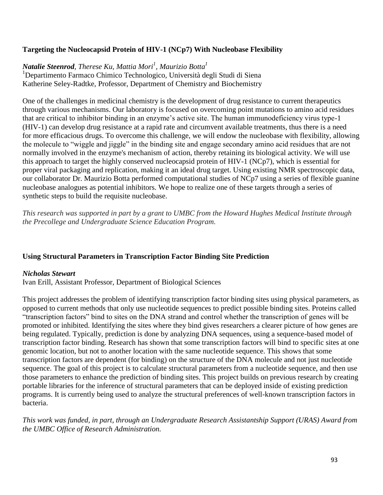### **Targeting the Nucleocapsid Protein of HIV-1 (NCp7) With Nucleobase Flexibility**

# *Natalie Steenrod, Therese Ku, Mattia Mori<sup>1</sup> , Maurizio Botta<sup>1</sup>*

<sup>1</sup>Departimento Farmaco Chimico Technologico, Università degli Studi di Siena Katherine Seley-Radtke, Professor, Department of Chemistry and Biochemistry

One of the challenges in medicinal chemistry is the development of drug resistance to current therapeutics through various mechanisms. Our laboratory is focused on overcoming point mutations to amino acid residues that are critical to inhibitor binding in an enzyme's active site. The human immunodeficiency virus type-1 (HIV-1) can develop drug resistance at a rapid rate and circumvent available treatments, thus there is a need for more efficacious drugs. To overcome this challenge, we will endow the nucleobase with flexibility, allowing the molecule to "wiggle and jiggle" in the binding site and engage secondary amino acid residues that are not normally involved in the enzyme's mechanism of action, thereby retaining its biological activity. We will use this approach to target the highly conserved nucleocapsid protein of HIV-1 (NCp7), which is essential for proper viral packaging and replication, making it an ideal drug target. Using existing NMR spectroscopic data, our collaborator Dr. Maurizio Botta performed computational studies of NCp7 using a series of flexible guanine nucleobase analogues as potential inhibitors. We hope to realize one of these targets through a series of synthetic steps to build the requisite nucleobase.

*This research was supported in part by a grant to UMBC from the Howard Hughes Medical Institute through the Precollege and Undergraduate Science Education Program.*

#### **Using Structural Parameters in Transcription Factor Binding Site Prediction**

#### *Nicholas Stewart*

Ivan Erill, Assistant Professor, Department of Biological Sciences

This project addresses the problem of identifying transcription factor binding sites using physical parameters, as opposed to current methods that only use nucleotide sequences to predict possible binding sites. Proteins called "transcription factors" bind to sites on the DNA strand and control whether the transcription of genes will be promoted or inhibited. Identifying the sites where they bind gives researchers a clearer picture of how genes are being regulated. Typically, prediction is done by analyzing DNA sequences, using a sequence-based model of transcription factor binding. Research has shown that some transcription factors will bind to specific sites at one genomic location, but not to another location with the same nucleotide sequence. This shows that some transcription factors are dependent (for binding) on the structure of the DNA molecule and not just nucleotide sequence. The goal of this project is to calculate structural parameters from a nucleotide sequence, and then use those parameters to enhance the prediction of binding sites. This project builds on previous research by creating portable libraries for the inference of structural parameters that can be deployed inside of existing prediction programs. It is currently being used to analyze the structural preferences of well-known transcription factors in bacteria.

*This work was funded, in part, through an Undergraduate Research Assistantship Support (URAS) Award from the UMBC Office of Research Administration.*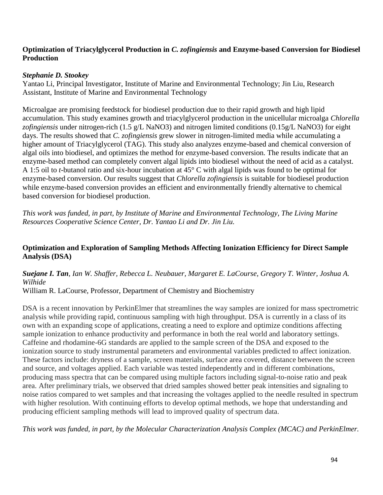### **Optimization of Triacylglycerol Production in** *C. zofingiensis* **and Enzyme-based Conversion for Biodiesel Production**

### *Stephanie D. Stookey*

Yantao Li, Principal Investigator, Institute of Marine and Environmental Technology; Jin Liu, Research Assistant, Institute of Marine and Environmental Technology

Microalgae are promising feedstock for biodiesel production due to their rapid growth and high lipid accumulation. This study examines growth and triacylglycerol production in the unicellular microalga *Chlorella zofingiensis* under nitrogen-rich (1.5 g/L NaNO3) and nitrogen limited conditions (0.15g/L NaNO3) for eight days. The results showed that *C. zofingiensis* grew slower in nitrogen-limited media while accumulating a higher amount of Triacylglycerol (TAG). This study also analyzes enzyme-based and chemical conversion of algal oils into biodiesel, and optimizes the method for enzyme-based conversion. The results indicate that an enzyme-based method can completely convert algal lipids into biodiesel without the need of acid as a catalyst. A 1:5 oil to *t*-butanol ratio and six-hour incubation at 45° C with algal lipids was found to be optimal for enzyme-based conversion. Our results suggest that *Chlorella zofingiensis* is suitable for biodiesel production while enzyme-based conversion provides an efficient and environmentally friendly alternative to chemical based conversion for biodiesel production.

*This work was funded, in part, by Institute of Marine and Environmental Technology, The Living Marine Resources Cooperative Science Center, Dr. Yantao Li and Dr. Jin Liu.*

## **Optimization and Exploration of Sampling Methods Affecting Ionization Efficiency for Direct Sample Analysis (DSA)**

## *Suejane I. Tan, Ian W. Shaffer, Rebecca L. Neubauer, Margaret E. LaCourse, Gregory T. Winter, Joshua A. Wilhide*

William R. LaCourse, Professor, Department of Chemistry and Biochemistry

DSA is a recent innovation by PerkinElmer that streamlines the way samples are ionized for mass spectrometric analysis while providing rapid, continuous sampling with high throughput. DSA is currently in a class of its own with an expanding scope of applications, creating a need to explore and optimize conditions affecting sample ionization to enhance productivity and performance in both the real world and laboratory settings. Caffeine and rhodamine-6G standards are applied to the sample screen of the DSA and exposed to the ionization source to study instrumental parameters and environmental variables predicted to affect ionization. These factors include: dryness of a sample, screen materials, surface area covered, distance between the screen and source, and voltages applied. Each variable was tested independently and in different combinations, producing mass spectra that can be compared using multiple factors including signal-to-noise ratio and peak area. After preliminary trials, we observed that dried samples showed better peak intensities and signaling to noise ratios compared to wet samples and that increasing the voltages applied to the needle resulted in spectrum with higher resolution. With continuing efforts to develop optimal methods, we hope that understanding and producing efficient sampling methods will lead to improved quality of spectrum data.

*This work was funded, in part, by the Molecular Characterization Analysis Complex (MCAC) and PerkinElmer.*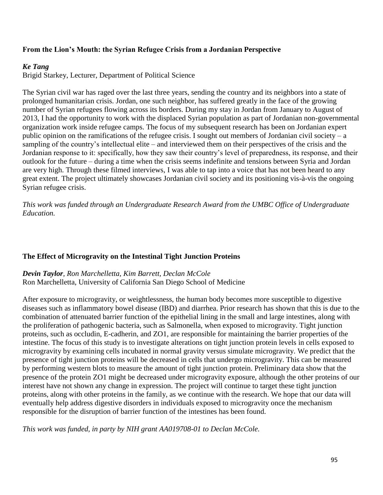## **From the Lion's Mouth: the Syrian Refugee Crisis from a Jordanian Perspective**

### *Ke Tang*

Brigid Starkey, Lecturer, Department of Political Science

The Syrian civil war has raged over the last three years, sending the country and its neighbors into a state of prolonged humanitarian crisis. Jordan, one such neighbor, has suffered greatly in the face of the growing number of Syrian refugees flowing across its borders. During my stay in Jordan from January to August of 2013, I had the opportunity to work with the displaced Syrian population as part of Jordanian non-governmental organization work inside refugee camps. The focus of my subsequent research has been on Jordanian expert public opinion on the ramifications of the refugee crisis. I sought out members of Jordanian civil society – a sampling of the country's intellectual elite – and interviewed them on their perspectives of the crisis and the Jordanian response to it: specifically, how they saw their country's level of preparedness, its response, and their outlook for the future – during a time when the crisis seems indefinite and tensions between Syria and Jordan are very high. Through these filmed interviews, I was able to tap into a voice that has not been heard to any great extent. The project ultimately showcases Jordanian civil society and its positioning vis-à-vis the ongoing Syrian refugee crisis.

*This work was funded through an Undergraduate Research Award from the UMBC Office of Undergraduate Education.*

#### **The Effect of Microgravity on the Intestinal Tight Junction Proteins**

*Devin Taylor, Ron Marchelletta, Kim Barrett, Declan McCole* Ron Marchelletta, University of California San Diego School of Medicine

After exposure to microgravity, or weightlessness, the human body becomes more susceptible to digestive diseases such as inflammatory bowel disease (IBD) and diarrhea. Prior research has shown that this is due to the combination of attenuated barrier function of the epithelial lining in the small and large intestines, along with the proliferation of pathogenic bacteria, such as Salmonella, when exposed to microgravity. Tight junction proteins, such as occludin, E-cadherin, and ZO1, are responsible for maintaining the barrier properties of the intestine. The focus of this study is to investigate alterations on tight junction protein levels in cells exposed to microgravity by examining cells incubated in normal gravity versus simulate microgravity. We predict that the presence of tight junction proteins will be decreased in cells that undergo microgravity. This can be measured by performing western blots to measure the amount of tight junction protein. Preliminary data show that the presence of the protein ZO1 might be decreased under microgravity exposure, although the other proteins of our interest have not shown any change in expression. The project will continue to target these tight junction proteins, along with other proteins in the family, as we continue with the research. We hope that our data will eventually help address digestive disorders in individuals exposed to microgravity once the mechanism responsible for the disruption of barrier function of the intestines has been found.

*This work was funded, in party by NIH grant AA019708-01 to Declan McCole.*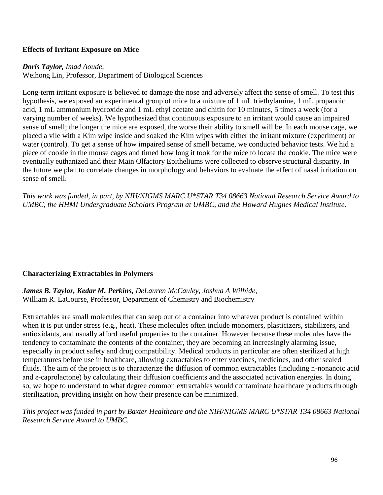### **Effects of Irritant Exposure on Mice**

#### *Doris Taylor, Imad Aoude,*

Weihong Lin, Professor, Department of Biological Sciences

Long-term irritant exposure is believed to damage the nose and adversely affect the sense of smell. To test this hypothesis, we exposed an experimental group of mice to a mixture of 1 mL triethylamine, 1 mL propanoic acid, 1 mL ammonium hydroxide and 1 mL ethyl acetate and chitin for 10 minutes, 5 times a week (for a varying number of weeks). We hypothesized that continuous exposure to an irritant would cause an impaired sense of smell; the longer the mice are exposed, the worse their ability to smell will be. In each mouse cage, we placed a vile with a Kim wipe inside and soaked the Kim wipes with either the irritant mixture (experiment) or water (control). To get a sense of how impaired sense of smell became, we conducted behavior tests. We hid a piece of cookie in the mouse cages and timed how long it took for the mice to locate the cookie. The mice were eventually euthanized and their Main Olfactory Epitheliums were collected to observe structural disparity. In the future we plan to correlate changes in morphology and behaviors to evaluate the effect of nasal irritation on sense of smell.

*This work was funded, in part, by NIH/NIGMS MARC U\*STAR T34 08663 National Research Service Award to UMBC, the HHMI Undergraduate Scholars Program at UMBC, and the Howard Hughes Medical Institute.*

#### **Characterizing Extractables in Polymers**

*James B. Taylor, Kedar M. Perkins, DeLauren McCauley, Joshua A Wilhide,* William R. LaCourse, Professor, Department of Chemistry and Biochemistry

Extractables are small molecules that can seep out of a container into whatever product is contained within when it is put under stress (e.g., heat). These molecules often include monomers, plasticizers, stabilizers, and antioxidants, and usually afford useful properties to the container. However because these molecules have the tendency to contaminate the contents of the container, they are becoming an increasingly alarming issue, especially in product safety and drug compatibility. Medical products in particular are often sterilized at high temperatures before use in healthcare, allowing extractables to enter vaccines, medicines, and other sealed fluids. The aim of the project is to characterize the diffusion of common extractables (including n-nonanoic acid and ε-caprolactone) by calculating their diffusion coefficients and the associated activation energies. In doing so, we hope to understand to what degree common extractables would contaminate healthcare products through sterilization, providing insight on how their presence can be minimized.

*This project was funded in part by Baxter Healthcare and the NIH/NIGMS MARC U\*STAR T34 08663 National Research Service Award to UMBC.*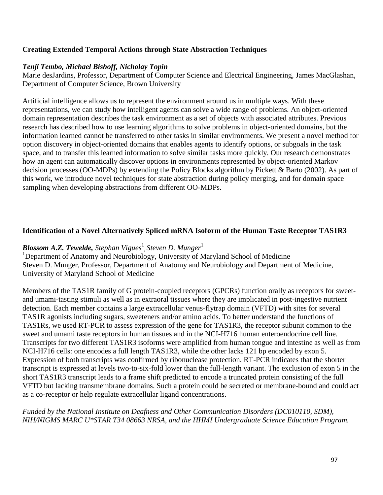## **Creating Extended Temporal Actions through State Abstraction Techniques**

### *Tenji Tembo, Michael Bishoff, Nicholay Topin*

Marie desJardins, Professor, Department of Computer Science and Electrical Engineering, James MacGlashan, Department of Computer Science, Brown University

Artificial intelligence allows us to represent the environment around us in multiple ways. With these representations, we can study how intelligent agents can solve a wide range of problems. An object-oriented domain representation describes the task environment as a set of objects with associated attributes. Previous research has described how to use learning algorithms to solve problems in object-oriented domains, but the information learned cannot be transferred to other tasks in similar environments. We present a novel method for option discovery in object-oriented domains that enables agents to identify options, or subgoals in the task space, and to transfer this learned information to solve similar tasks more quickly. Our research demonstrates how an agent can automatically discover options in environments represented by object-oriented Markov decision processes (OO-MDPs) by extending the Policy Blocks algorithm by Pickett & Barto (2002). As part of this work, we introduce novel techniques for state abstraction during policy merging, and for domain space sampling when developing abstractions from different OO-MDPs.

### **Identification of a Novel Alternatively Spliced mRNA Isoform of the Human Taste Receptor TAS1R3**

# *Blossom A.Z. Tewelde, Stephan Vigues*<sup>1</sup> , *Steven D. Munger*<sup>1</sup>

<sup>1</sup>Department of Anatomy and Neurobiology, University of Maryland School of Medicine Steven D. Munger, Professor, Department of Anatomy and Neurobiology and Department of Medicine, University of Maryland School of Medicine

Members of the TAS1R family of G protein-coupled receptors (GPCRs) function orally as receptors for sweetand umami-tasting stimuli as well as in extraoral tissues where they are implicated in post-ingestive nutrient detection. Each member contains a large extracellular venus-flytrap domain (VFTD) with sites for several TAS1R agonists including sugars, sweeteners and/or amino acids. To better understand the functions of TAS1Rs, we used RT-PCR to assess expression of the gene for TAS1R3, the receptor subunit common to the sweet and umami taste receptors in human tissues and in the NCI-H716 human enteroendocrine cell line. Transcripts for two different TAS1R3 isoforms were amplified from human tongue and intestine as well as from NCI-H716 cells: one encodes a full length TAS1R3, while the other lacks 121 bp encoded by exon 5. Expression of both transcripts was confirmed by ribonuclease protection. RT-PCR indicates that the shorter transcript is expressed at levels two-to-six-fold lower than the full-length variant. The exclusion of exon 5 in the short TAS1R3 transcript leads to a frame shift predicted to encode a truncated protein consisting of the full VFTD but lacking transmembrane domains. Such a protein could be secreted or membrane-bound and could act as a co-receptor or help regulate extracellular ligand concentrations.

*Funded by the National Institute on Deafness and Other Communication Disorders (DC010110, SDM), NIH/NIGMS MARC U\*STAR T34 08663 NRSA, and the HHMI Undergraduate Science Education Program.*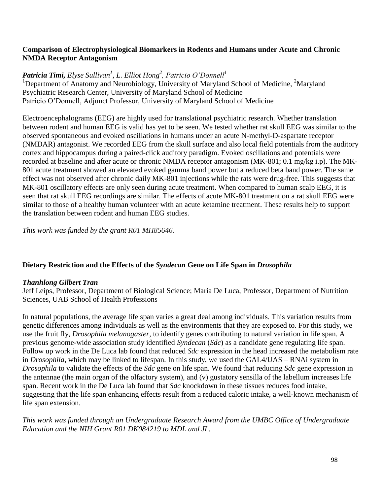### **Comparison of Electrophysiological Biomarkers in Rodents and Humans under Acute and Chronic NMDA Receptor Antagonism**

*Patricia Timi, Elyse Sullivan<sup>1</sup> , L. Elliot Hong<sup>2</sup> , Patricio O'Donnell<sup>1</sup>* <sup>1</sup>Department of Anatomy and Neurobiology, University of Maryland School of Medicine, <sup>2</sup>Maryland Psychiatric Research Center, University of Maryland School of Medicine Patricio O'Donnell, Adjunct Professor, University of Maryland School of Medicine

Electroencephalograms (EEG) are highly used for translational psychiatric research. Whether translation between rodent and human EEG is valid has yet to be seen. We tested whether rat skull EEG was similar to the observed spontaneous and evoked oscillations in humans under an acute N-methyl-D-aspartate receptor (NMDAR) antagonist. We recorded EEG from the skull surface and also local field potentials from the auditory cortex and hippocampus during a paired-click auditory paradigm. Evoked oscillations and potentials were recorded at baseline and after acute or chronic NMDA receptor antagonism (MK-801; 0.1 mg/kg i.p). The MK-801 acute treatment showed an elevated evoked gamma band power but a reduced beta band power. The same effect was not observed after chronic daily MK-801 injections while the rats were drug-free. This suggests that MK-801 oscillatory effects are only seen during acute treatment. When compared to human scalp EEG, it is seen that rat skull EEG recordings are similar. The effects of acute MK-801 treatment on a rat skull EEG were similar to those of a healthy human volunteer with an acute ketamine treatment. These results help to support the translation between rodent and human EEG studies.

*This work was funded by the grant R01 MH85646.*

### **Dietary Restriction and the Effects of the** *Syndecan* **Gene on Life Span in** *Drosophila*

### *Thanhlong Gilbert Tran*

Jeff Leips, Professor, Department of Biological Science; Maria De Luca, Professor, Department of Nutrition Sciences, UAB School of Health Professions

In natural populations, the average life span varies a great deal among individuals. This variation results from genetic differences among individuals as well as the environments that they are exposed to. For this study, we use the fruit fly, *Drosophila melanogaster,* to identify genes contributing to natural variation in life span. A previous genome-wide association study identified *Syndecan* (*Sdc*) as a candidate gene regulating life span. Follow up work in the De Luca lab found that reduced *Sdc* expression in the head increased the metabolism rate in *Drosophila*, which may be linked to lifespan. In this study, we used the GAL4/UAS – RNAi system in *Drosophila* to validate the effects of the *Sdc* gene on life span. We found that reducing *Sdc* gene expression in the antennae (the main organ of the olfactory system), and (v) gustatory sensilla of the labellum increases life span. Recent work in the De Luca lab found that *Sdc* knockdown in these tissues reduces food intake, suggesting that the life span enhancing effects result from a reduced caloric intake, a well-known mechanism of life span extension.

### *This work was funded through an Undergraduate Research Award from the UMBC Office of Undergraduate Education and the NIH Grant R01 DK084219 to MDL and JL.*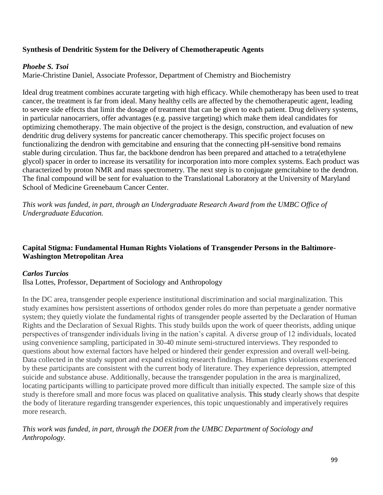## **Synthesis of Dendritic System for the Delivery of Chemotherapeutic Agents**

### *Phoebe S. Tsoi*

Marie-Christine Daniel, Associate Professor, Department of Chemistry and Biochemistry

Ideal drug treatment combines accurate targeting with high efficacy. While chemotherapy has been used to treat cancer, the treatment is far from ideal. Many healthy cells are affected by the chemotherapeutic agent, leading to severe side effects that limit the dosage of treatment that can be given to each patient. Drug delivery systems, in particular nanocarriers, offer advantages (e.g. passive targeting) which make them ideal candidates for optimizing chemotherapy. The main objective of the project is the design, construction, and evaluation of new dendritic drug delivery systems for pancreatic cancer chemotherapy. This specific project focuses on functionalizing the dendron with gemcitabine and ensuring that the connecting pH-sensitive bond remains stable during circulation. Thus far, the backbone dendron has been prepared and attached to a tetra(ethylene glycol) spacer in order to increase its versatility for incorporation into more complex systems. Each product was characterized by proton NMR and mass spectrometry. The next step is to conjugate gemcitabine to the dendron. The final compound will be sent for evaluation to the Translational Laboratory at the University of Maryland School of Medicine Greenebaum Cancer Center.

*This work was funded, in part, through an Undergraduate Research Award from the UMBC Office of Undergraduate Education.* 

### **Capital Stigma: Fundamental Human Rights Violations of Transgender Persons in the Baltimore-Washington Metropolitan Area**

### *Carlos Turcios*

Ilsa Lottes, Professor, Department of Sociology and Anthropology

In the DC area, transgender people experience institutional discrimination and social marginalization. This study examines how persistent assertions of orthodox gender roles do more than perpetuate a gender normative system; they quietly violate the fundamental rights of transgender people asserted by the Declaration of Human Rights and the Declaration of Sexual Rights. This study builds upon the work of queer theorists, adding unique perspectives of transgender individuals living in the nation's capital. A diverse group of 12 individuals, located using convenience sampling, participated in 30-40 minute semi-structured interviews. They responded to questions about how external factors have helped or hindered their gender expression and overall well-being. Data collected in the study support and expand existing research findings. Human rights violations experienced by these participants are consistent with the current body of literature. They experience depression, attempted suicide and substance abuse. Additionally, because the transgender population in the area is marginalized, locating participants willing to participate proved more difficult than initially expected. The sample size of this study is therefore small and more focus was placed on qualitative analysis. This study clearly shows that despite the body of literature regarding transgender experiences, this topic unquestionably and imperatively requires more research.

*This work was funded, in part, through the DOER from the UMBC Department of Sociology and Anthropology.*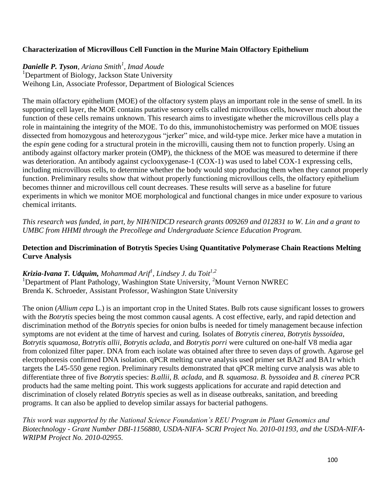## **Characterization of Microvillous Cell Function in the Murine Main Olfactory Epithelium**

# *Danielle P. Tyson, Ariana Smith<sup>1</sup> , Imad Aoude*

<sup>1</sup>Department of Biology, Jackson State University Weihong Lin, Associate Professor, Department of Biological Sciences

The main olfactory epithelium (MOE) of the olfactory system plays an important role in the sense of smell. In its supporting cell layer, the MOE contains putative sensory cells called microvillous cells, however much about the function of these cells remains unknown. This research aims to investigate whether the microvillous cells play a role in maintaining the integrity of the MOE. To do this, immunohistochemistry was performed on MOE tissues dissected from homozygous and heterozygous "jerker" mice, and wild-type mice. Jerker mice have a mutation in the *espin* gene coding for a structural protein in the microvilli, causing them not to function properly. Using an antibody against olfactory marker protein (OMP), the thickness of the MOE was measured to determine if there was deterioration. An antibody against cyclooxygenase-1 (COX-1) was used to label COX-1 expressing cells, including microvillous cells, to determine whether the body would stop producing them when they cannot properly function. Preliminary results show that without properly functioning microvillous cells, the olfactory epithelium becomes thinner and microvillous cell count decreases. These results will serve as a baseline for future experiments in which we monitor MOE morphological and functional changes in mice under exposure to various chemical irritants.

*This research was funded, in part, by NIH/NIDCD research grants 009269 and 012831 to W. Lin and a grant to UMBC from HHMI through the Precollege and Undergraduate Science Education Program.*

### **Detection and Discrimination of Botrytis Species Using Quantitative Polymerase Chain Reactions Melting Curve Analysis**

*Krizia-Ivana T. Udquim, Mohammad Arif<sup>1</sup> , Lindsey J. du Toit1,2* <sup>1</sup>Department of Plant Pathology, Washington State University, <sup>2</sup>Mount Vernon NWREC Brenda K. Schroeder, Assistant Professor, Washington State University

The onion (*Allium cepa* L.) is an important crop in the United States. Bulb rots cause significant losses to growers with the *Botrytis* species being the most common causal agents. A cost effective, early, and rapid detection and discrimination method of the *Botrytis* species for onion bulbs is needed for timely management because infection symptoms are not evident at the time of harvest and curing. Isolates of *Botrytis cinerea*, *Botrytis byssoidea*, *Botrytis squamosa*, *Botrytis allii*, *Botrytis aclada*, and *Botrytis porri* were cultured on one-half V8 media agar from colonized filter paper. DNA from each isolate was obtained after three to seven days of growth. Agarose gel electrophoresis confirmed DNA isolation. qPCR melting curve analysis used primer set BA2f and BA1r which targets the L45-550 gene region. Preliminary results demonstrated that qPCR melting curve analysis was able to differentiate three of five *Botrytis* species: *B.allii*, *B. aclada*, and *B. squamosa*. *B. byssoidea* and *B. cinerea* PCR products had the same melting point. This work suggests applications for accurate and rapid detection and discrimination of closely related *Botrytis* species as well as in disease outbreaks, sanitation, and breeding programs. It can also be applied to develop similar assays for bacterial pathogens.

*This work was supported by the National Science Foundation's REU Program in Plant Genomics and Biotechnology - Grant Number DBI-1156880, USDA-NIFA- SCRI Project No. 2010-01193, and the USDA-NIFA-WRIPM Project No. 2010-02955.*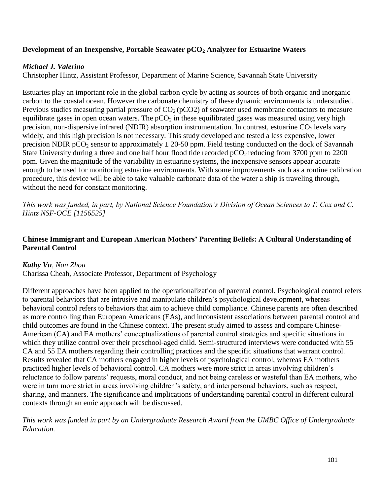### **Development of an Inexpensive, Portable Seawater pCO<sup>2</sup> Analyzer for Estuarine Waters**

### *Michael J. Valerino*

Christopher Hintz, Assistant Professor, Department of Marine Science, Savannah State University

Estuaries play an important role in the global carbon cycle by acting as sources of both organic and inorganic carbon to the coastal ocean. However the carbonate chemistry of these dynamic environments is understudied. Previous studies measuring partial pressure of  $CO<sub>2</sub>$  (pCO2) of seawater used membrane contactors to measure equilibrate gases in open ocean waters. The  $pCO<sub>2</sub>$  in these equilibrated gases was measured using very high precision, non-dispersive infrared (NDIR) absorption instrumentation. In contrast, estuarine  $CO<sub>2</sub>$  levels vary widely, and this high precision is not necessary. This study developed and tested a less expensive, lower precision NDIR pCO<sub>2</sub> sensor to approximately  $\pm$  20-50 ppm. Field testing conducted on the dock of Savannah State University during a three and one half hour flood tide recorded  $pCO<sub>2</sub>$  reducing from 3700 ppm to 2200 ppm. Given the magnitude of the variability in estuarine systems, the inexpensive sensors appear accurate enough to be used for monitoring estuarine environments. With some improvements such as a routine calibration procedure, this device will be able to take valuable carbonate data of the water a ship is traveling through, without the need for constant monitoring.

*This work was funded, in part, by National Science Foundation's Division of Ocean Sciences to T. Cox and C. Hintz NSF-OCE [1156525]*

## **Chinese Immigrant and European American Mothers' Parenting Beliefs: A Cultural Understanding of Parental Control**

### *Kathy Vu, Nan Zhou*

Charissa Cheah, Associate Professor, Department of Psychology

Different approaches have been applied to the operationalization of parental control. Psychological control refers to parental behaviors that are intrusive and manipulate children's psychological development, whereas behavioral control refers to behaviors that aim to achieve child compliance. Chinese parents are often described as more controlling than European Americans (EAs), and inconsistent associations between parental control and child outcomes are found in the Chinese context. The present study aimed to assess and compare Chinese-American (CA) and EA mothers' conceptualizations of parental control strategies and specific situations in which they utilize control over their preschool-aged child. Semi-structured interviews were conducted with 55 CA and 55 EA mothers regarding their controlling practices and the specific situations that warrant control. Results revealed that CA mothers engaged in higher levels of psychological control, whereas EA mothers practiced higher levels of behavioral control. CA mothers were more strict in areas involving children's reluctance to follow parents' requests, moral conduct, and not being careless or wasteful than EA mothers, who were in turn more strict in areas involving children's safety, and interpersonal behaviors, such as respect, sharing, and manners. The significance and implications of understanding parental control in different cultural contexts through an emic approach will be discussed.

*This work was funded in part by an Undergraduate Research Award from the UMBC Office of Undergraduate Education.*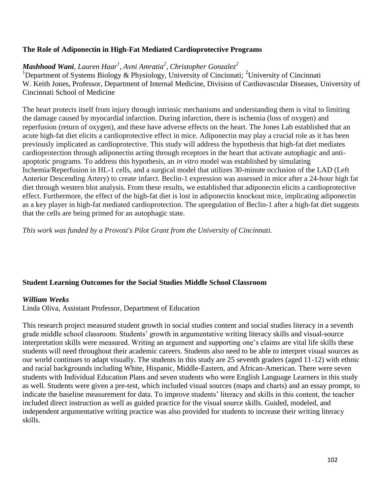### **The Role of Adiponectin in High-Fat Mediated Cardioprotective Programs**

## *Mashhood Wani, Lauren Haar<sup>1</sup> , Avni Amratia<sup>2</sup> , Christopher Gonzalez<sup>2</sup>*

<sup>1</sup>Department of Systems Biology & Physiology, University of Cincinnati; <sup>2</sup>University of Cincinnati W. Keith Jones, Professor, Department of Internal Medicine, Division of Cardiovascular Diseases, University of Cincinnati School of Medicine

The heart protects itself from injury through intrinsic mechanisms and understanding them is vital to limiting the damage caused by myocardial infarction. During infarction, there is ischemia (loss of oxygen) and reperfusion (return of oxygen), and these have adverse effects on the heart. The Jones Lab established that an acute high-fat diet elicits a cardioprotective effect in mice. Adiponectin may play a crucial role as it has been previously implicated as cardioprotective. This study will address the hypothesis that high-fat diet mediates cardioprotection through adiponectin acting through receptors in the heart that activate autophagic and antiapoptotic programs. To address this hypothesis, an *in vitro* model was established by simulating Ischemia/Reperfusion in HL-1 cells, and a surgical model that utilizes 30-minute occlusion of the LAD (Left Anterior Descending Artery) to create infarct. Beclin-1 expression was assessed in mice after a 24-hour high fat diet through western blot analysis. From these results, we established that adiponectin elicits a cardioprotective effect. Furthermore, the effect of the high-fat diet is lost in adiponectin knockout mice, implicating adiponectin as a key player in high-fat mediated cardioprotection. The upregulation of Beclin-1 after a high-fat diet suggests that the cells are being primed for an autophagic state.

*This work was funded by a Provost's Pilot Grant from the University of Cincinnati.*

### **Student Learning Outcomes for the Social Studies Middle School Classroom**

#### *William Weeks*

Linda Oliva, Assistant Professor, Department of Education

This research project measured student growth in social studies content and social studies literacy in a seventh grade middle school classroom. Students' growth in argumentative writing literacy skills and visual-source interpretation skills were measured. Writing an argument and supporting one's claims are vital life skills these students will need throughout their academic careers. Students also need to be able to interpret visual sources as our world continues to adapt visually. The students in this study are 25 seventh graders (aged 11-12) with ethnic and racial backgrounds including White, Hispanic, Middle-Eastern, and African-American. There were seven students with Individual Education Plans and seven students who were English Language Learners in this study as well. Students were given a pre-test, which included visual sources (maps and charts) and an essay prompt, to indicate the baseline measurement for data. To improve students' literacy and skills in this content, the teacher included direct instruction as well as guided practice for the visual source skills. Guided, modeled, and independent argumentative writing practice was also provided for students to increase their writing literacy skills.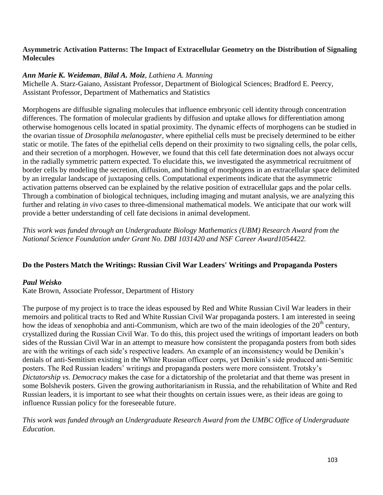### **Asymmetric Activation Patterns: The Impact of Extracellular Geometry on the Distribution of Signaling Molecules**

### *Ann Marie K. Weideman*, *Bilal A. Moiz*, *Lathiena A. Manning*

Michelle A. Starz-Gaiano, Assistant Professor, Department of Biological Sciences; Bradford E. Peercy, Assistant Professor, Department of Mathematics and Statistics

Morphogens are diffusible signaling molecules that influence embryonic cell identity through concentration differences. The formation of molecular gradients by diffusion and uptake allows for differentiation among otherwise homogenous cells located in spatial proximity. The dynamic effects of morphogens can be studied in the ovarian tissue of *Drosophila melanogaster*, where epithelial cells must be precisely determined to be either static or motile. The fates of the epithelial cells depend on their proximity to two signaling cells, the polar cells, and their secretion of a morphogen. However, we found that this cell fate determination does not always occur in the radially symmetric pattern expected. To elucidate this, we investigated the asymmetrical recruitment of border cells by modeling the secretion, diffusion, and binding of morphogens in an extracellular space delimited by an irregular landscape of juxtaposing cells. Computational experiments indicate that the asymmetric activation patterns observed can be explained by the relative position of extracellular gaps and the polar cells. Through a combination of biological techniques, including imaging and mutant analysis, we are analyzing this further and relating *in vivo* cases to three-dimensional mathematical models. We anticipate that our work will provide a better understanding of cell fate decisions in animal development.

*This work was funded through an Undergraduate Biology Mathematics (UBM) Research Award from the National Science Foundation under Grant No. DBI 1031420 and NSF Career Award1054422.* 

### **Do the Posters Match the Writings: Russian Civil War Leaders' Writings and Propaganda Posters**

#### *Paul Weisko*

Kate Brown, Associate Professor, Department of History

The purpose of my project is to trace the ideas espoused by Red and White Russian Civil War leaders in their memoirs and political tracts to Red and White Russian Civil War propaganda posters. I am interested in seeing how the ideas of xenophobia and anti-Communism, which are two of the main ideologies of the  $20<sup>th</sup>$  century, crystallized during the Russian Civil War. To do this, this project used the writings of important leaders on both sides of the Russian Civil War in an attempt to measure how consistent the propaganda posters from both sides are with the writings of each side's respective leaders. An example of an inconsistency would be Denikin's denials of anti-Semitism existing in the White Russian officer corps, yet Denikin's side produced anti-Semitic posters. The Red Russian leaders' writings and propaganda posters were more consistent. Trotsky's *Dictatorship vs. Democracy* makes the case for a dictatorship of the proletariat and that theme was present in some Bolshevik posters. Given the growing authoritarianism in Russia, and the rehabilitation of White and Red Russian leaders, it is important to see what their thoughts on certain issues were, as their ideas are going to influence Russian policy for the foreseeable future.

*This work was funded through an Undergraduate Research Award from the UMBC Office of Undergraduate Education.*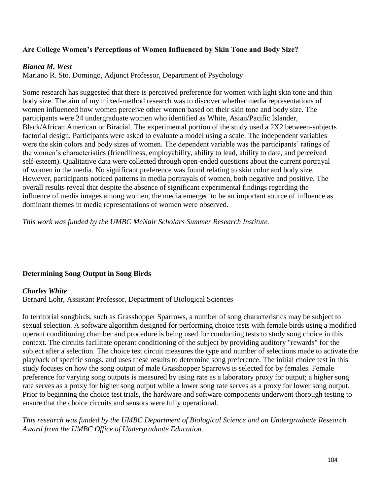## **Are College Women's Perceptions of Women Influenced by Skin Tone and Body Size?**

### *Bianca M. West*

Mariano R. Sto. Domingo, Adjunct Professor, Department of Psychology

Some research has suggested that there is perceived preference for women with light skin tone and thin body size. The aim of my mixed-method research was to discover whether media representations of women influenced how women perceive other women based on their skin tone and body size. The participants were 24 undergraduate women who identified as White, Asian/Pacific Islander, Black/African American or Biracial. The experimental portion of the study used a 2X2 between-subjects factorial design. Participants were asked to evaluate a model using a scale. The independent variables were the skin colors and body sizes of women. The dependent variable was the participants' ratings of the women's characteristics (friendliness, employability, ability to lead, ability to date, and perceived self-esteem). Qualitative data were collected through open-ended questions about the current portrayal of women in the media. No significant preference was found relating to skin color and body size. However, participants noticed patterns in media portrayals of women, both negative and positive. The overall results reveal that despite the absence of significant experimental findings regarding the influence of media images among women, the media emerged to be an important source of influence as dominant themes in media representations of women were observed.

*This work was funded by the UMBC McNair Scholars Summer Research Institute.* 

### **Determining Song Output in Song Birds**

#### *Charles White*

Bernard Lohr, Assistant Professor, Department of Biological Sciences

In territorial songbirds, such as Grasshopper Sparrows, a number of song characteristics may be subject to sexual selection. A software algorithm designed for performing choice tests with female birds using a modified operant conditioning chamber and procedure is being used for conducting tests to study song choice in this context. The circuits facilitate operant conditioning of the subject by providing auditory "rewards" for the subject after a selection. The choice test circuit measures the type and number of selections made to activate the playback of specific songs, and uses these results to determine song preference. The initial choice test in this study focuses on how the song output of male Grasshopper Sparrows is selected for by females. Female preference for varying song outputs is measured by using rate as a laboratory proxy for output; a higher song rate serves as a proxy for higher song output while a lower song rate serves as a proxy for lower song output. Prior to beginning the choice test trials, the hardware and software components underwent thorough testing to ensure that the choice circuits and sensors were fully operational.

*This research was funded by the UMBC Department of Biological Science and an Undergraduate Research Award from the UMBC Office of Undergraduate Education.*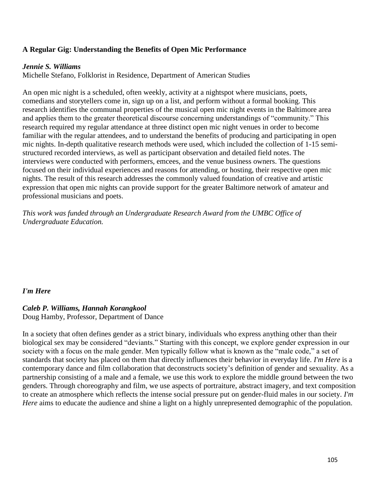### **A Regular Gig: Understanding the Benefits of Open Mic Performance**

#### *Jennie S. Williams*

Michelle Stefano, Folklorist in Residence, Department of American Studies

An open mic night is a scheduled, often weekly, activity at a nightspot where musicians, poets, comedians and storytellers come in, sign up on a list, and perform without a formal booking. This research identifies the communal properties of the musical open mic night events in the Baltimore area and applies them to the greater theoretical discourse concerning understandings of "community." This research required my regular attendance at three distinct open mic night venues in order to become familiar with the regular attendees, and to understand the benefits of producing and participating in open mic nights. In-depth qualitative research methods were used, which included the collection of 1-15 semistructured recorded interviews, as well as participant observation and detailed field notes. The interviews were conducted with performers, emcees, and the venue business owners. The questions focused on their individual experiences and reasons for attending, or hosting, their respective open mic nights. The result of this research addresses the commonly valued foundation of creative and artistic expression that open mic nights can provide support for the greater Baltimore network of amateur and professional musicians and poets.

*This work was funded through an Undergraduate Research Award from the UMBC Office of Undergraduate Education.*

### *I'm Here*

### *Caleb P. Williams, Hannah Korangkool*

Doug Hamby, Professor, Department of Dance

In a society that often defines gender as a strict binary, individuals who express anything other than their biological sex may be considered "deviants." Starting with this concept, we explore gender expression in our society with a focus on the male gender. Men typically follow what is known as the "male code," a set of standards that society has placed on them that directly influences their behavior in everyday life. *I'm Here* is a contemporary dance and film collaboration that deconstructs society's definition of gender and sexuality. As a partnership consisting of a male and a female, we use this work to explore the middle ground between the two genders. Through choreography and film, we use aspects of portraiture, abstract imagery, and text composition to create an atmosphere which reflects the intense social pressure put on gender-fluid males in our society. *I'm Here* aims to educate the audience and shine a light on a highly unrepresented demographic of the population.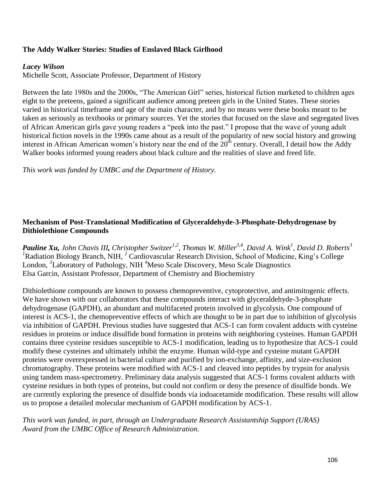### **The Addy Walker Stories: Studies of Enslaved Black Girlhood**

#### *Lacey Wilson*

Michelle Scott, Associate Professor, Department of History

Between the late 1980s and the 2000s, "The American Girl" series, historical fiction marketed to children ages eight to the preteens, gained a significant audience among preteen girls in the United States. These stories varied in historical timeframe and age of the main character, and by no means were these books meant to be taken as seriously as textbooks or primary sources. Yet the stories that focused on the slave and segregated lives of African American girls gave young readers a "peek into the past." I propose that the wave of young adult historical fiction novels in the 1990s came about as a result of the popularity of new social history and growing interest in African American women's history near the end of the  $20<sup>th</sup>$  century. Overall, I detail how the Addy Walker books informed young readers about black culture and the realities of slave and freed life.

*This work was funded by UMBC and the Department of History.* 

## **Mechanism of Post-Translational Modification of Glyceraldehyde-3-Phosphate-Dehydrogenase by Dithiolethione Compounds**

*Pauline Xu, John Chavis III, Christopher Switzer1,2, Thomas W. Miller3,4, David A. Wink<sup>1</sup> , David D. Roberts<sup>3</sup>* <sup>*1*</sup>Radiation Biology Branch, NIH, <sup>2</sup> Cardiovascular Research Division, School of Medicine, King's College London, *3* Laboratory of Pathology, NIH *<sup>4</sup>*Meso Scale Discovery, Meso Scale Diagnostics Elsa Garcin, Assistant Professor, Department of Chemistry and Biochemistry

Dithiolethione compounds are known to possess chemopreventive, cytoprotective, and antimitogenic effects. We have shown with our collaborators that these compounds interact with glyceraldehyde-3-phosphate dehydrogenase (GAPDH), an abundant and multifaceted protein involved in glycolysis. One compound of interest is ACS-1, the chemopreventive effects of which are thought to be in part due to inhibition of glycolysis via inhibition of GAPDH. Previous studies have suggested that ACS-1 can form covalent adducts with cysteine residues in proteins or induce disulfide bond formation in proteins with neighboring cysteines. Human GAPDH contains three cysteine residues susceptible to ACS-1 modification, leading us to hypothesize that ACS-1 could modify these cysteines and ultimately inhibit the enzyme. Human wild-type and cysteine mutant GAPDH proteins were overexpressed in bacterial culture and purified by ion-exchange, affinity, and size-exclusion chromatography. These proteins were modified with ACS-1 and cleaved into peptides by trypsin for analysis using tandem mass-spectrometry. Preliminary data analysis suggested that ACS-1 forms covalent adducts with cysteine residues in both types of proteins, but could not confirm or deny the presence of disulfide bonds. We are currently exploring the presence of disulfide bonds via iodoacetamide modification. These results will allow us to propose a detailed molecular mechanism of GAPDH modification by ACS-1.

*This work was funded, in part, through an Undergraduate Research Assistantship Support (URAS) Award from the UMBC Office of Research Administration.*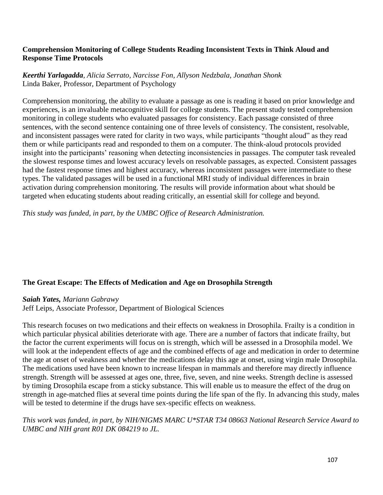### **Comprehension Monitoring of College Students Reading Inconsistent Texts in Think Aloud and Response Time Protocols**

### *Keerthi Yarlagadda, Alicia Serrato, Narcisse Fon, Allyson Nedzbala, Jonathan Shonk* Linda Baker, Professor, Department of Psychology

Comprehension monitoring, the ability to evaluate a passage as one is reading it based on prior knowledge and experiences, is an invaluable metacognitive skill for college students. The present study tested comprehension monitoring in college students who evaluated passages for consistency. Each passage consisted of three sentences, with the second sentence containing one of three levels of consistency. The consistent, resolvable, and inconsistent passages were rated for clarity in two ways, while participants "thought aloud" as they read them or while participants read and responded to them on a computer. The think-aloud protocols provided insight into the participants' reasoning when detecting inconsistencies in passages. The computer task revealed the slowest response times and lowest accuracy levels on resolvable passages, as expected. Consistent passages had the fastest response times and highest accuracy, whereas inconsistent passages were intermediate to these types. The validated passages will be used in a functional MRI study of individual differences in brain activation during comprehension monitoring. The results will provide information about what should be targeted when educating students about reading critically, an essential skill for college and beyond.

*This study was funded, in part, by the UMBC Office of Research Administration.*

### **The Great Escape: The Effects of Medication and Age on Drosophila Strength**

*Saiah Yates, Mariann Gabrawy* 

Jeff Leips, Associate Professor, Department of Biological Sciences

This research focuses on two medications and their effects on weakness in Drosophila. Frailty is a condition in which particular physical abilities deteriorate with age. There are a number of factors that indicate frailty, but the factor the current experiments will focus on is strength, which will be assessed in a Drosophila model. We will look at the independent effects of age and the combined effects of age and medication in order to determine the age at onset of weakness and whether the medications delay this age at onset, using virgin male Drosophila. The medications used have been known to increase lifespan in mammals and therefore may directly influence strength. Strength will be assessed at ages one, three, five, seven, and nine weeks. Strength decline is assessed by timing Drosophila escape from a sticky substance. This will enable us to measure the effect of the drug on strength in age-matched flies at several time points during the life span of the fly. In advancing this study, males will be tested to determine if the drugs have sex-specific effects on weakness.

*This work was funded, in part, by NIH/NIGMS MARC U\*STAR T34 08663 National Research Service Award to UMBC and NIH grant R01 DK 084219 to JL.*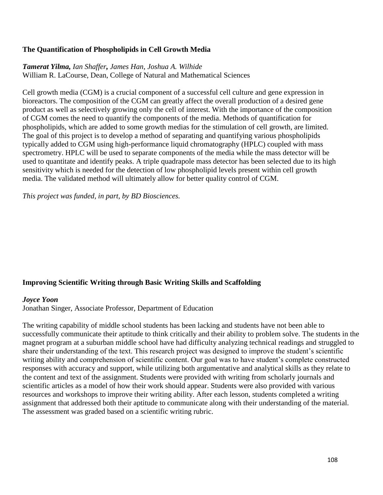# **The Quantification of Phospholipids in Cell Growth Media**

#### *Tamerat Yilma, Ian Shaffer, James Han, Joshua A. Wilhide* William R. LaCourse, Dean, College of Natural and Mathematical Sciences

Cell growth media (CGM) is a crucial component of a successful cell culture and gene expression in bioreactors. The composition of the CGM can greatly affect the overall production of a desired gene product as well as selectively growing only the cell of interest. With the importance of the composition of CGM comes the need to quantify the components of the media. Methods of quantification for phospholipids, which are added to some growth medias for the stimulation of cell growth, are limited. The goal of this project is to develop a method of separating and quantifying various phospholipids typically added to CGM using high-performance liquid chromatography (HPLC) coupled with mass spectrometry. HPLC will be used to separate components of the media while the mass detector will be used to quantitate and identify peaks. A triple quadrapole mass detector has been selected due to its high sensitivity which is needed for the detection of low phospholipid levels present within cell growth media. The validated method will ultimately allow for better quality control of CGM.

*This project was funded, in part, by BD Biosciences.* 

# **Improving Scientific Writing through Basic Writing Skills and Scaffolding**

#### *Joyce Yoon*

Jonathan Singer, Associate Professor, Department of Education

The writing capability of middle school students has been lacking and students have not been able to successfully communicate their aptitude to think critically and their ability to problem solve. The students in the magnet program at a suburban middle school have had difficulty analyzing technical readings and struggled to share their understanding of the text. This research project was designed to improve the student's scientific writing ability and comprehension of scientific content. Our goal was to have student's complete constructed responses with accuracy and support, while utilizing both argumentative and analytical skills as they relate to the content and text of the assignment. Students were provided with writing from scholarly journals and scientific articles as a model of how their work should appear. Students were also provided with various resources and workshops to improve their writing ability. After each lesson, students completed a writing assignment that addressed both their aptitude to communicate along with their understanding of the material. The assessment was graded based on a scientific writing rubric.